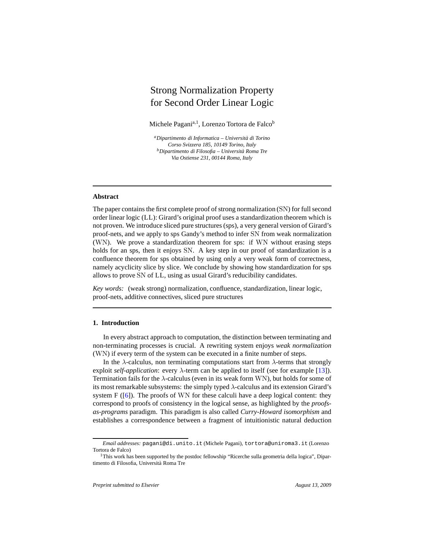# Strong Normalization Property for Second Order Linear Logic

Michele Pagani<sup>a,1</sup>, Lorenzo Tortora de Falco<sup>b</sup>

*<sup>a</sup>Dipartimento di Informatica – Universit`a di Torino Corso Svizzera 185, 10149 Torino, Italy <sup>b</sup>Dipartimento di Filosofia – Universit`a Roma Tre Via Ostiense 231, 00144 Roma, Italy*

### **Abstract**

The paper contains the first complete proof of strong normalization (SN) for full second order linear logic (LL): Girard's original proof uses a standardization theorem which is not proven. We introduce sliced pure structures (sps), a very general version of Girard's proof-nets, and we apply to sps Gandy's method to infer SN from weak normalization (WN). We prove a standardization theorem for sps: if WN without erasing steps holds for an sps, then it enjoys SN. A key step in our proof of standardization is a confluence theorem for sps obtained by using only a very weak form of correctness, namely acyclicity slice by slice. We conclude by showing how standardization for sps allows to prove SN of LL, using as usual Girard's reducibility candidates.

*Key words:* (weak strong) normalization, confluence, standardization, linear logic, proof-nets, additive connectives, sliced pure structures

## <span id="page-0-0"></span>**1. Introduction**

In every abstract approach to computation, the distinction between terminating and non-terminating processes is crucial. A rewriting system enjoys *weak normalization* (WN) if every term of the system can be executed in a finite number of steps.

In the  $\lambda$ -calculus, non terminating computations start from  $\lambda$ -terms that strongly exploit *self-application*: every  $\lambda$ -term can be applied to itself (see for example [\[13](#page-59-0)]). Termination fails for the  $\lambda$ -calculus (even in its weak form WN), but holds for some of its most remarkable subsystems: the simply typed  $\lambda$ -calculus and its extension Girard's system  $F(\lceil 6 \rceil)$ . The proofs of WN for these calculi have a deep logical content: they correspond to proofs of consistency in the logical sense, as highlighted by the *proofsas-programs* paradigm. This paradigm is also called *Curry-Howard isomorphism* and establishes a correspondence between a fragment of intuitionistic natural deduction

*Email addresses:* pagani@di.unito.it (Michele Pagani), tortora@uniroma3.it (Lorenzo Tortora de Falco)

<sup>&</sup>lt;sup>1</sup>This work has been supported by the postdoc fellowship "Ricerche sulla geometria della logica", Dipartimento di Filosofia, Università Roma Tre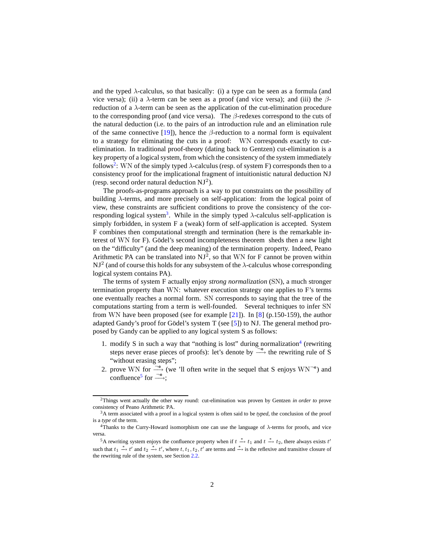and the typed  $\lambda$ -calculus, so that basically: (i) a type can be seen as a formula (and vice versa); (ii) a  $\lambda$ -term can be seen as a proof (and vice versa); and (iii) the βreduction of a λ-term can be seen as the application of the cut-elimination procedure to the corresponding proof (and vice versa). The  $\beta$ -redexes correspond to the cuts of the natural deduction (i.e. to the pairs of an introduction rule and an elimination rule of the same connective [\[19\]](#page-60-0)), hence the  $\beta$ -reduction to a normal form is equivalent to a strategy for eliminating the cuts in a proof: WN corresponds exactly to cutelimination. In traditional proof-theory (dating back to Gentzen) cut-elimination is a key property of a logical system, from which the consistency of the system immediately follows<sup>[2](#page-1-0)</sup>: WN of the simply typed  $\lambda$ -calculus (resp. of system F) corresponds then to a consistency proof for the implicational fragment of intuitionistic natural deduction NJ (resp. second order natural deduction  $NJ^2$ ).

The proofs-as-programs approach is a way to put constraints on the possibility of building  $\lambda$ -terms, and more precisely on self-application: from the logical point of view, these constraints are sufficient conditions to prove the consistency of the cor-responding logical system<sup>[3](#page-1-1)</sup>. While in the simply typed  $\lambda$ -calculus self-application is simply forbidden, in system F a (weak) form of self-application is accepted. System F combines then computational strength and termination (here is the remarkable interest of WN for F). Gödel's second incompleteness theorem sheds then a new light on the "difficulty" (and the deep meaning) of the termination property. Indeed, Peano Arithmetic PA can be translated into  $NJ^2$ , so that WN for F cannot be proven within NJ<sup>2</sup> (and of course this holds for any subsystem of the  $\lambda$ -calculus whose corresponding logical system contains PA).

The terms of system F actually enjoy *strong normalization* (SN), a much stronger termination property than WN: whatever execution strategy one applies to F's terms one eventually reaches a normal form. SN corresponds to saying that the tree of the computations starting from a term is well-founded. Several techniques to infer SN from WN have been proposed (see for example [\[21\]](#page-60-1)). In [\[8\]](#page-59-2) (p.150-159), the author adapted Gandy's proof for Gödel's system T (see  $[5]$ ) to NJ. The general method proposed by Gandy can be applied to any logical system S as follows:

- 1. modify S in such a way that "nothing is lost" during normalization $4$  (rewriting steps never erase pieces of proofs): let's denote by  $\frac{\neg e}{\rightarrow}$  the rewriting rule of S "without erasing steps";
- 2. prove WN for  $\stackrel{\neg e}{\longrightarrow}$  (we 'll often write in the sequel that S enjoys WN<sup> $\neg e$ </sup>) and confluence<sup>[5](#page-1-3)</sup> for  $\frac{\neg e}{\longrightarrow}$ ;

<span id="page-1-0"></span><sup>2</sup>Things went actually the other way round: cut-elimination was proven by Gentzen *in order to* prove consistency of Peano Arithmetic PA.

<span id="page-1-1"></span><sup>3</sup>A term associated with a proof in a logical system is often said to be *typed*, the conclusion of the proof is a *type* of the term.

<span id="page-1-2"></span> $4$ Thanks to the Curry-Howard isomorphism one can use the language of  $\lambda$ -terms for proofs, and vice versa.

<span id="page-1-3"></span><sup>&</sup>lt;sup>5</sup>A rewriting system enjoys the confluence property when if  $t \stackrel{*}{\to} t_1$  and  $t \stackrel{*}{\to} t_2$ , there always exists  $t'$ such that  $t_1 \stackrel{*}{\to} t'$  and  $t_2 \stackrel{*}{\to} t'$ , where  $t, t_1, t_2, t'$  are terms and  $\stackrel{*}{\to}$  is the reflexive and transitive closure of the rewriting rule of the system, see Section [2.2.](#page-11-0)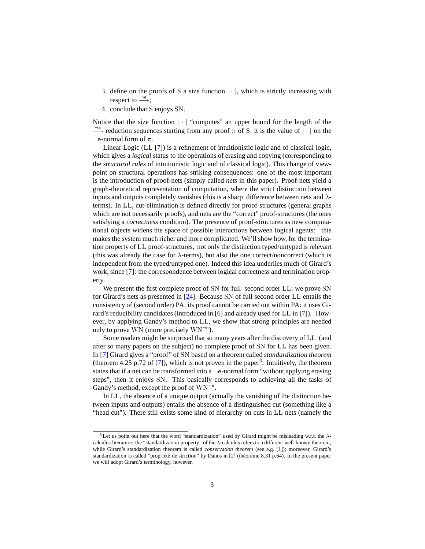- 3. define on the proofs of S a size function  $|\cdot|$ , which is strictly increasing with respect to  $\stackrel{\neg e}{\longrightarrow}$ ;
- 4. conclude that S enjoys SN.

Notice that the size function  $|\cdot|$  "computes" an upper bound for the length of the  $\longrightarrow^{\mathsf{e}}$  reduction sequences starting from any proof  $\pi$  of S: it is the value of  $|\cdot|$  on the  $\neg$ e-normal form of  $\pi$ .

Linear Logic (LL [\[7](#page-59-4)]) is a refinement of intuitionistic logic and of classical logic, which gives a *logical* status to the operations of erasing and copying (corresponding to the *structural rules* of intuitionistic logic and of classical logic). This change of viewpoint on structural operations has striking consequences: one of the most important is the introduction of proof-nets (simply called *nets* in this paper). Proof-nets yield a graph-theoretical representation of computation, where the strict distinction between inputs and outputs completely vanishes (this is a sharp difference between nets and  $\lambda$ terms). In LL, cut-elimination is defined directly for proof-structures (general graphs which are not necessarily proofs), and nets are the "correct" proof-structures (the ones satisfying a *correctness* condition). The presence of proof-structures as new computational objects widens the space of possible interactions between logical agents: this makes the system much richer and more complicated. We'll show how, for the termination property of LL proof-structures, not only the distinction typed/untyped is relevant (this was already the case for  $\lambda$ -terms), but also the one correct/noncorrect (which is independent from the typed/untyped one). Indeed this idea underlies much of Girard's work, since [\[7](#page-59-4)]: the correspondence between logical correctness and termination property.

We present the first complete proof of SN for full second order LL: we prove SN for Girard's nets as presented in [\[24\]](#page-60-2). Because SN of full second order LL entails the consistency of (second order) PA, its proof cannot be carried out within PA: it uses Girard's reducibility candidates (introduced in [\[6\]](#page-59-1) and already used for LL in [\[7\]](#page-59-4)). However, by applying Gandy's method to LL, we show that strong principles are needed only to prove WN (more precisely  $WN^{-e}$ ).

Some readers might be surprised that so many years after the discovery of LL (and after so many papers on the subject) no complete proof of SN for LL has been given. In [\[7\]](#page-59-4) Girard gives a "proof" of SN based on a theorem called *standardization theorem* (theorem 4.25 p.72 of [\[7](#page-59-4)]), which is not proven in the paper<sup>[6](#page-2-0)</sup>. Intuitively, the theorem states that if a net can be transformed into a  $\neg$ e-normal form "without applying erasing steps", then it enjoys SN. This basically corresponds to achieving all the tasks of Gandy's method, except the proof of WN<sup>-e</sup>.

In LL, the absence of a unique output (actually the vanishing of the distinction between inputs and outputs) entails the absence of a distinguished cut (something like a "head cut"). There still exists some kind of hierarchy on cuts in LL nets (namely the

<span id="page-2-0"></span><sup>&</sup>lt;sup>6</sup>Let us point out here that the word "standardization" used by Girard might be misleading w.r.t. the  $\lambda$ calculus literature: the "standardization property" of the λ-calculus refers to a different well-known theorem, while Girard's standardization theorem is called *conservation theorem* (see e.g. [\[1](#page-59-5)]); moreover, Girard's standardization is called "propriété de striction" by Danos in  $[2]$  (théorème 8.31 p.64). In the present paper we will adopt Girard's terminology, however.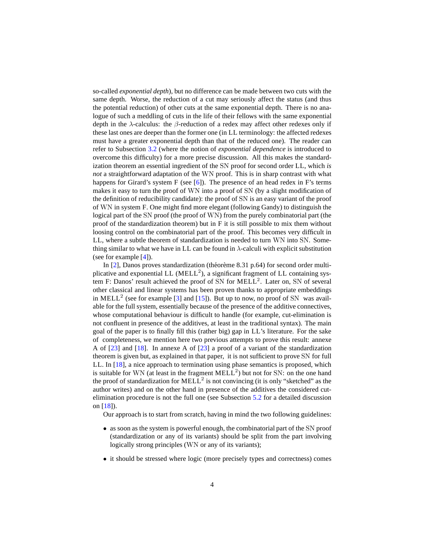so-called *exponential depth*), but no difference can be made between two cuts with the same depth. Worse, the reduction of a cut may seriously affect the status (and thus the potential reduction) of other cuts at the same exponential depth. There is no analogue of such a meddling of cuts in the life of their fellows with the same exponential depth in the  $\lambda$ -calculus: the  $\beta$ -reduction of a redex may affect other redexes only if these last ones are deeper than the former one (in LL terminology: the affected redexes must have a greater exponential depth than that of the reduced one). The reader can refer to Subsection [3.2](#page-26-0) (where the notion of *exponential dependence* is introduced to overcome this difficulty) for a more precise discussion. All this makes the standardization theorem an essential ingredient of the SN proof for second order LL, which *is not* a straightforward adaptation of the WN proof. This is in sharp contrast with what happens for Girard's system  $F$  (see [\[6\]](#page-59-1)). The presence of an head redex in  $F$ 's terms makes it easy to turn the proof of WN into a proof of SN (by a slight modification of the definition of reducibility candidate): the proof of SN is an easy variant of the proof of WN in system F. One might find more elegant (following Gandy) to distinguish the logical part of the SN proof (the proof of WN) from the purely combinatorial part (the proof of the standardization theorem) but in F it is still possible to mix them without loosing control on the combinatorial part of the proof. This becomes very difficult in LL, where a subtle theorem of standardization is needed to turn WN into SN. Something similar to what we have in LL can be found in  $\lambda$ -calculi with explicit substitution (see for example [\[4\]](#page-59-7)).

In [\[2](#page-59-6)], Danos proves standardization (théorème 8.31 p.64) for second order multiplicative and exponential LL ( $MELL<sup>2</sup>$ ), a significant fragment of LL containing system F: Danos' result achieved the proof of SN for MELL<sup>2</sup>. Later on, SN of several other classical and linear systems has been proven thanks to appropriate embeddings in MELL<sup>2</sup> (see for example [\[3\]](#page-59-8) and [\[15](#page-59-9)]). But up to now, no proof of SN was available for the full system, essentially because of the presence of the additive connectives, whose computational behaviour is difficult to handle (for example, cut-elimination is not confluent in presence of the additives, at least in the traditional syntax). The main goal of the paper is to finally fill this (rather big) gap in LL's literature. For the sake of completeness, we mention here two previous attempts to prove this result: annexe A of [\[23\]](#page-60-3) and [\[18\]](#page-60-4). In annexe A of [\[23\]](#page-60-3) a proof of a variant of the standardization theorem is given but, as explained in that paper, it is not sufficient to prove SN for full LL. In [\[18\]](#page-60-4), a nice approach to termination using phase semantics is proposed, which is suitable for WN (at least in the fragment  $MELL<sup>2</sup>$ ) but not for SN: on the one hand the proof of standardization for  $MELL^2$  is not convincing (it is only "sketched" as the author writes) and on the other hand in presence of the additives the considered cutelimination procedure is not the full one (see Subsection [5.2](#page-50-0) for a detailed discussion on [\[18\]](#page-60-4)).

Our approach is to start from scratch, having in mind the two following guidelines:

- as soon as the system is powerful enough, the combinatorial part of the SN proof (standardization or any of its variants) should be split from the part involving logically strong principles (WN or any of its variants);
- it should be stressed where logic (more precisely types and correctness) comes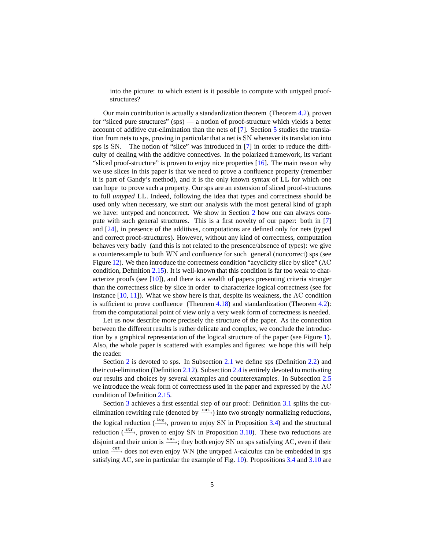into the picture: to which extent is it possible to compute with untyped proofstructures?

Our main contribution is actually a standardization theorem (Theorem [4.2\)](#page-37-0), proven for "sliced pure structures" (sps) — a notion of proof-structure which yields a better account of additive cut-elimination than the nets of [\[7](#page-59-4)]. Section [5](#page-48-0) studies the translation from nets to sps, proving in particular that a net is SN whenever its translation into sps is SN. The notion of "slice" was introduced in [\[7\]](#page-59-4) in order to reduce the difficulty of dealing with the additive connectives. In the polarized framework, its variant "sliced proof-structure" is proven to enjoy nice properties  $[16]$ . The main reason why we use slices in this paper is that we need to prove a confluence property (remember it is part of Gandy's method), and it is the only known syntax of LL for which one can hope to prove such a property. Our sps are an extension of sliced proof-structures to full *untyped* LL. Indeed, following the idea that types and correctness should be used only when necessary, we start our analysis with the most general kind of graph we have: untyped and noncorrect. We show in Section [2](#page-9-0) how one can always compute with such general structures. This is a first novelty of our paper: both in [\[7](#page-59-4)] and [\[24\]](#page-60-2), in presence of the additives, computations are defined only for nets (typed and correct proof-structures). However, without any kind of correctness, computation behaves very badly (and this is not related to the presence/absence of types): we give a counterexample to both WN and confluence for such general (noncorrect) sps (see Figure [12\)](#page-22-0). We then introduce the correctness condition "acyclicity slice by slice" (AC condition, Definition [2.15\)](#page-22-1). It is well-known that this condition is far too weak to characterize proofs (see  $[10]$ ), and there is a wealth of papers presenting criteria stronger than the correctness slice by slice in order to characterize logical correctness (see for instance [\[10,](#page-59-10) [11\]](#page-59-11)). What we show here is that, despite its weakness, the AC condition is sufficient to prove confluence (Theorem  $4.18$ ) and standardization (Theorem  $4.2$ ): from the computational point of view only a very weak form of correctness is needed.

Let us now describe more precisely the structure of the paper. As the connection between the different results is rather delicate and complex, we conclude the introduction by a graphical representation of the logical structure of the paper (see Figure [1\)](#page-8-0). Also, the whole paper is scattered with examples and figures: we hope this will help the reader.

Section [2](#page-9-0) is devoted to sps. In Subsection [2.1](#page-9-1) we define sps (Definition [2.2\)](#page-9-2) and their cut-elimination (Definition [2.12\)](#page-14-0). Subsection [2.4](#page-18-0) is entirely devoted to motivating our results and choices by several examples and counterexamples. In Subsection [2.5](#page-22-2) we introduce the weak form of correctness used in the paper and expressed by the AC condition of Definition [2.15.](#page-22-1)

Section [3](#page-24-0) achieves a first essential step of our proof: Definition [3.1](#page-24-1) splits the cutelimination rewriting rule (denoted by  $\xrightarrow{\text{cut}}$ ) into two strongly normalizing reductions, the logical reduction ( $\frac{\log p}{\log p}$ , proven to enjoy SN in Proposition [3.4\)](#page-25-0) and the structural reduction  $(\stackrel{\text{str}}{\longrightarrow})$ , proven to enjoy SN in Proposition [3.10\)](#page-29-0). These two reductions are disjoint and their union is  $\xrightarrow{\text{cut}}$ ; they both enjoy SN on sps satisfying AC, even if their union  $\xrightarrow{\text{cut}}$  does not even enjoy WN (the untyped  $\lambda$ -calculus can be embedded in sps satisfying AC, see in particular the example of Fig. [10\)](#page-21-0). Propositions [3.4](#page-25-0) and [3.10](#page-29-0) are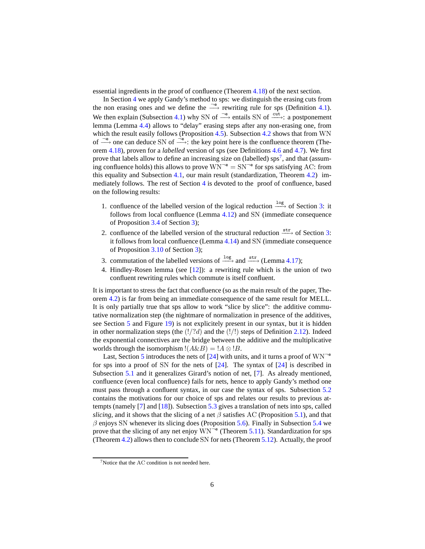essential ingredients in the proof of confluence (Theorem [4.18\)](#page-47-0) of the next section.

In Section [4](#page-37-1) we apply Gandy's method to sps: we distinguish the erasing cuts from the non erasing ones and we define the  $\stackrel{\neg e}{\longrightarrow}$  rewriting rule for sps (Definition [4.1\)](#page-37-2). We then explain (Subsection [4.1\)](#page-37-3) why SN of  $\stackrel{\neg e}{\longrightarrow}$  entails SN of  $\stackrel{\text{cut}}{\longrightarrow}$ : a postponement lemma (Lemma [4.4\)](#page-38-0) allows to "delay" erasing steps after any non-erasing one, from which the result easily follows (Proposition [4.5\)](#page-38-1). Subsection [4.2](#page-38-2) shows that from WN of  $\frac{\neg e}{\longrightarrow}$  one can deduce SN of  $\frac{\neg e}{\longrightarrow}$ : the key point here is the confluence theorem (Theorem [4.18\)](#page-47-0), proven for a *labelled* version of sps (see Definitions [4.6](#page-39-0) and [4.7\)](#page-39-1). We first prove that labels allow to define an increasing size on (labelled)  $\text{sps}^7$  $\text{sps}^7$ , and that (assuming confluence holds) this allows to prove  $WN^{-e} = SN^{-e}$  for sps satisfying AC: from this equality and Subsection [4.1,](#page-37-3) our main result (standardization, Theorem [4.2\)](#page-37-0) immediately follows. The rest of Section [4](#page-37-1) is devoted to the proof of confluence, based on the following results:

- 1. confluence of the labelled version of the logical reduction  $\xrightarrow{\log}$  of Section [3:](#page-24-0) it follows from local confluence (Lemma [4.12\)](#page-41-0) and SN (immediate consequence of Proposition [3.4](#page-25-0) of Section [3\)](#page-24-0);
- 2. confluence of the labelled version of the structural reduction  $\xrightarrow{\text{str}}$  of Section [3:](#page-24-0) it follows from local confluence (Lemma [4.14\)](#page-42-0) and SN (immediate consequence of Proposition [3.10](#page-29-0) of Section [3\)](#page-24-0);
- 3. commutation of the labelled versions of  $\frac{\log 4}{\sqrt{2}}$  and  $\frac{\text{str}}{\sqrt{2}}$  (Lemma [4.17\)](#page-47-1);
- 4. Hindley-Rosen lemma (see [\[12\]](#page-59-12)): a rewriting rule which is the union of two confluent rewriting rules which commute is itself confluent.

It is important to stress the fact that confluence (so as the main result of the paper, Theorem [4.2\)](#page-37-0) is far from being an immediate consequence of the same result for MELL. It is only partially true that sps allow to work "slice by slice": the additive commutative normalization step (the nightmare of normalization in presence of the additives, see Section [5](#page-48-0) and Figure [19\)](#page-49-0) is not explicitely present in our syntax, but it is hidden in other normalization steps (the  $(!/?d)$ ) and the  $(!/!)$  steps of Definition [2.12\)](#page-14-0). Indeed the exponential connectives are the bridge between the additive and the multiplicative worlds through the isomorphism  $!(A\&B) = !A \otimes !B$ .

Last, Section [5](#page-48-0) introduces the nets of [\[24\]](#page-60-2) with units, and it turns a proof of  $W N^{-e}$ for sps into a proof of SN for the nets of  $[24]$ . The syntax of  $[24]$  is described in Subsection [5.1](#page-48-1) and it generalizes Girard's notion of net, [\[7\]](#page-59-4). As already mentioned, confluence (even local confluence) fails for nets, hence to apply Gandy's method one must pass through a confluent syntax, in our case the syntax of sps. Subsection [5.2](#page-50-0) contains the motivations for our choice of sps and relates our results to previous attempts (namely [\[7](#page-59-4)] and [\[18\]](#page-60-4)). Subsection [5.3](#page-52-0) gives a translation of nets into sps, called *slicing*, and it shows that the slicing of a net  $\beta$  satisfies AC (Proposition [5.1\)](#page-53-0), and that  $\beta$  enjoys SN whenever its slicing does (Proposition [5.6\)](#page-55-0). Finally in Subsection [5.4](#page-55-1) we prove that the slicing of any net enjoy  $WN^{-e}$  (Theorem [5.11\)](#page-57-0). Standardization for sps (Theorem [4.2\)](#page-37-0) allows then to conclude SN for nets (Theorem [5.12\)](#page-58-0). Actually, the proof

<span id="page-5-0"></span> $7$ Notice that the AC condition is not needed here.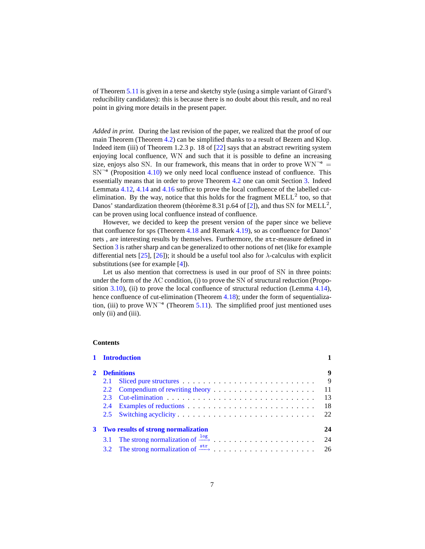of Theorem [5.11](#page-57-0) is given in a terse and sketchy style (using a simple variant of Girard's reducibility candidates): this is because there is no doubt about this result, and no real point in giving more details in the present paper.

*Added in print.* During the last revision of the paper, we realized that the proof of our main Theorem (Theorem [4.2\)](#page-37-0) can be simplified thanks to a result of Bezem and Klop. Indeed item (iii) of Theorem 1.2.3 p. 18 of [\[22\]](#page-60-6) says that an abstract rewriting system enjoying local confluence, WN and such that it is possible to define an increasing size, enjoys also SN. In our framework, this means that in order to prove  $WN^{-e}$  =  $SN^{-e}$  (Proposition [4.10\)](#page-40-0) we only need local confluence instead of confluence. This essentially means that in order to prove Theorem [4.2](#page-37-0) one can omit Section [3.](#page-24-0) Indeed Lemmata [4.12,](#page-41-0) [4.14](#page-42-0) and [4.16](#page-45-0) suffice to prove the local confluence of the labelled cutelimination. By the way, notice that this holds for the fragment  $MELL<sup>2</sup>$  too, so that Danos' standardization theorem (théorème 8.31 p.64 of [\[2\]](#page-59-6)), and thus SN for MELL<sup>2</sup>, can be proven using local confluence instead of confluence.

However, we decided to keep the present version of the paper since we believe that confluence for sps (Theorem [4.18](#page-47-0) and Remark [4.19\)](#page-47-2), so as confluence for Danos' nets , are interesting results by themselves. Furthermore, the str-measure defined in Section [3](#page-24-0) is rather sharp and can be generalized to other notions of net (like for example differential nets [\[25\]](#page-60-7), [\[26\]](#page-60-8)); it should be a useful tool also for  $\lambda$ -calculus with explicit substitutions (see for example [\[4\]](#page-59-7)).

Let us also mention that correctness is used in our proof of SN in three points: under the form of the AC condition, (i) to prove the SN of structural reduction (Propo-sition [3.10\)](#page-29-0), (ii) to prove the local confluence of structural reduction (Lemma [4.14\)](#page-42-0), hence confluence of cut-elimination (Theorem [4.18\)](#page-47-0); under the form of sequentialization, (iii) to prove  $WN^{-e}$  (Theorem [5.11\)](#page-57-0). The simplified proof just mentioned uses only (ii) and (iii).

## **Contents**

|             | 1 Introduction                             |  |     |  |  |  |  |  |  |  |
|-------------|--------------------------------------------|--|-----|--|--|--|--|--|--|--|
|             | <b>Definitions</b>                         |  |     |  |  |  |  |  |  |  |
|             | 2.1                                        |  | - 9 |  |  |  |  |  |  |  |
|             |                                            |  | -11 |  |  |  |  |  |  |  |
|             | 2.3                                        |  | 13  |  |  |  |  |  |  |  |
|             | 2.4                                        |  | 18  |  |  |  |  |  |  |  |
|             |                                            |  | 22  |  |  |  |  |  |  |  |
| $3^{\circ}$ | <b>Two results of strong normalization</b> |  |     |  |  |  |  |  |  |  |
|             |                                            |  | 24  |  |  |  |  |  |  |  |
|             |                                            |  |     |  |  |  |  |  |  |  |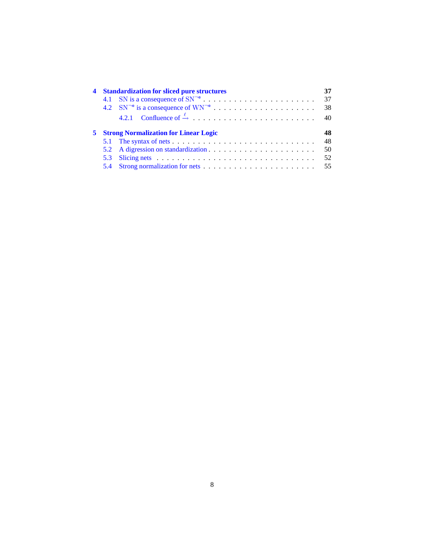| 4 Standardization for sliced pure structures   |  |          |  |  |  |  |  |
|------------------------------------------------|--|----------|--|--|--|--|--|
|                                                |  | 37       |  |  |  |  |  |
|                                                |  | 38       |  |  |  |  |  |
|                                                |  | 40       |  |  |  |  |  |
| <b>5</b> Strong Normalization for Linear Logic |  |          |  |  |  |  |  |
|                                                |  | 48       |  |  |  |  |  |
|                                                |  |          |  |  |  |  |  |
|                                                |  | 48<br>50 |  |  |  |  |  |
|                                                |  | 52       |  |  |  |  |  |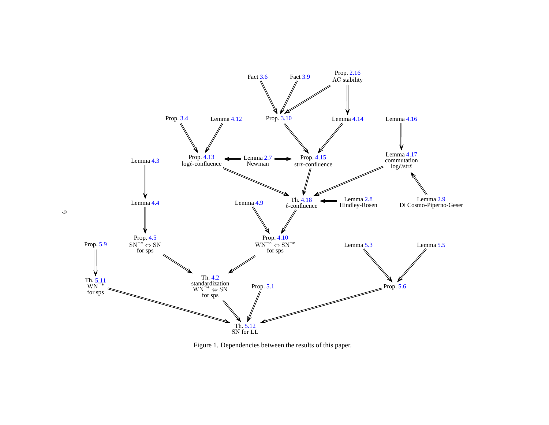<span id="page-8-0"></span>

Figure 1. Dependencies between the results of this paper.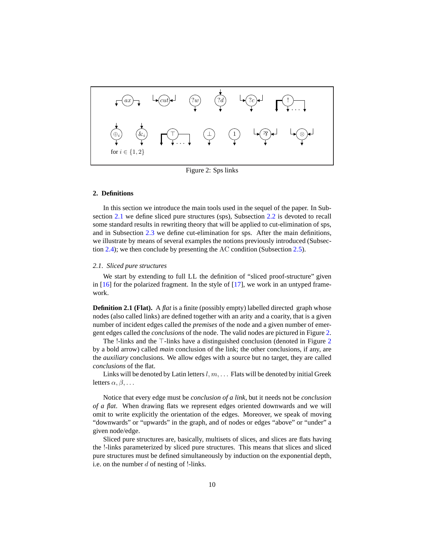<span id="page-9-3"></span>

Figure 2: Sps links

### <span id="page-9-0"></span>**2. Definitions**

In this section we introduce the main tools used in the sequel of the paper. In Subsection [2.1](#page-9-1) we define sliced pure structures (sps), Subsection [2.2](#page-11-0) is devoted to recall some standard results in rewriting theory that will be applied to cut-elimination of sps, and in Subsection [2.3](#page-13-0) we define cut-elimination for sps. After the main definitions, we illustrate by means of several examples the notions previously introduced (Subsection [2.4\)](#page-18-0); we then conclude by presenting the AC condition (Subsection [2.5\)](#page-22-2).

### <span id="page-9-1"></span>*2.1. Sliced pure structures*

We start by extending to full LL the definition of "sliced proof-structure" given in [\[16\]](#page-60-5) for the polarized fragment. In the style of [\[17](#page-60-9)], we work in an untyped framework.

**Definition 2.1 (Flat).** A *flat* is a finite (possibly empty) labelled directed graph whose nodes (also called links) are defined together with an arity and a coarity, that is a given number of incident edges called the *premises* of the node and a given number of emergent edges called the *conclusions* of the node. The valid nodes are pictured in Figure [2.](#page-9-3)

The !-links and the ⊤-links have a distinguished conclusion (denoted in Figure [2](#page-9-3) by a bold arrow) called *main* conclusion of the link; the other conclusions, if any, are the *auxiliary* conclusions. We allow edges with a source but no target, they are called *conclusions* of the flat.

Links will be denoted by Latin letters  $l, m, \ldots$  Flats will be denoted by initial Greek letters  $\alpha, \beta, \ldots$ 

Notice that every edge must be *conclusion of a link*, but it needs not be *conclusion of a flat*. When drawing flats we represent edges oriented downwards and we will omit to write explicitly the orientation of the edges. Moreover, we speak of moving "downwards" or "upwards" in the graph, and of nodes or edges "above" or "under" a given node/edge.

<span id="page-9-2"></span>Sliced pure structures are, basically, multisets of slices, and slices are flats having the !-links parameterized by sliced pure structures. This means that slices and sliced pure structures must be defined simultaneously by induction on the exponential depth, i.e. on the number  $d$  of nesting of !-links.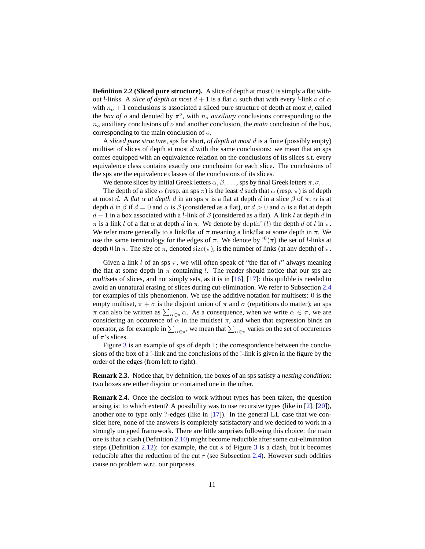**Definition 2.2 (Sliced pure structure).** A slice of depth at most 0 is simply a flat without !-links. A *slice of depth at most*  $d + 1$  is a flat  $\alpha$  such that with every !-link  $\alpha$  of  $\alpha$ with  $n<sub>o</sub> + 1$  conclusions is associated a sliced pure structure of depth at most d, called the *box of*  $o$  and denoted by  $\pi^o$ , with  $n_o$  *auxiliary* conclusions corresponding to the  $n<sub>o</sub>$  auxiliary conclusions of  $o$  and another conclusion, the *main* conclusion of the box, corresponding to the main conclusion of o.

A *sliced pure structure*, sps for short, *of depth at most* d is a finite (possibly empty) multiset of slices of depth at most  $d$  with the same conclusions: we mean that an sps comes equipped with an equivalence relation on the conclusions of its slices s.t. every equivalence class contains exactly one conclusion for each slice. The conclusions of the sps are the equivalence classes of the conclusions of its slices.

We denote slices by initial Greek letters  $\alpha, \beta, \ldots$ , sps by final Greek letters  $\pi, \sigma, \ldots$ 

The depth of a slice  $\alpha$  (resp. an sps  $\pi$ ) is the least d such that  $\alpha$  (resp.  $\pi$ ) is of depth at most d. A *flat*  $\alpha$  *at depth* d in an sps  $\pi$  is a flat at depth d in a slice  $\beta$  of  $\pi$ ;  $\alpha$  is at depth d in  $\beta$  if  $d = 0$  and  $\alpha$  is  $\beta$  (considered as a flat), or  $d > 0$  and  $\alpha$  is a flat at depth  $d-1$  in a box associated with a !-link of  $\beta$  (considered as a flat). A link l at depth d in  $\pi$  is a link l of a flat  $\alpha$  at depth d in  $\pi$ . We denote by depth  $\pi$  (l) the depth d of l in  $\pi$ . We refer more generally to a link/flat of  $\pi$  meaning a link/flat at some depth in  $\pi$ . We use the same terminology for the edges of  $\pi$ . We denote by  $!^0(\pi)$  the set of !-links at depth 0 in  $\pi$ . The *size* of  $\pi$ , denoted size( $\pi$ ), is the number of links (at any depth) of  $\pi$ .

Given a link  $l$  of an sps  $\pi$ , we will often speak of "the flat of  $l$ " always meaning the flat at some depth in  $\pi$  containing l. The reader should notice that our sps are *multisets* of slices, and not simply sets, as it is in [\[16](#page-60-5)], [\[17](#page-60-9)]: this quibble is needed to avoid an unnatural erasing of slices during cut-elimination. We refer to Subsection [2.4](#page-18-0) for examples of this phenomenon. We use the additive notation for multisets: 0 is the empty multiset,  $\pi + \sigma$  is the disjoint union of  $\pi$  and  $\sigma$  (repetitions do matter); an sps  $\pi$  can also be written as  $\sum_{\alpha \in \pi} \alpha$ . As a consequence, when we write  $\alpha \in \pi$ , we are considering an occurence of  $\alpha$  in the multiset  $\pi$ , and when that expression binds an operator, as for example in  $\sum_{\alpha\in\pi}$ , we mean that  $\sum_{\alpha\in\pi}$  varies on the set of occurences of  $\pi$ 's slices.

Figure [3](#page-11-1) is an example of sps of depth 1; the correspondence between the conclusions of the box of a !-link and the conclusions of the !-link is given in the figure by the order of the edges (from left to right).

**Remark 2.3.** Notice that, by definition, the boxes of an sps satisfy a *nesting condition*: two boxes are either disjoint or contained one in the other.

**Remark 2.4.** Once the decision to work without types has been taken, the question arising is: to which extent? A possibility was to use recursive types (like in [\[2\]](#page-59-6), [\[20](#page-60-10)]), another one to type only ?-edges (like in  $[17]$ ). In the general LL case that we consider here, none of the answers is completely satisfactory and we decided to work in a strongly untyped framework. There are little surprises following this choice: the main one is that a clash (Definition [2.10\)](#page-13-1) might become reducible after some cut-elimination steps (Definition [2.12\)](#page-14-0): for example, the cut s of Figure [3](#page-11-1) is a clash, but it becomes reducible after the reduction of the cut  $r$  (see Subsection [2.4\)](#page-18-0). However such oddities cause no problem w.r.t. our purposes.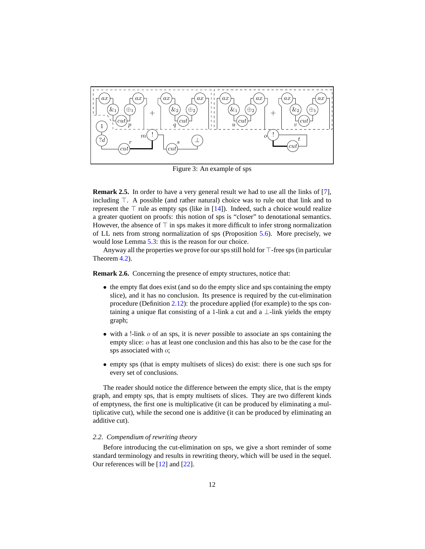<span id="page-11-1"></span>

Figure 3: An example of sps

<span id="page-11-2"></span>**Remark 2.5.** In order to have a very general result we had to use all the links of [\[7\]](#page-59-4), including ⊤. A possible (and rather natural) choice was to rule out that link and to represent the  $\top$  rule as empty sps (like in [\[14\]](#page-59-13)). Indeed, such a choice would realize a greater quotient on proofs: this notion of sps is "closer" to denotational semantics. However, the absence of  $\top$  in sps makes it more difficult to infer strong normalization of LL nets from strong normalization of sps (Proposition [5.6\)](#page-55-0). More precisely, we would lose Lemma [5.3:](#page-54-2) this is the reason for our choice.

Anyway all the properties we prove for our sps still hold for ⊤-free sps (in particular Theorem [4.2\)](#page-37-0).

<span id="page-11-3"></span>**Remark 2.6.** Concerning the presence of empty structures, notice that:

- the empty flat does exist (and so do the empty slice and sps containing the empty slice), and it has no conclusion. Its presence is required by the cut-elimination procedure (Definition [2.12\)](#page-14-0): the procedure applied (for example) to the sps containing a unique flat consisting of a 1-link a cut and a  $\perp$ -link yields the empty graph;
- with a !-link o of an sps, it is *never* possible to associate an sps containing the empty slice: o has at least one conclusion and this has also to be the case for the sps associated with o;
- empty sps (that is empty multisets of slices) do exist: there is one such sps for every set of conclusions.

The reader should notice the difference between the empty slice, that is the empty graph, and empty sps, that is empty multisets of slices. They are two different kinds of emptyness, the first one is multiplicative (it can be produced by eliminating a multiplicative cut), while the second one is additive (it can be produced by eliminating an additive cut).

#### <span id="page-11-0"></span>*2.2. Compendium of rewriting theory*

Before introducing the cut-elimination on sps, we give a short reminder of some standard terminology and results in rewriting theory, which will be used in the sequel. Our references will be [\[12](#page-59-12)] and [\[22](#page-60-6)].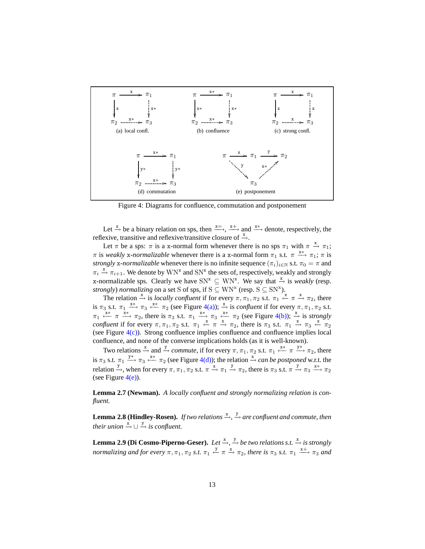<span id="page-12-6"></span><span id="page-12-5"></span><span id="page-12-4"></span><span id="page-12-3"></span><span id="page-12-2"></span><span id="page-12-1"></span><span id="page-12-0"></span>

<span id="page-12-7"></span>Figure 4: Diagrams for confluence, commutation and postponement

Let  $\stackrel{x}{\rightarrow}$  be a binary relation on sps, then  $\stackrel{x=}{\longrightarrow}$ ,  $\stackrel{x+}{\longrightarrow}$  and  $\stackrel{x*}{\longrightarrow}$  denote, respectively, the reflexive, transitive and reflexive/transitive closure of  $\stackrel{x}{\rightarrow}$ .

Let  $\pi$  be a sps:  $\pi$  is a x-normal form whenever there is no sps  $\pi_1$  with  $\pi \stackrel{x}{\rightarrow} \pi_1$ ;  $\pi$  is *weakly* x-normalizable whenever there is a x-normal form  $\pi_1$  s.t.  $\pi \xrightarrow{x^*} \pi_1$ ;  $\pi$  is *strongly* x-*normalizable* whenever there is no infinite sequence  $(\pi_i)_{i \in \mathbb{N}}$  s.t.  $\pi_0 = \pi$  and  $\pi_i \stackrel{x}{\rightarrow} \pi_{i+1}$ . We denote by  $WN^x$  and  $SN^x$  the sets of, respectively, weakly and strongly x-normalizable sps. Clearly we have  $SN^x \subseteq WN^x$ . We say that  $\stackrel{x}{\rightarrow}$  is *weakly* (resp. *strongly) normalizing* on a set S of sps, if  $S \subseteq WN^x$  (resp.  $S \subseteq SN^x$ ).

The relation  $\stackrel{x}{\rightarrow}$  is *locally confluent* if for every  $\pi, \pi_1, \pi_2$  s.t.  $\pi_1 \stackrel{x}{\leftarrow} \pi \stackrel{x}{\rightarrow} \pi_2$ , there is  $\pi_3$  s.t.  $\pi_1 \stackrel{x*}{\longrightarrow} \pi_3 \stackrel{x*}{\longleftarrow} \pi_2$  (see Figure [4\(a\)\)](#page-12-3);  $\stackrel{x}{\rightarrow}$  is *confluent* if for every  $\pi, \pi_1, \pi_2$  s.t.  $\pi_1 \stackrel{x*}{\longleftarrow} \pi \stackrel{x*}{\longrightarrow} \pi_2$ , there is  $\pi_3$  s.t.  $\pi_1 \stackrel{x*}{\longrightarrow} \pi_3 \stackrel{x*}{\longleftarrow} \pi_2$  (see Figure [4\(b\)\)](#page-12-4);  $\stackrel{x}{\rightarrow}$  is *strongly confluent* if for every  $\pi, \pi_1, \pi_2$  s.t.  $\pi_1 \stackrel{x}{\leftarrow} \pi \stackrel{x}{\rightarrow} \pi_2$ , there is  $\pi_3$  s.t.  $\pi_1 \stackrel{x}{\rightarrow} \pi_3 \stackrel{x}{\leftarrow} \pi_2$ (see Figure  $4(c)$ ). Strong confluence implies confluence and confluence implies local confluence, and none of the converse implications holds (as it is well-known).

Two relations  $\stackrel{x}{\rightarrow}$  and  $\stackrel{y}{\rightarrow}$  *commute*, if for every  $\pi, \pi_1, \pi_2$  s.t.  $\pi_1 \stackrel{x}{\leftarrow} \pi \stackrel{y}{\rightarrow} \pi_2$ , there is  $\pi_3$  s.t.  $\pi_1 \stackrel{y*}{\longrightarrow} \pi_3 \stackrel{x*}{\longleftarrow} \pi_2$  (see Figure [4\(d\)\)](#page-12-6); the relation  $\stackrel{x}{\rightarrow}$  *can be postponed* w.r.t. the relation  $\stackrel{y}{\rightarrow}$ , when for every  $\pi$ ,  $\pi_1$ ,  $\pi_2$  s.t.  $\pi \stackrel{x}{\rightarrow} \pi_1 \stackrel{y}{\rightarrow} \pi_2$ , there is  $\pi_3$  s.t.  $\pi \stackrel{y}{\rightarrow} \pi_3 \stackrel{x}{\rightarrow} \pi_2$ (see Figure  $4(e)$ ).

<span id="page-12-9"></span>**Lemma 2.7 (Newman).** *A locally confluent and strongly normalizing relation is confluent.*

<span id="page-12-8"></span>**Lemma 2.8 (Hindley-Rosen).** *If two relations*  $\stackrel{x}{\rightarrow}$ ,  $\stackrel{y}{\rightarrow}$  *are confluent and commute, then their union*  $\stackrel{x}{\rightarrow} \cup \stackrel{y}{\rightarrow}$  *is confluent.* 

<span id="page-12-10"></span>**Lemma 2.9 (Di Cosmo-Piperno-Geser).** *Let*  $\stackrel{x}{\rightarrow}$ ,  $\stackrel{y}{\rightarrow}$  *be two relations s.t.*  $\stackrel{x}{\rightarrow}$  *is strongly normalizing and for every*  $\pi$ ,  $\pi_1$ ,  $\pi_2$  *s.t.*  $\pi_1 \stackrel{y}{\leftarrow} \pi \stackrel{x}{\rightarrow} \pi_2$ *, there is*  $\pi_3$  *s.t.*  $\pi_1 \stackrel{x+}{\longrightarrow} \pi_3$  *and*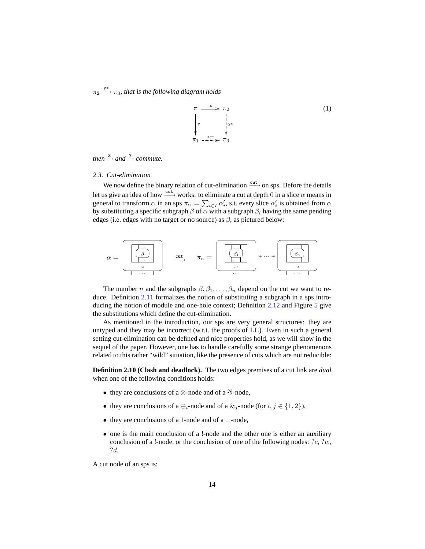$\pi_2 \stackrel{y*}{\longrightarrow} \pi_3$ , that is the following diagram holds

$$
\pi \xrightarrow{\mathbf{x}} \pi_2
$$
\n
$$
\begin{array}{ccc}\n & \downarrow & \downarrow & \downarrow \\
 & \downarrow & \downarrow & \downarrow \\
 & \downarrow & \downarrow & \downarrow \\
 & \pi_1 \xrightarrow{\mathbf{x} +} \pi_3\n\end{array} (1)
$$

# <span id="page-13-0"></span> $then \stackrel{x}{\rightarrow} and \stackrel{y}{\rightarrow} commute.$

### *2.3. Cut-elimination*

We now define the binary relation of cut-elimination  $\xrightarrow{\text{cut}}$  on sps. Before the details let us give an idea of how  $\frac{\text{cut}}{\longrightarrow}$  works: to eliminate a cut at depth 0 in a slice  $\alpha$  means in general to transform  $\alpha$  in an sps  $\pi_{\alpha} = \sum_{i \in I} \alpha'_i$ , s.t. every slice  $\alpha'_i$  is obtained from  $\alpha$ by substituting a specific subgraph  $\beta$  of  $\alpha$  with a subgraph  $\beta_i$  having the same pending edges (i.e. edges with no target or no source) as  $\beta$ , as pictured below:



The number *n* and the subgraphs  $\beta$ ,  $\beta$ <sub>1</sub>, . . . . ,  $\beta$ <sub>n</sub> depend on the cut we want to reduce. Definition [2.11](#page-14-1) formalizes the notion of substituting a subgraph in a sps introducing the notion of module and one-hole context; Definition [2.12](#page-14-0) and Figure [5](#page-17-0) give the substitutions which define the cut-elimination.

As mentioned in the introduction, our sps are very general structures: they are untyped and they may be incorrect (w.r.t. the proofs of LL). Even in such a general setting cut-elimination can be defined and nice properties hold, as we will show in the sequel of the paper. However, one has to handle carefully some strange phenomenons related to this rather "wild" situation, like the presence of cuts which are not reducible:

<span id="page-13-1"></span>**Definition 2.10 (Clash and deadlock).** The two edges premises of a cut link are *dual* when one of the following conditions holds:

- they are conclusions of a  $\otimes$ -node and of a  $\mathcal{P}$ -node,
- they are conclusions of a  $\oplus_i$ -node and of a  $\&_i$ -node (for  $i, j \in \{1, 2\}$ ),
- they are conclusions of a 1-node and of a ⊥-node,
- one is the main conclusion of a !-node and the other one is either an auxiliary conclusion of a !-node, or the conclusion of one of the following nodes:  $?c, ?w$ , ?d.

A cut node of an sps is: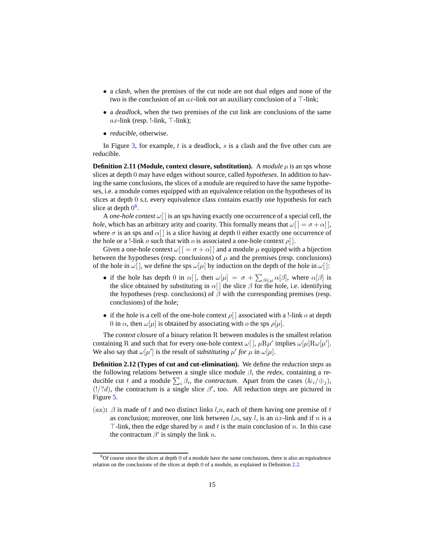- a *clash*, when the premises of the cut node are not dual edges and none of the two is the conclusion of an  $ax$ -link nor an auxiliary conclusion of a  $\top$ -link;
- a *deadlock*, when the two premises of the cut link are conclusions of the same ax-link (resp. !-link,  $\top$ -link);
- *reducible*, otherwise.

<span id="page-14-1"></span>In Figure [3,](#page-11-1) for example,  $t$  is a deadlock,  $s$  is a clash and the five other cuts are reducible.

**Definition 2.11 (Module, context closure, substitution).** A *module*  $\mu$  is an sps whose slices at depth 0 may have edges without source, called *hypotheses*. In addition to having the same conclusions, the slices of a module are required to have the same hypotheses, i.e. a module comes equipped with an equivalence relation on the hypotheses of its slices at depth 0 s.t. every equivalence class contains exactly one hypothesis for each slice at depth  $0^8$  $0^8$ .

A *one-hole context*  $\omega$ [] is an sps having exactly one occurrence of a special cell, the *hole*, which has an arbitrary arity and coarity. This formally means that  $\omega[\,] = \sigma + \alpha[$ , where  $\sigma$  is an sps and  $\alpha$ [] is a slice having at depth 0 either exactly one occurrence of the hole or a !-link o such that with o is associated a one-hole context  $\rho$ [].

Given a one-hole context  $\omega$ [] =  $\sigma$  +  $\alpha$ [] and a module  $\mu$  equipped with a bijection between the hypotheses (resp. conclusions) of  $\mu$  and the premises (resp. conclusions) of the hole in  $\omega$ [], we define the sps  $\omega[\mu]$  by induction on the depth of the hole in  $\omega$ []:

- if the hole has depth 0 in  $\alpha$ [], then  $\omega[\mu] = \sigma + \sum_{\beta \in \mu} \alpha[\beta]$ , where  $\alpha[\beta]$  is the slice obtained by substituting in  $\alpha$ [] the slice  $\beta$  for the hole, i.e. identifying the hypotheses (resp. conclusions) of  $\beta$  with the corresponding premises (resp. conclusions) of the hole;
- if the hole is a cell of the one-hole context  $\rho$ [] associated with a !-link  $\sigma$  at depth 0 in  $\alpha$ , then  $\omega[\mu]$  is obtained by associating with  $\alpha$  the sps  $\rho[\mu]$ .

The *context closure* of a binary relation R between modules is the smallest relation containing R and such that for every one-hole context  $\omega[$ ,  $\mu R\mu'$  implies  $\omega[\mu]R\omega[\mu']$ . We also say that  $\omega[\mu']$  is the result of *substituting*  $\mu'$  for  $\mu$  in  $\omega[\mu]$ .

<span id="page-14-0"></span>**Definition 2.12 (Types of cut and cut-elimination).** We define the *reduction steps* as the following relations between a single slice module  $\beta$ , the *redex*, containing a reducible cut t and a module  $\sum_i \beta_i$ , the *contractum*. Apart from the cases  $(\&i/\oplus j)$ ,  $(!/?d)$ , the contractum is a single slice  $\beta'$ , too. All reduction steps are pictured in Figure [5.](#page-17-0)

(ax):  $\beta$  is made of t and two distinct links l,n, each of them having one premise of t as conclusion; moreover, one link between  $l, n$ , say  $l$ , is an  $ax$ -link and if n is a  $\top$ -link, then the edge shared by n and t is the main conclusion of n. In this case the contractum  $\beta'$  is simply the link n.

<span id="page-14-2"></span> $8$ Of course since the slices at depth 0 of a module have the same conclusions, there is also an equivalence relation on the conclusions of the slices at depth 0 of a module, as explained in Definition [2.2.](#page-9-2)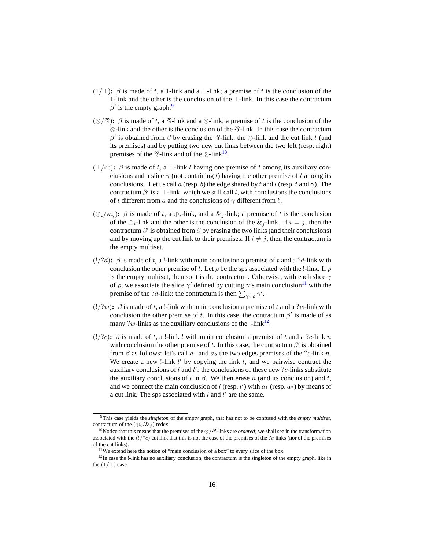- $(1/\perp)$ :  $\beta$  is made of t, a 1-link and a  $\perp$ -link; a premise of t is the conclusion of the 1-link and the other is the conclusion of the ⊥-link. In this case the contractum  $\beta'$  is the empty graph.<sup>[9](#page-15-0)</sup>
- ( $\otimes$ / $\hat{\gamma}$ ):  $\beta$  is made of t, a  $\hat{\gamma}$ -link and a  $\otimes$ -link; a premise of t is the conclusion of the  $\otimes$ -link and the other is the conclusion of the  $\mathcal{R}$ -link. In this case the contractum β' is obtained from β by erasing the  $\mathcal{R}$ -link, the  $\otimes$ -link and the cut link t (and its premises) and by putting two new cut links between the two left (resp. right) premises of the  $\mathcal{R}$ -link and of the  $\otimes$ -link<sup>[10](#page-15-1)</sup>.
- ( $\top$ /cc):  $\beta$  is made of t, a  $\top$ -link l having one premise of t among its auxiliary conclusions and a slice  $\gamma$  (not containing l) having the other premise of t among its conclusions. Let us call a (resp. b) the edge shared by t and l (resp. t and  $\gamma$ ). The contractum  $\beta'$  is a  $\top$ -link, which we still call l, with conclusions the conclusions of l different from a and the conclusions of  $\gamma$  different from b.
- $(\bigoplus_i/\&_i)$ :  $\beta$  is made of t, a  $\bigoplus_i$ -link, and a  $\&_i$ -link; a premise of t is the conclusion of the  $\bigoplus_i$ -link and the other is the conclusion of the  $\&i$ -link. If  $i = j$ , then the contractum  $\beta'$  is obtained from  $\beta$  by erasing the two links (and their conclusions) and by moving up the cut link to their premises. If  $i \neq j$ , then the contractum is the empty multiset.
- $(!/?d)$ :  $\beta$  is made of t, a !-link with main conclusion a premise of t and a  $?d$ -link with conclusion the other premise of t. Let  $\rho$  be the sps associated with the !-link. If  $\rho$ is the empty multiset, then so it is the contractum. Otherwise, with each slice  $\gamma$ of  $\rho$ , we associate the slice  $\gamma'$  defined by cutting  $\gamma'$ s main conclusion<sup>[11](#page-15-2)</sup> with the premise of the ?*d*-link: the contractum is then  $\sum_{\gamma \in \rho} \gamma'$ .
- $(!/?w)$ :  $\beta$  is made of t, a !-link with main conclusion a premise of t and a ?w-link with conclusion the other premise of t. In this case, the contractum  $\beta'$  is made of as many ?w-links as the auxiliary conclusions of the  $1$ -link $12$ .
- $(!/?c)$ **:**  $\beta$  is made of t, a !-link l with main conclusion a premise of t and a ?c-link n with conclusion the other premise of t. In this case, the contractum  $\beta'$  is obtained from  $\beta$  as follows: let's call  $a_1$  and  $a_2$  the two edges premises of the ?c-link n. We create a new !-link  $l'$  by copying the link  $l$ , and we pairwise contract the auxiliary conclusions of l and l': the conclusions of these new ?c-links substitute the auxiliary conclusions of l in  $\beta$ . We then erase n (and its conclusion) and t, and we connect the main conclusion of  $l$  (resp.  $l'$ ) with  $a_1$  (resp.  $a_2$ ) by means of a cut link. The sps associated with  $l$  and  $l'$  are the same.

<sup>9</sup>This case yields the *singleton* of the empty graph, that has not to be confused with the *empty multiset*, contractum of the  $(\bigoplus_i/\&i)$  redex.

<span id="page-15-1"></span><span id="page-15-0"></span><sup>&</sup>lt;sup>10</sup>Notice that this means that the premises of the ⊗/<sup>2</sup>?-links are *ordered*; we shall see in the transformation associated with the  $(!/?c)$  cut link that this is not the case of the premises of the ?c-links (nor of the premises of the cut links).

<span id="page-15-2"></span><sup>&</sup>lt;sup>11</sup>We extend here the notion of "main conclusion of a box" to every slice of the box.

<span id="page-15-3"></span> $12$ In case the !-link has no auxiliary conclusion, the contractum is the singleton of the empty graph, like in the  $(1/\perp)$  case.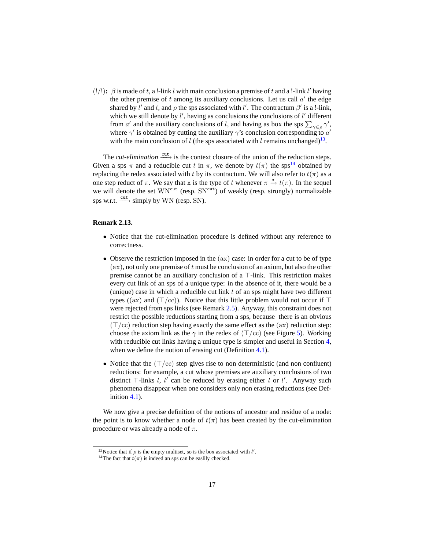(!/!):  $\beta$  is made of t, a !-link l with main conclusion a premise of t and a !-link l' having the other premise of  $t$  among its auxiliary conclusions. Let us call  $a'$  the edge shared by l' and t, and  $\rho$  the sps associated with l'. The contractum  $\beta'$  is a !-link, which we still denote by  $l'$ , having as conclusions the conclusions of  $l'$  different from a' and the auxiliary conclusions of l, and having as box the sps  $\sum_{\gamma \in \rho} \gamma'$ , where  $\gamma'$  is obtained by cutting the auxiliary  $\gamma$ 's conclusion corresponding to  $a'$ with the main conclusion of l (the sps associated with l remains unchanged)<sup>[13](#page-16-0)</sup>.

The *cut-elimination*  $\frac{cut}{ }$  is the context closure of the union of the reduction steps. Given a sps  $\pi$  and a reducible cut t in  $\pi$ , we denote by  $t(\pi)$  the sps<sup>[14](#page-16-1)</sup> obtained by replacing the redex associated with t by its contractum. We will also refer to  $t(\pi)$  as a one step reduct of  $\pi$ . We say that x is the type of t whenever  $\pi \stackrel{x}{\rightarrow} t(\pi)$ . In the sequel we will denote the set WN<sup>cut</sup> (resp. SN<sup>cut</sup>) of weakly (resp. strongly) normalizable sps w.r.t.  $\xrightarrow{\text{cut}}$  simply by WN (resp. SN).

## <span id="page-16-3"></span>**Remark 2.13.**

- Notice that the cut-elimination procedure is defined without any reference to correctness.
- Observe the restriction imposed in the (ax) case: in order for a cut to be of type  $(ax)$ , not only one premise of t must be conclusion of an axiom, but also the other premise cannot be an auxiliary conclusion of a ⊤-link. This restriction makes every cut link of an sps of a unique type: in the absence of it, there would be a (unique) case in which a reducible cut link  $t$  of an sps might have two different types ((ax) and (⊤/cc)). Notice that this little problem would not occur if ⊤ were rejected from sps links (see Remark [2.5\)](#page-11-2). Anyway, this constraint does not restrict the possible reductions starting from a sps, because there is an obvious  $(\top/cc)$  reduction step having exactly the same effect as the  $(ax)$  reduction step: choose the axiom link as the  $\gamma$  in the redex of (⊤/cc) (see Figure [5\)](#page-17-0). Working with reducible cut links having a unique type is simpler and useful in Section [4,](#page-37-1) when we define the notion of erasing cut (Definition [4.1\)](#page-37-2).
- Notice that the  $(\top/cc)$  step gives rise to non deterministic (and non confluent) reductions: for example, a cut whose premises are auxiliary conclusions of two distinct  $\top$ -links l, l' can be reduced by erasing either l or l'. Anyway such phenomena disappear when one considers only non erasing reductions (see Definition [4.1\)](#page-37-2).

<span id="page-16-2"></span>We now give a precise definition of the notions of ancestor and residue of a node: the point is to know whether a node of  $t(\pi)$  has been created by the cut-elimination procedure or was already a node of  $π$ .

<sup>&</sup>lt;sup>13</sup>Notice that if  $\rho$  is the empty multiset, so is the box associated with  $l'$ .

<span id="page-16-1"></span><span id="page-16-0"></span><sup>&</sup>lt;sup>14</sup>The fact that  $t(\pi)$  is indeed an sps can be easlily checked.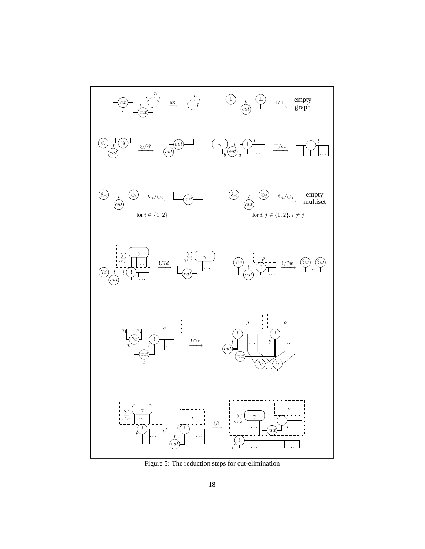<span id="page-17-0"></span>

Figure 5: The reduction steps for cut-elimination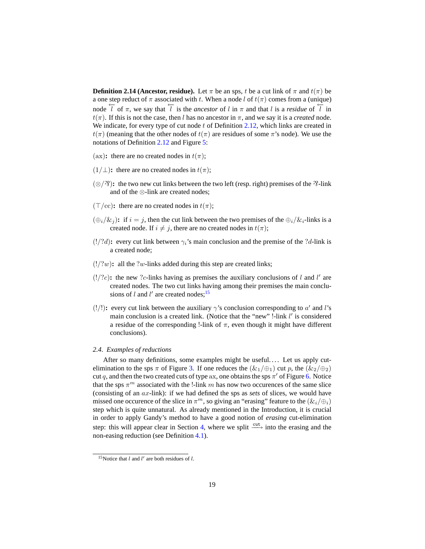**Definition 2.14 (Ancestor, residue).** Let  $\pi$  be an sps, t be a cut link of  $\pi$  and  $t(\pi)$  be a one step reduct of  $\pi$  associated with t. When a node l of  $t(\pi)$  comes from a (unique) node  $\overline{l}$  of  $\pi$ , we say that  $\overline{l}$  is the *ancestor* of l in  $\pi$  and that l is a *residue* of  $\overline{l}$  in  $t(\pi)$ . If this is not the case, then l has no ancestor in  $\pi$ , and we say it is a *created* node. We indicate, for every type of cut node  $t$  of Definition [2.12,](#page-14-0) which links are created in  $t(\pi)$  (meaning that the other nodes of  $t(\pi)$  are residues of some  $\pi$ 's node). We use the notations of Definition [2.12](#page-14-0) and Figure [5:](#page-17-0)

- (ax): there are no created nodes in  $t(\pi)$ ;
- $(1/\perp)$ : there are no created nodes in  $t(\pi)$ ;
- $(\otimes$ / $\hat{\gamma}$ ): the two new cut links between the two left (resp. right) premises of the  $\hat{\gamma}$ -link and of the ⊗-link are created nodes;
- $(T/\text{cc})$ : there are no created nodes in  $t(\pi)$ ;
- $(\bigoplus_i/\&_i)$ : if  $i = j$ , then the cut link between the two premises of the  $\bigoplus_i/\&_i$ -links is a created node. If  $i \neq j$ , there are no created nodes in  $t(\pi)$ ;
- $(!/?d)$ : every cut link between  $\gamma_i$ 's main conclusion and the premise of the ?d-link is a created node;
- $(!/?w)$ : all the ?w-links added during this step are created links;
- $(1/?c)$ : the new ?c-links having as premises the auxiliary conclusions of l and l' are created nodes. The two cut links having among their premises the main conclusions of  $l$  and  $l'$  are created nodes;<sup>[15](#page-18-1)</sup>
- (!/!): every cut link between the auxiliary  $\gamma$ 's conclusion corresponding to a' and l's main conclusion is a created link. (Notice that the "new" !-link  $l'$  is considered a residue of the corresponding !-link of  $\pi$ , even though it might have different conclusions).

# <span id="page-18-0"></span>*2.4. Examples of reductions*

After so many definitions, some examples might be useful.... Let us apply cutelimination to the sps  $\pi$  of Figure [3.](#page-11-1) If one reduces the  $(\&_1/\oplus_1)$  cut p, the  $(\&_2/\oplus_2)$ cut q, and then the two created cuts of type ax, one obtains the sps  $\pi'$  of Figure [6.](#page-19-0) Notice that the sps  $\pi^m$  associated with the !-link m has now two occurences of the same slice (consisting of an ax-link): if we had defined the sps as *sets* of slices, we would have missed one occurence of the slice in  $\pi^m$ , so giving an "erasing" feature to the  $(\&i \cdot/\oplus i)$ step which is quite unnatural. As already mentioned in the Introduction, it is crucial in order to apply Gandy's method to have a good notion of *erasing* cut-elimination step: this will appear clear in Section [4,](#page-37-1) where we split  $\frac{\text{cut}}{\text{cut}}$  into the erasing and the non-easing reduction (see Definition [4.1\)](#page-37-2).

<span id="page-18-1"></span><sup>&</sup>lt;sup>15</sup>Notice that  $l$  and  $l'$  are both residues of  $l$ .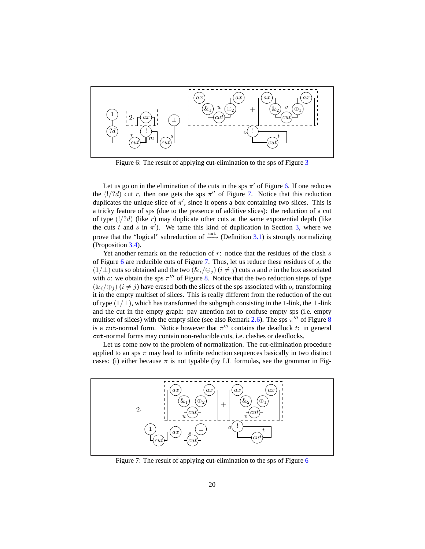<span id="page-19-0"></span>

Figure 6: The result of applying cut-elimination to the sps of Figure [3](#page-11-1)

Let us go on in the elimination of the cuts in the sps  $\pi'$  of Figure [6.](#page-19-0) If one reduces the  $(!/?d)$  cut r, then one gets the sps  $\pi''$  of Figure [7.](#page-19-1) Notice that this reduction duplicates the unique slice of  $\pi'$ , since it opens a box containing two slices. This is a tricky feature of sps (due to the presence of additive slices): the reduction of a cut of type  $(!/d)$  (like r) may duplicate other cuts at the same exponential depth (like the cuts t and s in  $\pi'$ ). We tame this kind of duplication in Section [3,](#page-24-0) where we prove that the "logical" subreduction of  $\xrightarrow{\text{cut}}$  (Definition [3.1\)](#page-24-1) is strongly normalizing (Proposition [3.4\)](#page-25-0).

Yet another remark on the reduction of  $r$ : notice that the residues of the clash  $s$ of Figure [6](#page-19-0) are reducible cuts of Figure [7.](#page-19-1) Thus, let us reduce these residues of  $s$ , the  $(1/\perp)$  cuts so obtained and the two  $(\&i_{i}/\oplus j)(i \neq j)$  cuts u and v in the box associated with o: we obtain the sps  $\pi^{\prime\prime\prime}$  of Figure [8.](#page-20-0) Notice that the two reduction steps of type  $(\&i \neq j)$  ( $i \neq j$ ) have erased both the slices of the sps associated with o, transforming it in the empty multiset of slices. This is really different from the reduction of the cut of type  $(1/\perp)$ , which has transformed the subgraph consisting in the 1-link, the  $\perp$ -link and the cut in the empty graph: pay attention not to confuse empty sps (i.e. empty multiset of slices) with the empty slice (see also Remark [2.6\)](#page-11-3). The sps  $\pi^{\prime\prime\prime}$  of Figure [8](#page-20-0) is a cut-normal form. Notice however that  $\pi^{\prime\prime\prime}$  contains the deadlock t: in general cut-normal forms may contain non-reducible cuts, i.e. clashes or deadlocks.

Let us come now to the problem of normalization. The cut-elimination procedure applied to an sps  $\pi$  may lead to infinite reduction sequences basically in two distinct cases: (i) either because  $\pi$  is not typable (by LL formulas, see the grammar in Fig-

<span id="page-19-1"></span>

Figure 7: The result of applying cut-elimination to the sps of Figure [6](#page-19-0)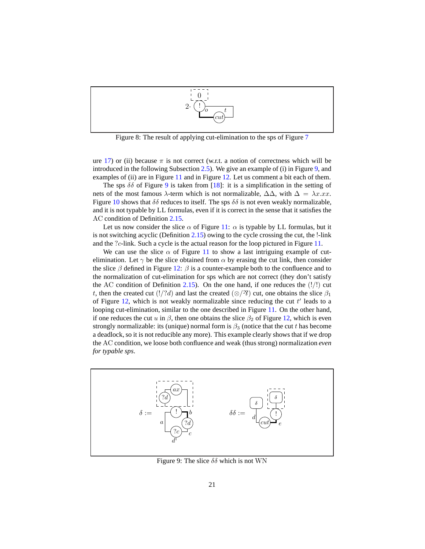<span id="page-20-0"></span>

Figure 8: The result of applying cut-elimination to the sps of Figure [7](#page-19-1)

ure [17\)](#page-48-2) or (ii) because  $\pi$  is not correct (w.r.t. a notion of correctness which will be introduced in the following Subsection [2.5\)](#page-22-2). We give an example of (i) in Figure [9,](#page-20-1) and examples of (ii) are in Figure [11](#page-21-1) and in Figure [12.](#page-22-0) Let us comment a bit each of them.

The sps  $\delta\delta$  of Figure [9](#page-20-1) is taken from [\[18\]](#page-60-4): it is a simplification in the setting of nets of the most famous  $\lambda$ -term which is not normalizable,  $\Delta\Delta$ , with  $\Delta = \lambda x.xx$ . Figure [10](#page-21-0) shows that  $\delta\delta$  reduces to itself. The sps  $\delta\delta$  is not even weakly normalizable, and it is not typable by LL formulas, even if it is correct in the sense that it satisfies the AC condition of Definition [2.15.](#page-22-1)

Let us now consider the slice  $\alpha$  of Figure [11:](#page-21-1)  $\alpha$  is typable by LL formulas, but it is not switching acyclic (Definition [2.15\)](#page-22-1) owing to the cycle crossing the cut, the !-link and the ?c-link. Such a cycle is the actual reason for the loop pictured in Figure [11.](#page-21-1)

We can use the slice  $\alpha$  of Figure [11](#page-21-1) to show a last intriguing example of cutelimination. Let  $\gamma$  be the slice obtained from  $\alpha$  by erasing the cut link, then consider the slice  $\beta$  defined in Figure [12:](#page-22-0)  $\beta$  is a counter-example both to the confluence and to the normalization of cut-elimination for sps which are not correct (they don't satisfy the AC condition of Definition [2.15\)](#page-22-1). On the one hand, if one reduces the  $(!/!)$  cut t, then the created cut (!/?d) and last the created ( $\otimes$ / $\hat{\gamma}$ ) cut, one obtains the slice  $\beta_1$ of Figure [12,](#page-22-0) which is not weakly normalizable since reducing the cut  $t'$  leads to a looping cut-elimination, similar to the one described in Figure [11.](#page-21-1) On the other hand, if one reduces the cut u in  $\beta$ , then one obtains the slice  $\beta_2$  of Figure [12,](#page-22-0) which is even strongly normalizable: its (unique) normal form is  $\beta_3$  (notice that the cut t has become a deadlock, so it is not reducible any more). This example clearly shows that if we drop the AC condition, we loose both confluence and weak (thus strong) normalization *even for typable sps*.

<span id="page-20-1"></span>

Figure 9: The slice  $\delta\delta$  which is not WN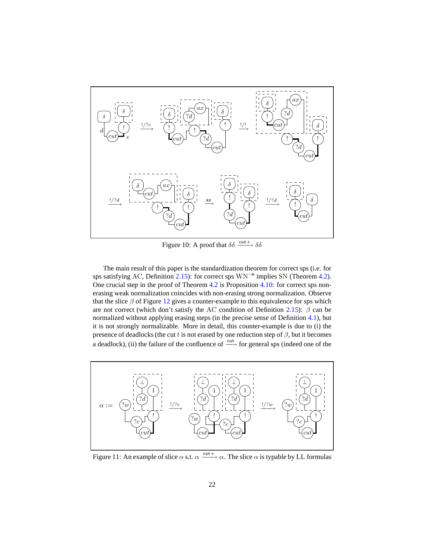<span id="page-21-0"></span>

Figure 10: A proof that  $\delta \delta \xrightarrow{\text{cut}+} \delta \delta$ 

The main result of this paper is the standardization theorem for correct sps (i.e. for sps satisfying AC, Definition  $2.15$ ): for correct sps  $WN^{-e}$  implies SN (Theorem [4.2\)](#page-37-0). One crucial step in the proof of Theorem [4.2](#page-37-0) is Proposition [4.10:](#page-40-0) for correct sps nonerasing weak normalization coincides with non-erasing strong normalization. Observe that the slice  $\beta$  of Figure [12](#page-22-0) gives a counter-example to this equivalence for sps which are not correct (which don't satisfy the AC condition of Definition [2.15\)](#page-22-1):  $\beta$  can be normalized without applying erasing steps (in the precise sense of Definition [4.1\)](#page-37-2), but it is not strongly normalizable. More in detail, this counter-example is due to (i) the presence of deadlocks (the cut t is not erased by one reduction step of  $\beta$ , but it becomes a deadlock), (ii) the failure of the confluence of  $\xrightarrow{\text{cut}}$  for general sps (indeed one of the

<span id="page-21-1"></span>

Figure 11: An example of slice  $\alpha$  s.t.  $\alpha \xrightarrow{\text{cut}+} \alpha$ . The slice  $\alpha$  is typable by LL formulas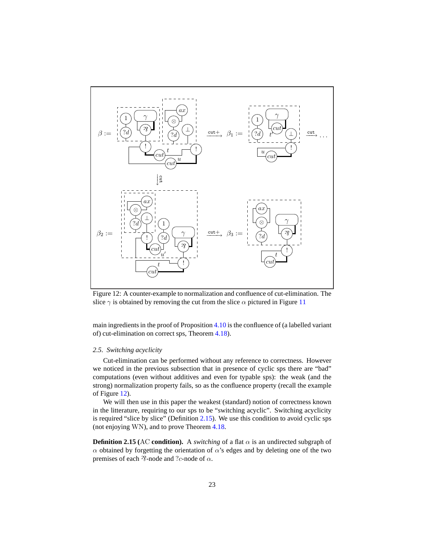<span id="page-22-0"></span>

Figure 12: A counter-example to normalization and confluence of cut-elimination. The slice  $\gamma$  is obtained by removing the cut from the slice  $\alpha$  pictured in Figure [11](#page-21-1)

main ingredients in the proof of Proposition [4.10](#page-40-0) is the confluence of (a labelled variant of) cut-elimination on correct sps, Theorem [4.18\)](#page-47-0).

## <span id="page-22-2"></span>*2.5. Switching acyclicity*

Cut-elimination can be performed without any reference to correctness. However we noticed in the previous subsection that in presence of cyclic sps there are "bad" computations (even without additives and even for typable sps): the weak (and the strong) normalization property fails, so as the confluence property (recall the example of Figure [12\)](#page-22-0).

We will then use in this paper the weakest (standard) notion of correctness known in the litterature, requiring to our sps to be "switching acyclic". Switching acyclicity is required "slice by slice" (Definition [2.15\)](#page-22-1). We use this condition to avoid cyclic sps (not enjoying WN), and to prove Theorem [4.18.](#page-47-0)

<span id="page-22-1"></span>**Definition 2.15** (AC **condition**). A *switching* of a flat  $\alpha$  is an undirected subgraph of α obtained by forgetting the orientation of α's edges and by deleting one of the two premises of each  $\mathcal{R}$ -node and ?c-node of  $\alpha$ .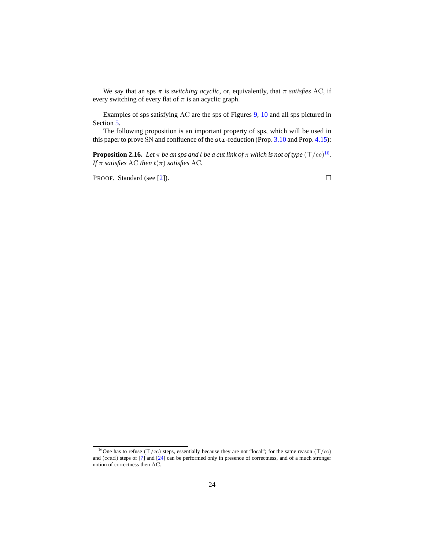We say that an sps  $\pi$  is *switching acyclic*, or, equivalently, that  $\pi$  *satisfies* AC, if every switching of every flat of  $\pi$  is an acyclic graph.

Examples of sps satisfying AC are the sps of Figures [9,](#page-20-1) [10](#page-21-0) and all sps pictured in Section [5.](#page-48-0)

The following proposition is an important property of sps, which will be used in this paper to prove SN and confluence of the str-reduction (Prop. [3.10](#page-29-0) and Prop. [4.15\)](#page-45-3):

**Proposition 2.[16](#page-23-1).** Let  $\pi$  be an sps and t be a cut link of  $\pi$  which is not of type  $(\top/{\rm cc})^{16}$ . *If*  $\pi$  *satisfies* AC *then*  $t(\pi)$  *satisfies* AC.

PROOF. Standard (see [\[2\]](#page-59-6)). □

<span id="page-23-0"></span>

<span id="page-23-1"></span><sup>16</sup>One has to refuse (⊤/cc) steps, essentially because they are not "local"; for the same reason (⊤/cc) and (ccad) steps of [\[7](#page-59-4)] and [\[24\]](#page-60-2) can be performed only in presence of correctness, and of a much stronger notion of correctness then AC.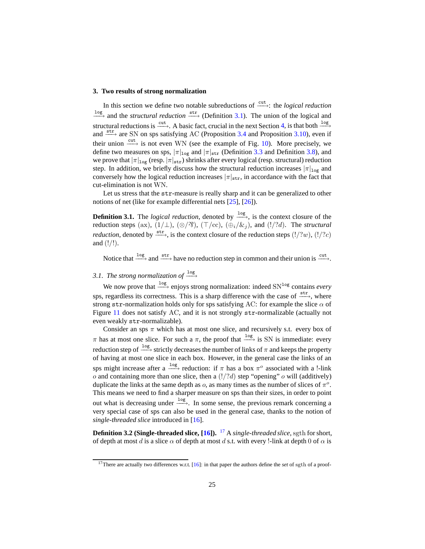### <span id="page-24-0"></span>**3. Two results of strong normalization**

In this section we define two notable subreductions of  $\frac{cut}{ }$  the *logical reduction* <sup>1og</sup> and the *structural reduction*  $\xrightarrow{\text{str}}$  (Definition [3.1\)](#page-24-1). The union of the logical and structural reductions is  $\xrightarrow{cut}$ . A basic fact, crucial in the next Section [4,](#page-37-1) is that both  $\xrightarrow{\log}$ and  $\xrightarrow{\text{str}}$  are SN on sps satisfying AC (Proposition [3.4](#page-25-0) and Proposition [3.10\)](#page-29-0), even if their union  $\xrightarrow{\text{cut}}$  is not even WN (see the example of Fig. [10\)](#page-21-0). More precisely, we define two measures on sps,  $|\pi|_{\text{log}}$  and  $|\pi|_{\text{str}}$  (Definition [3.3](#page-25-2) and Definition [3.8\)](#page-28-0), and we prove that  $|\pi|_{\text{log}}$  (resp.  $|\pi|_{\text{str}}$ ) shrinks after every logical (resp. structural) reduction step. In addition, we briefly discuss how the structural reduction increases  $|\pi|_{\text{log}}$  and conversely how the logical reduction increases  $|\pi|_{str}$ , in accordance with the fact that cut-elimination is not WN.

<span id="page-24-1"></span>Let us stress that the str-measure is really sharp and it can be generalized to other notions of net (like for example differential nets [\[25](#page-60-7)], [\[26\]](#page-60-8)).

**Definition 3.1.** The *logical reduction*, denoted by  $\frac{log}{ }$ , is the context closure of the reduction steps (ax),  $(1/\perp)$ ,  $(\otimes/\mathfrak{B})$ ,  $(\top/\text{cc})$ ,  $(\oplus_i/\mathfrak{B}_i)$ , and  $(!/?d)$ . The *structural reduction*, denoted by  $\xrightarrow{\text{str}}$ , is the context closure of the reduction steps (!/?w), (!/?c) and (!/!).

Notice that  $\frac{log}{100}$  and  $\frac{str}{100}$  have no reduction step in common and their union is  $\frac{cut}{100}$ .

# <span id="page-24-2"></span>3.1. The strong normalization of  $\frac{\log n}{n}$

We now prove that  $\frac{\log x}{\log y}$  enjoys strong normalization: indeed  $SN^{\log}$  contains *every* sps, regardless its correctness. This is a sharp difference with the case of  $\xrightarrow{\text{str}}$ , where strong str-normalization holds only for sps satisfying AC: for example the slice  $\alpha$  of Figure [11](#page-21-1) does not satisfy AC, and it is not strongly str-normalizable (actually not even weakly str-normalizable).

Consider an sps  $\pi$  which has at most one slice, and recursively s.t. every box of  $\pi$  has at most one slice. For such a  $\pi$ , the proof that  $\frac{log}{m}$  is SN is immediate: every reduction step of  $\frac{log}{2}$  strictly decreases the number of links of  $\pi$  and keeps the property of having at most one slice in each box. However, in the general case the links of an sps might increase after a  $\xrightarrow{\log}$  reduction: if  $\pi$  has a box  $\pi^o$  associated with a !-link  $o$  and containing more than one slice, then a  $(1/2d)$  step "opening"  $o$  will (additively) duplicate the links at the same depth as  $o$ , as many times as the number of slices of  $\pi^o$ . This means we need to find a sharper measure on sps than their sizes, in order to point out what is decreasing under  $\frac{log}{ }$ . In some sense, the previous remark concerning a very special case of sps can also be used in the general case, thanks to the notion of *single-threaded slice* introduced in [\[16\]](#page-60-5).

<span id="page-24-4"></span>**Definition 3.2 (Single-threaded slice, [\[16](#page-60-5)]).** <sup>[17](#page-24-3)</sup> A *single-threaded slice*, sgth for short, of depth at most d is a slice  $\alpha$  of depth at most d s.t. with every !-link at depth 0 of  $\alpha$  is

<span id="page-24-3"></span><sup>17</sup>There are actually two differences w.r.t. [\[16\]](#page-60-5): in that paper the authors define the *set* of sgth of a proof-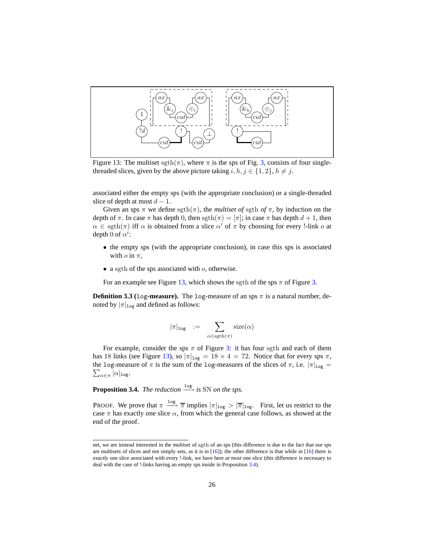<span id="page-25-3"></span><span id="page-25-1"></span>

Figure 13: The multiset sgth( $\pi$ ), where  $\pi$  is the sps of Fig. [3,](#page-11-1) consists of four singlethreaded slices, given by the above picture taking  $i, h, j \in \{1, 2\}, h \neq j$ .

associated either the empty sps (with the appropriate conclusion) or a single-threaded slice of depth at most  $d - 1$ .

Given an sps  $\pi$  we define sgth( $\pi$ ), the *multiset of* sgth *of*  $\pi$ , by induction on the depth of  $\pi$ . In case  $\pi$  has depth 0, then sgth $(\pi) = [\pi]$ ; in case  $\pi$  has depth  $d + 1$ , then  $\alpha \in \text{sgth}(\pi)$  iff  $\alpha$  is obtained from a slice  $\alpha'$  of  $\pi$  by choosing for every !-link  $\alpha$  at depth 0 of  $\alpha'$ :

- the empty sps (with the appropriate conclusion), in case this sps is associated with  $o$  in  $\pi$ ,
- a sgth of the sps associated with  $o$ , otherwise.

<span id="page-25-2"></span>For an example see Figure [13,](#page-25-3) which shows the sgth of the sps  $\pi$  of Figure [3.](#page-11-1)

**Definition 3.3 (log-measure).** The log-measure of an sps  $\pi$  is a natural number, denoted by  $|\pi|_{\log}$  and defined as follows:

$$
|\pi|_{\log} := \sum_{\alpha \in \text{sgth}(\pi)} \text{size}(\alpha)
$$

For example, consider the sps  $\pi$  of Figure [3:](#page-11-1) it has four sgth and each of them has 18 links (see Figure [13\)](#page-25-3), so  $|\pi|_{\text{log}} = 18 \times 4 = 72$ . Notice that for every sps  $\pi$ ,  $\sum_{\alpha\in\pi}|\alpha|_{\mathtt{log}}.$ the log-measure of  $\pi$  is the sum of the log-measures of the slices of  $\pi$ , i.e.  $|\pi|_{log} =$ 

<span id="page-25-0"></span>**Proposition 3.4.** *The reduction*  $\xrightarrow{\log}$  *is* SN *on the sps.* 

PROOF. We prove that  $\pi \xrightarrow{\log} \overline{\pi}$  implies  $|\pi|_{\log} > |\overline{\pi}|_{\log}$ . First, let us restrict to the case  $\pi$  has exactly one slice  $\alpha$ , from which the general case follows, as showed at the end of the proof.

net, we are instead interested in the *multiset* of sgth of an sps (this difference is due to the fact that our sps are multisets of slices and not simply sets, as it is in  $[16]$ ; the other difference is that while in  $[16]$  there is *exactly* one slice associated with every !-link, we have here *at most* one slice (this difference is necessary to deal with the case of !-links having an empty sps inside in Proposition [3.4\)](#page-25-0).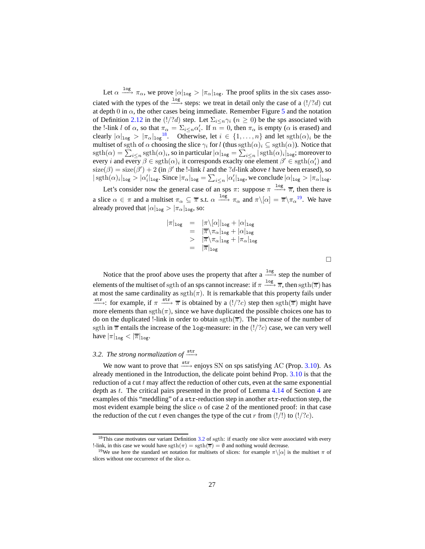Let  $\alpha \stackrel{\log}{\longrightarrow} \pi_{\alpha}$ , we prove  $|\alpha|_{\log} > |\pi_{\alpha}|_{\log}$ . The proof splits in the six cases associated with the types of the  $\frac{log}{ }$  steps: we treat in detail only the case of a (!/?d) cut at depth 0 in  $\alpha$ , the other cases being immediate. Remember Figure [5](#page-17-0) and the notation of Definition [2.12](#page-14-0) in the (!/?d) step. Let  $\Sigma_{i\leq n}\gamma_i$  ( $n\geq 0$ ) be the sps associated with the !-link l of  $\alpha$ , so that  $\pi_{\alpha} = \sum_{i \leq n} \alpha'_i$ . If  $n = 0$ , then  $\pi_{\alpha}$  is empty ( $\alpha$  is erased) and clearly  $|\alpha|_{\log} > |\pi_{\alpha}|_{\log}^{18}$  $|\alpha|_{\log} > |\pi_{\alpha}|_{\log}^{18}$  $|\alpha|_{\log} > |\pi_{\alpha}|_{\log}^{18}$ . Otherwise, let  $i \in \{1, ..., n\}$  and let sgth $(\alpha)_i$  be the multiset of sgth of  $\alpha$  choosing the slice  $\gamma_i$  for l (thus sgth $(\alpha)_i \subseteq \text{sgth}(\alpha)$ ). Notice that  $\text{sgth}(\alpha)=\sum_{i\leq n}\text{sgth}(\alpha)_i,$  so in particular  $|\alpha|_{\texttt{log}}=\sum_{i\leq n}|\text{sgth}(\alpha)_i|_{\texttt{log}};$  moreover to every *i* and every  $\beta \in \text{sgth}(\alpha)_i$  it corresponds exactly one element  $\beta' \in \text{sgth}(\alpha'_i)$  and  $size(\beta) = size(\beta') + 2$  (in  $\beta'$  the !-link l and the ?d-link above t have been erased), so  $|\operatorname{sgth}(\alpha)_i|_{\log} > |\alpha_i'|_{\log}$ . Since  $|\pi_\alpha|_{\log} = \sum_{i \leq n} |\alpha_i'|_{\log}$ , we conclude  $|\alpha|_{\log} > |\pi_\alpha|_{\log}$ .

Let's consider now the general case of an sps  $\pi$ : suppose  $\pi \xrightarrow{\log} \overline{\pi}$ , then there is a slice  $\alpha \in \pi$  and a multiset  $\pi_{\alpha} \subseteq \overline{\pi}$  s.t.  $\alpha \xrightarrow{\log} \pi_{\alpha}$  and  $\pi \setminus [\alpha] = \overline{\pi} \setminus \pi_{\alpha}^{\{1\}}$ . We have already proved that  $|\alpha|_{\log} > |\pi_{\alpha}|_{\log}$ , so:

$$
\begin{array}{rcl}\n|\pi|_{\log} &=& |\pi \backslash [\alpha]|_{\log} + |\alpha|_{\log} \\
&=& |\overline{\pi} \backslash \pi_{\alpha}|_{\log} + |\alpha|_{\log} \\
&&> |\overline{\pi} \backslash \pi_{\alpha}|_{\log} + |\pi_{\alpha}|_{\log} \\
&=& |\overline{\pi}|_{\log}\n\end{array}
$$

 $\Box$ 

Notice that the proof above uses the property that after a  $\frac{log}{2}$  step the number of elements of the multiset of sgth of an sps cannot increase: if  $\pi \xrightarrow{log} \overline{\pi}$ , then  $\text{sgth}(\overline{\pi})$  has at most the same cardinality as  $\text{sgth}(\pi)$ . It is remarkable that this property fails under  $\xrightarrow{\text{str}}$ : for example, if  $\pi \xrightarrow{\text{str}} \overline{\pi}$  is obtained by a (!/?c) step then sgth( $\overline{\pi}$ ) might have more elements than sgth( $\pi$ ), since we have duplicated the possible choices one has to do on the duplicated !-link in order to obtain sgth( $\overline{\pi}$ ). The increase of the number of sgth in  $\overline{\pi}$  entails the increase of the log-measure: in the (!/?c) case, we can very well have  $|\pi|_{\log} < |\overline{\pi}|_{\log}$ .

# <span id="page-26-0"></span>*3.2. The strong normalization of*  $\xrightarrow{\text{str}}$

We now want to prove that  $\xrightarrow{\text{str}}$  enjoys SN on sps satisfying AC (Prop. [3.10\)](#page-29-0). As already mentioned in the Introduction, the delicate point behind Prop. [3.10](#page-29-0) is that the reduction of a cut  $t$  may affect the reduction of other cuts, even at the same exponential depth as t. The critical pairs presented in the proof of Lemma [4.14](#page-42-0) of Section [4](#page-37-1) are examples of this "meddling" of a str-reduction step in another str-reduction step, the most evident example being the slice  $\alpha$  of case 2 of the mentioned proof: in that case the reduction of the cut t even changes the type of the cut r from  $(!/!)$  to  $(!/?c)$ .

<sup>&</sup>lt;sup>18</sup>This case motivates our variant Definition [3.2](#page-24-4) of sgth: if exactly one slice were associated with every !-link, in this case we would have  $\text{sgth}(\pi) = \text{sgth}(\overline{\pi}) = \emptyset$  and nothing would decrease.

<span id="page-26-2"></span><span id="page-26-1"></span><sup>&</sup>lt;sup>19</sup>We use here the standard set notation for multisets of slices: for example  $\pi\backslash[\alpha]$  is the multiset  $\pi$  of slices without one occurrence of the slice  $\alpha$ .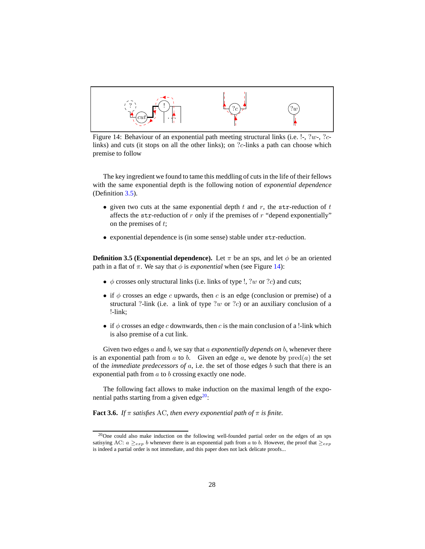<span id="page-27-2"></span><span id="page-27-0"></span>

Figure 14: Behaviour of an exponential path meeting structural links (i.e. !-, ?w-, ?clinks) and cuts (it stops on all the other links); on ?c-links a path can choose which premise to follow

The key ingredient we found to tame this meddling of cuts in the life of their fellows with the same exponential depth is the following notion of *exponential dependence* (Definition [3.5\)](#page-27-1).

- given two cuts at the same exponential depth  $t$  and  $r$ , the str-reduction of  $t$ affects the str-reduction of  $r$  only if the premises of  $r$  "depend exponentially" on the premises of t;
- <span id="page-27-1"></span>• exponential dependence is (in some sense) stable under str-reduction.

**Definition 3.5 (Exponential dependence).** Let  $\pi$  be an sps, and let  $\phi$  be an oriented path in a flat of  $\pi$ . We say that  $\phi$  is *exponential* when (see Figure [14\)](#page-27-2):

- $\phi$  crosses only structural links (i.e. links of type !, ?w or ?c) and cuts;
- if  $\phi$  crosses an edge c upwards, then c is an edge (conclusion or premise) of a structural ?-link (i.e. a link of type ?w or ?c) or an auxiliary conclusion of a !-link;
- if  $\phi$  crosses an edge c downwards, then c is the main conclusion of a !-link which is also premise of a cut link.

Given two edges a and b, we say that a *exponentially depends on* b, whenever there is an exponential path from a to b. Given an edge a, we denote by  $\text{pred}(a)$  the set of the *immediate predecessors of* a, i.e. the set of those edges b such that there is an exponential path from a to b crossing exactly one node.

The following fact allows to make induction on the maximal length of the exponential paths starting from a given edge $20$ :

**Fact 3.6.** *If*  $\pi$  *satisfies* AC*, then every exponential path of*  $\pi$  *is finite.* 

<span id="page-27-3"></span> $^{20}$ One could also make induction on the following well-founded partial order on the edges of an sps satisying AC:  $a \geq_{exp} b$  whenever there is an exponential path from a to b. However, the proof that  $\geq_{exp} b$ is indeed a partial order is not immediate, and this paper does not lack delicate proofs...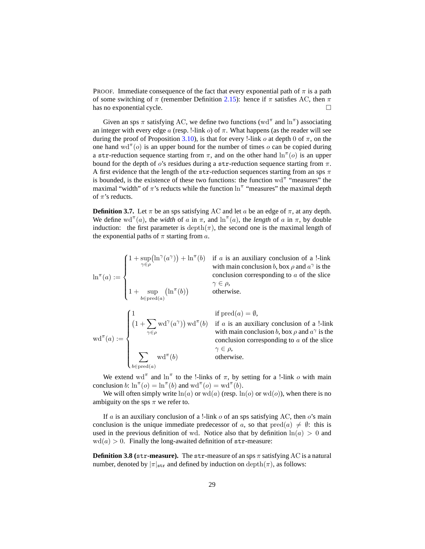PROOF. Immediate consequence of the fact that every exponential path of  $\pi$  is a path of some switching of  $\pi$  (remember Definition [2.15\)](#page-22-1): hence if  $\pi$  satisfies AC, then  $\pi$ has no exponential cycle.  $\Box$ 

Given an sps  $\pi$  satisfying AC, we define two functions (wd<sup> $\pi$ </sup> and  $\ln^{\pi}$ ) associating an integer with every edge a (resp. !-link  $o$ ) of  $\pi$ . What happens (as the reader will see during the proof of Proposition [3.10\)](#page-29-0), is that for every !-link o at depth 0 of  $\pi$ , on the one hand  $\text{wd}^{\pi}(o)$  is an upper bound for the number of times o can be copied during a str-reduction sequence starting from  $\pi$ , and on the other hand  $\ln^{\pi}(o)$  is an upper bound for the depth of  $o$ 's residues during a str-reduction sequence starting from  $\pi$ . A first evidence that the length of the str-reduction sequences starting from an sps  $\pi$ is bounded, is the existence of these two functions: the function  $wd^{\pi}$  "measures" the maximal "width" of  $\pi$ 's reducts while the function  $\ln^{\pi}$  "measures" the maximal depth of  $\pi$ 's reducts.

<span id="page-28-1"></span>**Definition 3.7.** Let  $\pi$  be an sps satisfying AC and let a be an edge of  $\pi$ , at any depth. We define  $\text{wd}^{\pi}(a)$ , the *width* of a in  $\pi$ , and  $\ln^{\pi}(a)$ , the *length* of a in  $\pi$ , by double induction: the first parameter is depth $(\pi)$ , the second one is the maximal length of the exponential paths of  $\pi$  starting from a.

$$
\ln^{\pi}(a) := \begin{cases}\n1 + \sup_{\gamma \in \rho} (\ln^{\gamma}(a^{\gamma})) + \ln^{\pi}(b) & \text{if } a \text{ is an auxiliary conclusion of a !-link with main conclusion } b, \text{ box } \rho \text{ and } a^{\gamma} \text{ is the conclusion corresponding to } a \text{ of the slice } \gamma \in \rho, \\
1 + \sup_{b \in \text{pred}(a)} (\ln^{\pi}(b)) & \text{otherwise.} \n\end{cases}
$$
\n
$$
\text{wd}^{\pi}(a) := \begin{cases}\n1 & \text{if } \text{pred}(a) = \emptyset, \\
(1 + \sum_{\gamma \in \rho} \text{wd}^{\gamma}(a^{\gamma})) \text{wd}^{\pi}(b) & \text{if } a \text{ is an auxiliary conclusion of a !-link with main conclusion } b, \text{box } \rho \text{ and } a^{\gamma} \text{ is the conclusion corresponding to } a \text{ of the slice } \gamma \in \rho, \\
\sum_{b \in \text{pred}(a)} \text{wd}^{\pi}(b) & \text{otherwise.} \n\end{cases}
$$

We extend wd<sup>π</sup> and  $\ln^{\pi}$  to the !-links of  $\pi$ , by setting for a !-link o with main conclusion b:  $\ln^{\pi}(o) = \ln^{\pi}(b)$  and  $\mathrm{wd}^{\pi}(o) = \mathrm{wd}^{\pi}(b)$ .

We will often simply write  $ln(a)$  or  $wd(a)$  (resp.  $ln(b)$  or  $wd(b)$ ), when there is no ambiguity on the sps  $\pi$  we refer to.

If a is an auxiliary conclusion of a !-link  $\sigma$  of an sps satisfying AC, then  $\sigma$ 's main conclusion is the unique immediate predecessor of a, so that  $pred(a) \neq \emptyset$ : this is used in the previous definition of wd. Notice also that by definition  $ln(a) > 0$  and  $wd(a) > 0$ . Finally the long-awaited definition of str-measure:

<span id="page-28-0"></span>**Definition 3.8 (str-measure).** The str-measure of an sps  $\pi$  satisfying AC is a natural number, denoted by  $|\pi|_{str}$  and defined by induction on  $depth(\pi)$ , as follows: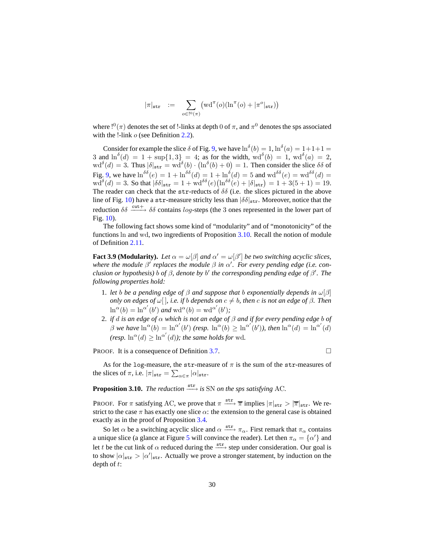<span id="page-29-2"></span><span id="page-29-1"></span>
$$
|\pi|_{\mathtt{str}}\ \ :=\ \ \sum_{o\in\mathrm{I}^0(\pi)} \bigl(\mathrm{wd}^\pi(o)(\ln^\pi(o)+|\pi^o|_{\mathtt{str}})\bigr)
$$

where  $!^0(\pi)$  denotes the set of !-links at depth 0 of  $\pi$ , and  $\pi^0$  denotes the sps associated with the !-link  $o$  (see Definition [2.2\)](#page-9-2).

Consider for example the slice  $\delta$  of Fig. [9,](#page-20-1) we have  $\ln^{\delta}(b) = 1$ ,  $\ln^{\delta}(a) = 1 + 1 + 1 =$ 3 and  $\ln^{\delta}(d) = 1 + \sup\{1, 3\} = 4$ ; as for the width,  $\mathrm{wd}^{\delta}(b) = 1$ ,  $\mathrm{wd}^{\delta}(a) = 2$ ,  $\text{wd}^{\delta}(d) = 3$ . Thus  $|\delta|_{\text{str}} = \text{wd}^{\delta}(b) \cdot (\ln^{\delta}(b) + 0) = 1$ . Then consider the slice  $\delta \delta$  of Fig. [9,](#page-20-1) we have  $\ln^{\delta \delta}(e) = 1 + \ln^{\delta \delta}(d) = 1 + \ln^{\delta}(d) = 5$  and  $\text{wd}^{\delta \delta}(e) = \text{wd}^{\delta \delta}(d) = 1$  $\text{wd}^{\delta}(d) = 3.$  So that  $|\delta \delta|_{\text{str}} = 1 + \text{wd}^{\delta \delta}(e) \left( \ln^{\delta \delta}(e) + |\delta|_{\text{str}} \right) = 1 + 3(5 + 1) = 19.$ The reader can check that the str-reducts of  $\delta\delta$  (i.e. the slices pictured in the above line of Fig. [10\)](#page-21-0) have a str-measure strictly less than  $|\delta \delta|_{str}$ . Moreover, notice that the reduction  $\delta \delta \xrightarrow{\text{cut}+} \delta \delta$  contains log-steps (the 3 ones represented in the lower part of Fig. [10\)](#page-21-0).

The following fact shows some kind of "modularity" and of "monotonicity" of the functions ln and wd, two ingredients of Proposition [3.10.](#page-29-0) Recall the notion of module of Definition [2.11.](#page-14-1)

<span id="page-29-3"></span>**Fact 3.9 (Modularity).** Let  $\alpha = \omega[\beta]$  and  $\alpha' = \omega[\beta']$  be two switching acyclic slices, *where the module*  $\beta'$  *replaces the module*  $\beta$  *in*  $\alpha'$ *. For every pending edge (i.e. conclusion or hypothesis)* b *of* β*, denote by* b ′ *the corresponding pending edge of* β ′ *. The following properties hold:*

- <span id="page-29-4"></span>1. *let* b *be a pending edge of* β *and suppose that* b *exponentially depends in* ω[β] *only on edges of*  $\omega$ [], *i.e. if b depends on*  $c \neq b$ *, then c is not an edge of*  $\beta$ *. Then*  $\ln^{\alpha}(b) = \ln^{\alpha'}(b')$  and  $\mathrm{wd}^{\alpha}(b) = \mathrm{wd}^{\alpha'}(b')$ ;
- <span id="page-29-5"></span>2. *if* d *is an edge of* α *which is not an edge of* β *and if for every pending edge* b *of*  $\beta$  we have  $\ln^{\alpha}(b) = \ln^{\alpha'}(b')$  (resp.  $\ln^{\alpha}(b) \geq \ln^{\alpha'}(b')$ ), then  $\ln^{\alpha}(d) = \ln^{\alpha'}(d)$ *(resp.*  $\ln^{\alpha}(d) \geq \ln^{\alpha'}(d)$ *); the same holds for* wd.

**PROOF.** It is a consequence of Definition [3.7.](#page-28-1)

<span id="page-29-0"></span>As for the log-measure, the str-measure of  $\pi$  is the sum of the str-measures of the slices of  $\pi$ , i.e.  $|\pi|_{\text{str}} = \sum_{\alpha \in \pi} |\alpha|_{\text{str}}$ .

# **Proposition 3.10.** *The reduction*  $\xrightarrow{\text{str}}$  *is* SN *on the sps satisfying* AC.

PROOF. For  $\pi$  satisfying AC, we prove that  $\pi \xrightarrow{\text{str}} \overline{\pi}$  implies  $|\pi|_{\text{str}} > |\overline{\pi}|_{\text{str}}$ . We restrict to the case  $\pi$  has exactly one slice  $\alpha$ : the extension to the general case is obtained exactly as in the proof of Proposition [3.4.](#page-25-0)

So let  $\alpha$  be a switching acyclic slice and  $\alpha \xrightarrow{\text{str}} \pi_{\alpha}$ . First remark that  $\pi_{\alpha}$  contains a unique slice (a glance at Figure [5](#page-17-0) will convince the reader). Let then  $\pi_{\alpha} = {\alpha'}$  and let t be the cut link of  $\alpha$  reduced during the  $\xrightarrow{\text{str}}$  step under consideration. Our goal is to show  $|\alpha|_{\text{str}} > |\alpha'|_{\text{str}}$ . Actually we prove a stronger statement, by induction on the depth of  $t$ :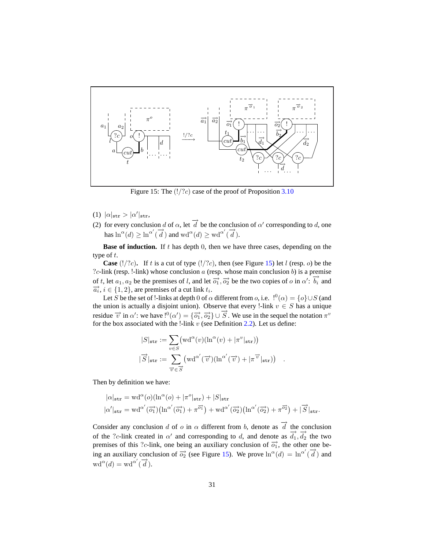<span id="page-30-0"></span>

Figure 15: The  $(!/?c)$  case of the proof of Proposition [3.10](#page-29-0)

- <span id="page-30-2"></span><span id="page-30-1"></span>(1)  $|\alpha|_{\text{str}} > |\alpha'|_{\text{str}},$
- (2) for every conclusion d of  $\alpha$ , let  $\overrightarrow{d}$  be the conclusion of  $\alpha'$  corresponding to d, one has  $\ln^{\alpha}(d) \geq \ln^{\alpha'}(\overrightarrow{d})$  and  $\text{wd}^{\alpha}(d) \geq \text{wd}^{\alpha'}(\overrightarrow{d})$ .

**Base of induction.** If  $t$  has depth 0, then we have three cases, depending on the type of  $t$ .

**Case** ( $!/?c$ ). If t is a cut of type ( $!/?c$ ), then (see Figure [15\)](#page-30-0) let l (resp. o) be the ?c-link (resp. !-link) whose conclusion  $a$  (resp. whose main conclusion  $b$ ) is a premise of t, let  $a_1, a_2$  be the premises of l, and let  $\overrightarrow{o_1}$ ,  $\overrightarrow{o_2}$  be the two copies of o in  $\alpha'$ :  $\overrightarrow{b_i}$  and  $\overrightarrow{a_i}$ ,  $i \in \{1, 2\}$ , are premises of a cut link  $t_i$ .

Let S be the set of !-links at depth 0 of  $\alpha$  different from  $o$ , i.e.  $\beta^0(\alpha) = \{o\} \cup S$  (and the union is actually a disjoint union). Observe that every !-link  $v \in S$  has a unique residue  $\vec{v}$  in  $\alpha'$ : we have  $!^0(\alpha') = {\vec{\Omega}_1}, {\vec{\Omega}_2} \cup {\vec{S}}$ . We use in the sequel the notation  $\pi^v$ for the box associated with the !-link  $v$  (see Definition [2.2\)](#page-9-2). Let us define:

$$
|S|_{\text{str}} := \sum_{v \in S} (\text{wd}^{\alpha}(v)(\ln^{\alpha}(v) + |\pi^{v}|_{\text{str}}))
$$

$$
|\overrightarrow{S}|_{\text{str}} := \sum_{\overrightarrow{v} \in \overrightarrow{S}} (\text{wd}^{\alpha'}(\overrightarrow{v})(\ln^{\alpha'}(\overrightarrow{v}) + |\pi^{\overrightarrow{v}}|_{\text{str}}))
$$

.

Then by definition we have:

$$
|\alpha|_{\text{str}} = \text{wd}^{\alpha}(o)(\ln^{\alpha}(o) + |\pi^o|_{\text{str}}) + |S|_{\text{str}}
$$
  

$$
|\alpha|_{\text{str}} = \text{wd}^{\alpha'}(\overrightarrow{o_1})(\ln^{\alpha'}(\overrightarrow{o_1}) + \pi^{\overrightarrow{o_1}}) + \text{wd}^{\alpha'}(\overrightarrow{o_2})(\ln^{\alpha'}(\overrightarrow{o_2}) + \pi^{\overrightarrow{o_2}}) + |\overrightarrow{S}|_{\text{str}}.
$$

Consider any conclusion d of o in  $\alpha$  different from b, denote as  $\overrightarrow{d}$  the conclusion of the ?c-link created in  $\alpha'$  and corresponding to d, and denote as  $\overrightarrow{d_1}, \overrightarrow{d_2}$  the two premises of this ?c-link, one being an auxiliary conclusion of  $\overrightarrow{o_1}$ , the other one being an auxiliary conclusion of  $\overrightarrow{o_2}$  (see Figure [15\)](#page-30-0). We prove  $\ln^{\alpha}(d) = \ln^{\alpha'}(\overrightarrow{d})$  and wd<sup> $\alpha$ </sup>(d) = wd<sup> $\alpha'$ </sup>(d).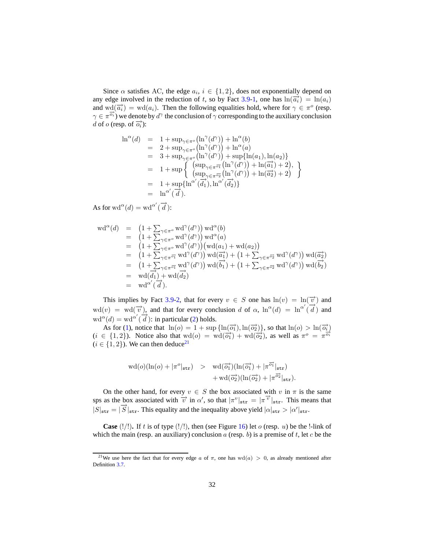Since  $\alpha$  satisfies AC, the edge  $a_i, i \in \{1, 2\}$ , does not exponentially depend on any edge involved in the reduction of t, so by Fact [3.9](#page-29-3)[-1,](#page-29-4) one has  $\ln(\overrightarrow{a_i}) = \ln(a_i)$ and  $\text{wd}(\overrightarrow{a_i}) = \text{wd}(a_i)$ . Then the following equalities hold, where for  $\gamma \in \pi^o$  (resp.  $\gamma \in \pi^{\overrightarrow{o_i}}$ ) we denote by  $d^{\gamma}$  the conclusion of  $\gamma$  corresponding to the auxiliary conclusion d of o (resp. of  $\overrightarrow{o_i}$ ):

$$
\begin{array}{rcl}\n\ln^{\alpha}(d) & = & 1 + \sup_{\gamma \in \pi^o} \left( \ln^{\gamma}(d^{\gamma}) \right) + \ln^{\alpha}(b) \\
& = & 2 + \sup_{\gamma \in \pi^o} \left( \ln^{\gamma}(d^{\gamma}) \right) + \ln^{\alpha}(a) \\
& = & 3 + \sup_{\gamma \in \pi^o} \left( \ln^{\gamma}(d^{\gamma}) \right) + \sup \{ \ln(a_1), \ln(a_2) \} \\
& = & 1 + \sup \left\{ \begin{array}{l} \left( \sup_{\gamma \in \pi^{\overline{o_1}}} \left( \ln^{\gamma}(d^{\gamma}) \right) + \ln(\overline{a_1}) + 2 \right), \\
 \left( \sup_{\gamma \in \pi^{\overline{o_2}}} \left( \ln^{\gamma}(d^{\gamma}) \right) + \ln(\overline{a_2}) + 2 \right) \\
& = & 1 + \sup \{ \ln^{\alpha'}(\overline{d_1}), \ln^{\alpha'}(\overline{d_2}) \} \\
& = & \ln^{\alpha'}(\overline{d}).\n\end{array}\n\end{array}
$$

As for  $\operatorname{wd}^{\alpha}(d) = \operatorname{wd}^{\alpha'}(\overrightarrow{d})$ :

$$
\begin{array}{rcl}\n\text{wd}^{\alpha}(d) & = & \left(1 + \sum_{\gamma \in \pi^o} \text{wd}^{\gamma}(d^{\gamma})\right) \text{wd}^{\alpha}(b) \\
& = & \left(1 + \sum_{\gamma \in \pi^o} \text{wd}^{\gamma}(d^{\gamma})\right) \text{wd}^{\alpha}(a) \\
& = & \left(1 + \sum_{\gamma \in \pi^o} \text{wd}^{\gamma}(d^{\gamma})\right) \left(\text{wd}(a_1) + \text{wd}(a_2)\right) \\
& = & \left(1 + \sum_{\gamma \in \pi^o} \text{wd}^{\gamma}(d^{\gamma})\right) \text{wd}(\overrightarrow{a_1}) + \left(1 + \sum_{\gamma \in \pi^o} \text{wd}^{\gamma}(d^{\gamma})\right) \text{wd}(\overrightarrow{a_2}) \\
& = & \left(1 + \sum_{\gamma \in \pi^o} \text{wd}^{\gamma}(d^{\gamma})\right) \text{wd}(\overrightarrow{b_1}) + \left(1 + \sum_{\gamma \in \pi^o} \text{wd}^{\gamma}(d^{\gamma})\right) \text{wd}(\overrightarrow{b_2}) \\
& = & \text{wd}(\overrightarrow{d_1}) + \text{wd}(\overrightarrow{d_2}) \\
& = & \text{wd}^{\alpha'}(\overrightarrow{d}).\n\end{array}
$$

This implies by Fact [3.9-](#page-29-3)[2,](#page-29-5) that for every  $v \in S$  one has  $ln(v) = ln(\vec{v})$  and wd(v) = wd( $\vec{v}$ ), and that for every conclusion d of  $\alpha$ ,  $\ln^{\alpha}(d) = \ln^{\alpha'}(\vec{d})$  and  $\alpha^{\alpha}(d) = \alpha d^{\alpha'}(\overrightarrow{d})$ : in particular [\(2\)](#page-30-1) holds.

As for [\(1\)](#page-30-2), notice that  $\ln(o) = 1 + \sup{\ln(\overrightarrow{o_1}), \ln(\overrightarrow{o_2})\}$ , so that  $\ln(o) > \ln(\overrightarrow{o_i})$ (i ∈ {1, 2}). Notice also that  $wd(o) = wd(\overrightarrow{o_1}) + wd(\overrightarrow{o_2})$ , as well as  $\pi^o = \pi^{\overrightarrow{o_1}}$  $(i \in \{1, 2\})$ . We can then deduce<sup>[21](#page-31-0)</sup>

$$
\begin{array}{rcl}\n\text{wd}(o)(\ln(o) + |\pi^o|_{\text{str}}) > & \text{wd}(\overrightarrow{o_1})(\ln(\overrightarrow{o_1}) + |\pi^{\overrightarrow{o_1}}|_{\text{str}}) \\
& & + \text{wd}(\overrightarrow{o_2})(\ln(\overrightarrow{o_2}) + |\pi^{\overrightarrow{o_2}}|_{\text{str}}).\n\end{array}
$$

On the other hand, for every  $v \in S$  the box associated with v in  $\pi$  is the same sps as the box associated with  $\overrightarrow{v}$  in  $\alpha'$ , so that  $|\pi^v|_{str} = |\pi^{\overrightarrow{v}}|_{str}$ . This means that  $|S|_{str} = |\overrightarrow{S}|_{str}$ . This equality and the inequality above yield  $|\alpha|_{str} > |\alpha'|_{str}$ .

**Case**  $(|/|)$ . If t is of type  $(|/|)$ , then (see Figure [16\)](#page-32-0) let o (resp. u) be the !-link of which the main (resp. an auxiliary) conclusion  $a$  (resp. b) is a premise of t, let c be the

<span id="page-31-0"></span><sup>&</sup>lt;sup>21</sup>We use here the fact that for every edge a of  $\pi$ , one has wd(a) > 0, as already mentioned after Definition [3.7.](#page-28-1)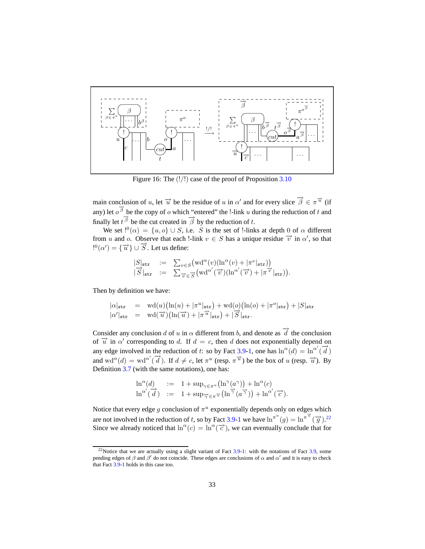<span id="page-32-0"></span>

Figure 16: The  $(!/!)$  case of the proof of Proposition [3.10](#page-29-0)

main conclusion of u, let  $\vec{u}$  be the residue of u in  $\alpha'$  and for every slice  $\vec{\beta} \in \pi^{\vec{u}}$  (if any) let  $o^{\overrightarrow{\beta}}$  be the copy of o which "entered" the !-link u during the reduction of t and finally let  $t^{\overrightarrow{\beta}}$  be the cut created in  $\overrightarrow{\beta}$  by the reduction of t.

We set  $!^0(\alpha) = \{u, o\} \cup S$ , i.e. S is the set of !-links at depth 0 of  $\alpha$  different from u and o. Observe that each !-link  $v \in S$  has a unique residue  $\vec{v}$  in  $\alpha'$ , so that  $e^{i\theta}$  =  $\{\overrightarrow{u}\}\cup\overrightarrow{S}$ . Let us define:

$$
\begin{array}{rcl} |S|_{\mathtt{str}} & := & \sum_{v \in S} \big( \mathrm{wd}^\alpha(v) (\mathrm{ln}^\alpha(v) + |\pi^v|_{\mathtt{str}}) \big) \\ \overrightarrow{|S|}_{\mathtt{str}} & := & \sum_{\overrightarrow{v} \in \overrightarrow{S}} \big( \mathrm{wd}^{\alpha'}(\overrightarrow{v}) (\mathrm{ln}^{\alpha'}(\overrightarrow{v}) + |\pi^{\overrightarrow{v}}|_{\mathtt{str}}) \big). \end{array}
$$

Then by definition we have:

$$
\begin{array}{rcl}\n|\alpha|_{\mathtt{str}} & = & \mathrm{wd}(u)\big(\ln(u)+|\pi^u|_{\mathtt{str}}\big)+\mathrm{wd}(o)\big(\ln(o)+|\pi^o|_{\mathtt{str}}\big)+|S|_{\mathtt{str}} \\
|\alpha'|_{\mathtt{str}} & = & \mathrm{wd}(\overrightarrow{u})\big(\ln(\overrightarrow{u})+|\pi^{\overrightarrow{u}}|_{\mathtt{str}}\big)+|\overrightarrow{S}|_{\mathtt{str}}.\n\end{array}
$$

Consider any conclusion d of u in  $\alpha$  different from b, and denote as  $\overrightarrow{d}$  the conclusion of  $\vec{u}$  in  $\alpha'$  corresponding to d. If  $d = c$ , then d does not exponentially depend on any edge involved in the reduction of t: so by Fact [3.9-](#page-29-3)[1,](#page-29-4) one has  $\ln^{\alpha}(d) = \ln^{\alpha'}(\overrightarrow{d})$ and  $\text{wd}^{\alpha}(d) = \text{wd}^{\alpha'}(\vec{d})$ . If  $d \neq c$ , let  $\pi^u$  (resp.  $\pi^{\vec{u}}$ ) be the box of u (resp.  $\vec{u}$ ). By Definition [3.7](#page-28-1) (with the same notations), one has:

$$
\begin{array}{rcl}\n\ln^{\alpha}(d) & := & 1 + \sup_{\gamma \in \pi^u} \left( \ln^{\gamma}(a^{\gamma}) \right) + \ln^{\alpha}(c) \\
\ln^{\alpha'}(\overrightarrow{d}) & := & 1 + \sup_{\overrightarrow{\gamma} \in \pi} \overrightarrow{u} \left( \ln^{\overrightarrow{\gamma}}(a^{\overrightarrow{\gamma}}) \right) + \ln^{\alpha'}(\overrightarrow{c}).\n\end{array}
$$

Notice that every edge g conclusion of  $\pi^u$  exponentially depends only on edges which are not involved in the reduction of t, so by Fact [3.9](#page-29-3)[-1](#page-29-4) we have  $\ln^{\pi u}(g) = \ln^{\pi u}(\vec{g})$ .<sup>[22](#page-32-1)</sup> Since we already noticed that  $\ln^{\alpha}(c) = \ln^{\alpha}(\vec{c})$ , we can eventually conclude that for

<span id="page-32-1"></span> $22$ Notice that we are actually using a slight variant of Fact  $3.9$ -[1:](#page-29-4) with the notations of Fact  $3.9$ , some pending edges of  $\beta$  and  $\beta'$  do not coincide. These edges are conclusions of  $\alpha$  and  $\alpha'$  and it is easy to check that Fact [3.9](#page-29-3)[-1](#page-29-4) holds in this case too.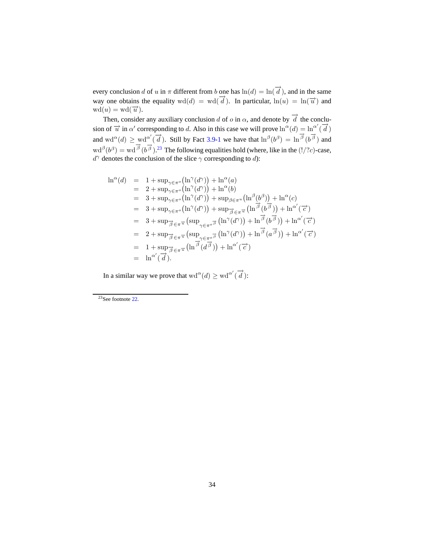every conclusion d of u in  $\pi$  different from b one has  $\ln(d) = \ln(\overrightarrow{d})$ , and in the same way one obtains the equality  $wd(d) = wd(\vec{d})$ . In particular,  $ln(u) = ln(\vec{u})$  and  $wd(u) = wd(\overrightarrow{u}).$ 

Then, consider any auxiliary conclusion d of o in  $\alpha$ , and denote by  $\overrightarrow{d}$  the conclusion of  $\vec{u}$  in  $\alpha'$  corresponding to d. Also in this case we will prove  $\ln^{\alpha}(d) = \ln^{\alpha'}(\vec{d})$ and  $\text{wd}^{\alpha}(d) \geq \text{wd}^{\alpha'}(\overrightarrow{d})$ . Still by Fact [3.9-](#page-29-3)[1](#page-29-4) we have that  $\ln^{\beta}(b^{\beta}) = \ln \overrightarrow{\beta}(b^{\overrightarrow{\beta}})$  and  $\text{wd}^{\beta}(b^{\beta}) = \text{wd}^{\overrightarrow{\beta}}(b^{\overrightarrow{\beta}}).^{23}$  $\text{wd}^{\beta}(b^{\beta}) = \text{wd}^{\overrightarrow{\beta}}(b^{\overrightarrow{\beta}}).^{23}$  $\text{wd}^{\beta}(b^{\beta}) = \text{wd}^{\overrightarrow{\beta}}(b^{\overrightarrow{\beta}}).^{23}$  The following equalities hold (where, like in the (!/?c)-case,  $d^{\gamma}$  denotes the conclusion of the slice  $\gamma$  corresponding to d):

$$
\begin{array}{rcl}\n\ln^{\alpha}(d) & = & 1 + \sup_{\gamma \in \pi^{\circ}} \left( \ln^{\gamma}(d^{\gamma}) \right) + \ln^{\alpha}(a) \\
& = & 2 + \sup_{\gamma \in \pi^{\circ}} \left( \ln^{\gamma}(d^{\gamma}) \right) + \ln^{\alpha}(b) \\
& = & 3 + \sup_{\gamma \in \pi^{\circ}} \left( \ln^{\gamma}(d^{\gamma}) \right) + \sup_{\beta \in \pi^u} \left( \ln^{\beta}(b^{\beta}) \right) + \ln^{\alpha}(c) \\
& = & 3 + \sup_{\gamma \in \pi^{\circ}} \left( \ln^{\gamma}(d^{\gamma}) \right) + \sup_{\overrightarrow{\beta} \in \pi^{\overrightarrow{u}}} \left( \ln^{\overrightarrow{\beta}}(b^{\overrightarrow{\beta}}) \right) + \ln^{\alpha'}(\overrightarrow{c}) \\
& = & 3 + \sup_{\overrightarrow{\beta} \in \pi^{\overrightarrow{u}}} \left( \sup_{\gamma \in \pi^{\circ}} \overrightarrow{\beta} \left( \ln^{\gamma}(d^{\gamma}) \right) + \ln^{\overrightarrow{\beta}}(b^{\overrightarrow{\beta}}) \right) + \ln^{\alpha'}(\overrightarrow{c}) \\
& = & 2 + \sup_{\overrightarrow{\beta} \in \pi^{\overrightarrow{u}}} \left( \sup_{\gamma \in \pi^{\circ}} \overrightarrow{\beta} \left( \ln^{\gamma}(d^{\gamma}) \right) + \ln^{\overrightarrow{\beta}}(a^{\overrightarrow{\beta}}) \right) + \ln^{\alpha'}(\overrightarrow{c}) \\
& = & 1 + \sup_{\overrightarrow{\beta} \in \pi^{\overrightarrow{u}}} \left( \ln^{\overrightarrow{\beta}}(d^{\overrightarrow{\beta}}) \right) + \ln^{\alpha'}(\overrightarrow{c}) \\
& = & \ln^{\alpha'}(\overrightarrow{d}).\n\end{array}
$$

In a similar way we prove that  $\text{wd}^{\alpha}(d) \geq \text{wd}^{\alpha'}(\overrightarrow{d})$ :

<span id="page-33-0"></span><sup>23</sup>See footnote [22.](#page-32-1)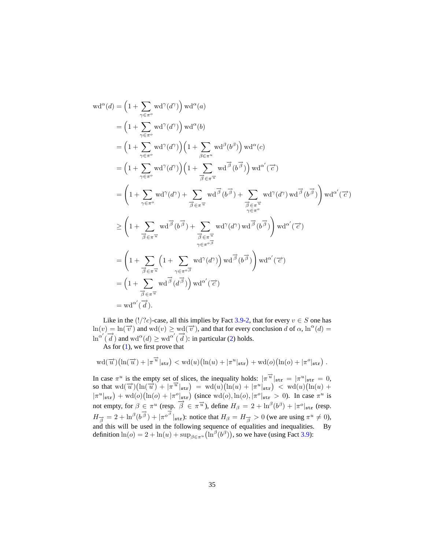$$
\begin{split}\n\text{wd}^{\alpha}(d) &= \left(1 + \sum_{\gamma \in \pi^{o}} \text{wd}^{\gamma}(d^{\gamma})\right) \text{wd}^{\alpha}(a) \\
&= \left(1 + \sum_{\gamma \in \pi^{o}} \text{wd}^{\gamma}(d^{\gamma})\right) \text{wd}^{\alpha}(b) \\
&= \left(1 + \sum_{\gamma \in \pi^{o}} \text{wd}^{\gamma}(d^{\gamma})\right) \left(1 + \sum_{\beta \in \pi^{u}} \text{wd}^{\beta}(b^{\beta})\right) \text{wd}^{\alpha}(c) \\
&= \left(1 + \sum_{\gamma \in \pi^{o}} \text{wd}^{\gamma}(d^{\gamma})\right) \left(1 + \sum_{\overrightarrow{\beta} \in \pi^{u}} \text{wd}^{\overrightarrow{\beta}}(b^{\overrightarrow{\beta}})\right) \text{wd}^{\alpha'}(\overrightarrow{c}) \\
&= \left(1 + \sum_{\gamma \in \pi^{o}} \text{wd}^{\gamma}(d^{\gamma}) + \sum_{\overrightarrow{\beta} \in \pi^{u}} \text{wd}^{\overrightarrow{\beta}}(b^{\overrightarrow{\beta}}) + \sum_{\overrightarrow{\beta} \in \pi^{u}} \text{wd}^{\gamma}(d^{\gamma}) \text{wd}^{\overrightarrow{\beta}}(b^{\overrightarrow{\beta}})\right) \text{wd}^{\alpha'}(\overrightarrow{c}) \\
& \geq \left(1 + \sum_{\overrightarrow{\beta} \in \pi^{u}} \text{wd}^{\overrightarrow{\beta}}(b^{\overrightarrow{\beta}}) + \sum_{\overrightarrow{\beta} \in \pi^{u}} \text{wd}^{\gamma}(d^{\gamma}) \text{wd}^{\overrightarrow{\beta}}(b^{\overrightarrow{\beta}})\right) \text{wd}^{\alpha'}(\overrightarrow{c}) \\
&= \left(1 + \sum_{\overrightarrow{\beta} \in \pi^{u}} \left(1 + \sum_{\gamma \in \pi^{o} \overrightarrow{\beta}} \text{wd}^{\gamma}(d^{\gamma})\right) \text{wd}^{\overrightarrow{\beta}}(b^{\overrightarrow{\beta}})\right) \text{wd}^{\alpha'}(\overrightarrow{c}) \\
&= \left(1 + \sum_{\overrightarrow{\beta} \in \pi^{u}} \text{wd}^{\overrightarrow{\beta}}(d^{\overrightarrow{\beta}})\right) \text{wd}^{\alpha'}(\overrightarrow{c}) \\
&= \left(1 + \sum_{\overrightarrow{\beta} \in \pi^{u}} \text{wd}^{\over
$$

Like in the (!/?c)-case, all this implies by Fact [3.9-](#page-29-3)[2,](#page-29-5) that for every  $v \in S$  one has  $\ln(v) = \ln(\vec{v})$  and  $\text{wd}(v) \ge \text{wd}(\vec{v})$ , and that for every conclusion d of  $\alpha$ ,  $\ln^{\alpha}(d) =$  $\ln^{\alpha'}(\overrightarrow{d})$  and wd<sup> $\alpha$ </sup>(*d*)  $\geq$  wd<sup> $\alpha'$ </sup>( $\overrightarrow{d}$ ): in particular [\(2\)](#page-30-1) holds.

As for  $(1)$ , we first prove that

$$
\mathrm{wd}(\overrightarrow{u})\bigl(\ln(\overrightarrow{u})+|\pi^{\overrightarrow{u}}|_{\mathtt{str}}\bigr)<\mathrm{wd}(u)\bigl(\ln(u)+|\pi^u|_{\mathtt{str}}\bigr)+\mathrm{wd}(o)\bigl(\ln(o)+|\pi^o|_{\mathtt{str}}\bigr)\ .
$$

In case  $\pi^u$  is the empty set of slices, the inequality holds:  $|\pi^{\vec{u}}|_{str} = |\pi^u|_{str} = 0$ , so that  $wd(\vec{u}) (\ln(\vec{u}) + |\pi^{\vec{u}}|_{str}) = wd(u)(\ln(u) + |\pi^u|_{str}) < wd(u)(\ln(u) +$  $|\pi^u|_{\text{str}}$  + wd(o)(ln(o) +  $|\pi^o|_{\text{str}}$ ) (since wd(o), ln(o),  $|\pi^o|_{\text{str}} > 0$ ). In case  $\pi^u$  is not empty, for  $\beta \in \pi^u$  (resp.  $\overrightarrow{\beta} \in \pi^{\overrightarrow{u}}$ ), define  $H_\beta = 2 + \ln^\beta (b^\beta) + |\pi^\circ|_{str}$  (resp.  $H_{\vec{\beta}} = 2 + \ln^{\beta} (b^{\vec{\beta}}) + |\pi^{\sigma^{\vec{\beta}}} |_{\text{str}}$ ): notice that  $H_{\beta} = H_{\vec{\beta}} > 0$  (we are using  $\pi^u \neq 0$ ), and this will be used in the following sequence of equalities and inequalities. By definition  $\ln(o) = 2 + \ln(u) + \sup_{\beta \in \pi^u} (\ln^{\beta}(b^{\beta}))$ , so we have (using Fact [3.9\)](#page-29-3):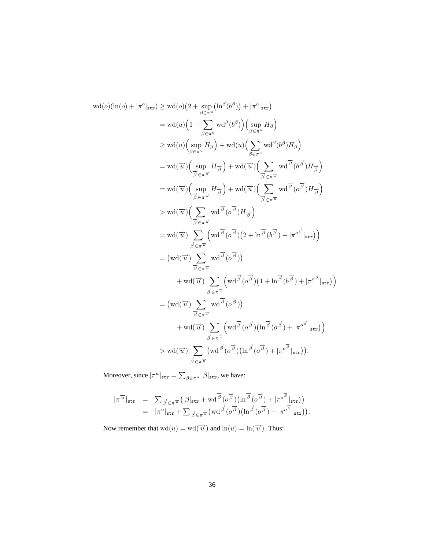$$
wd(o)(\ln(o) + |\pi^o|_{str}) \geq wd(o)(2 + \sup_{\beta \in \pi^u} (\ln^{\beta}(b^{\beta})) + |\pi^o|_{str})
$$
  
\n
$$
= wd(u)(1 + \sum_{\beta \in \pi^u} wd^{\beta}(b^{\beta})) (\sup_{\beta \in \pi^u} H_{\beta})
$$
  
\n
$$
\geq wd(u)(\sup_{\beta \in \pi^u} H_{\beta}) + wd(u)(\sum_{\beta \in \pi^u} wd^{\beta}(b^{\beta})H_{\beta})
$$
  
\n
$$
= wd(\vec{u})(\sup_{\vec{\beta} \in \pi^u} H_{\vec{\beta}}) + wd(\vec{u})(\sum_{\vec{\beta} \in \pi^u} wd^{\vec{\beta}}(b^{\vec{\beta}})H_{\vec{\beta}})
$$
  
\n
$$
= wd(\vec{u})(\sup_{\vec{\beta} \in \pi^u} H_{\vec{\beta}}) + wd(\vec{u})(\sum_{\vec{\beta} \in \pi^u} wd^{\vec{\beta}}(b^{\vec{\beta}})H_{\vec{\beta}})
$$
  
\n
$$
> wd(\vec{u})(\sum_{\vec{\beta} \in \pi^u} wd^{\vec{\beta}}(o^{\vec{\beta}})H_{\vec{\beta}})
$$
  
\n
$$
= wd(\vec{u}) \sum_{\vec{\beta} \in \pi^u} (wd^{\vec{\beta}}(o^{\vec{\beta}})(2 + \ln^{\vec{\beta}}(b^{\vec{\beta}}) + |\pi^{o^{\vec{\beta}}}|_{str}))
$$
  
\n
$$
= (wd(\vec{u}) \sum_{\vec{\beta} \in \pi^u} wd^{\vec{\beta}}(o^{\vec{\beta}}))
$$
  
\n
$$
+ wd(\vec{u}) \sum_{\vec{\beta} \in \pi^u} (wd^{\vec{\beta}}(o^{\vec{\beta}})(1 + \ln^{\vec{\beta}}(b^{\vec{\beta}}) + |\pi^{o^{\vec{\beta}}}|_{str}))
$$
  
\n
$$
= (wd(\vec{u}) \sum_{\vec{\beta} \in \pi^u} wd^{\vec{\beta}}(o^{\vec{\beta}}))
$$
  
\n
$$
+ wd(\vec{u}) \sum_{\vec{\beta} \in \pi^u} (wd^{\vec{\beta}}(o^{\vec{\beta}})(\ln^{\vec{\beta}}(o^{\vec{\beta}}) + |\pi^{o^{\vec{\beta
$$

Moreover, since  $|\pi^u|_{\text{str}} = \sum_{\beta \in \pi^u} |\beta|_{\text{str}}$ , we have:

$$
\begin{array}{rcl}\n|\pi^{\overrightarrow{u}}|_{\text{str}} & = & \sum_{\overrightarrow{\beta}\in\pi^{\overrightarrow{u}}} \left(|\beta|_{\text{str}} + \text{wd}^{\overrightarrow{\beta}}(o^{\overrightarrow{\beta}})\left(\ln^{\overrightarrow{\beta}}(o^{\overrightarrow{\beta}}) + |\pi^{o^{\overrightarrow{\beta}}}|_{\text{str}}\right)\right) \\
& = & |\pi^{u}|_{\text{str}} + \sum_{\overrightarrow{\beta}\in\pi^{\overrightarrow{u}}} \left(\text{wd}^{\overrightarrow{\beta}}(o^{\overrightarrow{\beta}})\left(\ln^{\overrightarrow{\beta}}(o^{\overrightarrow{\beta}}) + |\pi^{o^{\overrightarrow{\beta}}}|_{\text{str}}\right)\right).\n\end{array}
$$

Now remember that  $\operatorname{wd}(u) = \operatorname{wd}(\overrightarrow{u})$  and  $\ln(u) = \ln(\overrightarrow{u})$  . Thus: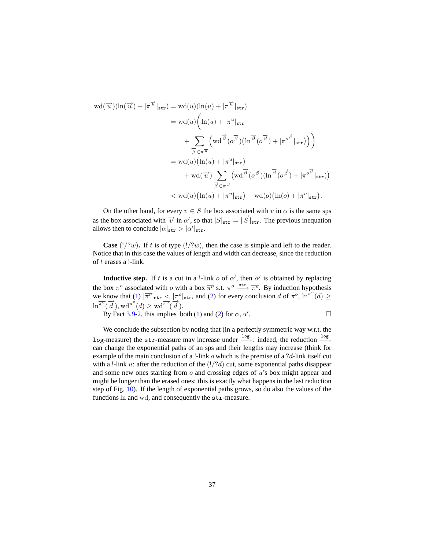$$
wd(\overrightarrow{u})(\ln(\overrightarrow{u}) + |\pi^{\overrightarrow{u}}|_{str}) = wd(u)(\ln(u) + |\pi^{\overrightarrow{u}}|_{str})
$$
  
\n
$$
= wd(u) \left( \ln(u) + |\pi^u|_{str} + \sum_{\overrightarrow{\beta} \in \pi^{\overrightarrow{u}}} \left( wd^{\overrightarrow{\beta}}(o^{\overrightarrow{\beta}})(\ln^{\overrightarrow{\beta}}(o^{\overrightarrow{\beta}}) + |\pi^{o^{\overrightarrow{\beta}}}|_{str}) \right) \right)
$$
  
\n
$$
= wd(u)(\ln(u) + |\pi^u|_{str}) + wd(\overrightarrow{u}) \sum_{\overrightarrow{\beta} \in \pi^{\overrightarrow{u}}} \left( wd^{\overrightarrow{\beta}}(o^{\overrightarrow{\beta}})(\ln^{\overrightarrow{\beta}}(o^{\overrightarrow{\beta}}) + |\pi^{o^{\overrightarrow{\beta}}}|_{str}) \right)
$$
  
\n
$$
< wd(u)(\ln(u) + |\pi^u|_{str}) + wd(o)(\ln(o) + |\pi^o|_{str}).
$$

On the other hand, for every  $v \in S$  the box associated with v in  $\alpha$  is the same sps as the box associated with  $\vec{v}$  in  $\alpha'$ , so that  $|S|_{str} = |\vec{S}|_{str}$ . The previous inequation allows then to conclude  $|\alpha|_{\text{str}} > |\alpha'|_{\text{str}}$ .

**Case** ( $!/?w$ ). If t is of type ( $!/?w$ ), then the case is simple and left to the reader. Notice that in this case the values of length and width can decrease, since the reduction of t erases a !-link.

**Inductive step.** If t is a cut in a !-link o of  $\alpha'$ , then  $\alpha'$  is obtained by replacing the box  $\pi^o$  associated with *o* with a box  $\overline{\pi^o}$  s.t.  $\pi^o \xrightarrow{\text{str}} \overline{\pi^o}$ . By induction hypothesis we know that [\(1\)](#page-30-2)  $|\overline{\pi}^{\circ}|_{\text{str}} < |\pi^{\circ}|_{\text{str}}$ , and [\(2\)](#page-30-1) for every conclusion d of  $\pi^{\circ}$ ,  $\ln^{\pi^{\circ}}(d) \ge$  $\ln^{\pi^o}(\overrightarrow{d})$ , wd<sup> $\pi^o(d) \geq \text{wd}^{\pi^o}(\overrightarrow{d})$ .</sup>

By Fact [3.9-](#page-29-3)[2,](#page-29-5) this implies both [\(1\)](#page-30-2) and [\(2\)](#page-30-1) for  $\alpha$ ,  $\alpha'$ . . — Процессиональные просто производительные производительные производительные производительные прои<br>В соответствие производительные производительные производительные производительные производительные производит<br>В соответ

We conclude the subsection by noting that (in a perfectly symmetric way w.r.t. the log-measure) the str-measure may increase under  $\frac{log}{ }$ : indeed, the reduction  $\frac{log}{ }$ can change the exponential paths of an sps and their lengths may increase (think for example of the main conclusion of a !-link  $o$  which is the premise of a ?d-link itself cut with a !-link u: after the reduction of the  $(!/?d)$  cut, some exponential paths disappear and some new ones starting from  $o$  and crossing edges of  $u$ 's box might appear and might be longer than the erased ones: this is exactly what happens in the last reduction step of Fig. [10\)](#page-21-0). If the length of exponential paths grows, so do also the values of the functions ln and wd, and consequently the str-measure.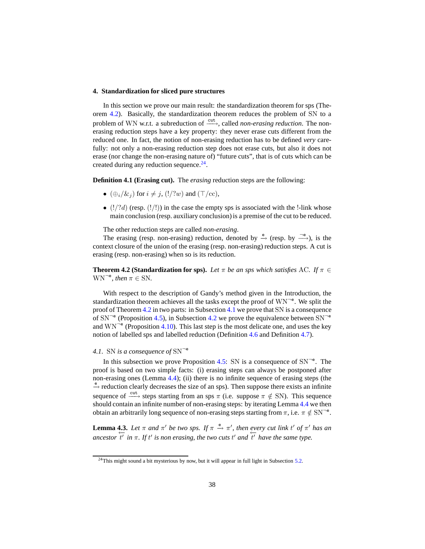### <span id="page-37-5"></span><span id="page-37-4"></span><span id="page-37-1"></span>**4. Standardization for sliced pure structures**

In this section we prove our main result: the standardization theorem for sps (Theorem [4.2\)](#page-37-0). Basically, the standardization theorem reduces the problem of SN to a problem of WN w.r.t. a subreduction of  $\frac{\text{cut}}{\text{cut}}$ , called *non-erasing reduction*. The nonerasing reduction steps have a key property: they never erase cuts different from the reduced one. In fact, the notion of non-erasing reduction has to be defined *very* carefully: not only a non-erasing reduction step does not erase cuts, but also it does not erase (nor change the non-erasing nature of) "future cuts", that is of cuts which can be created during any reduction sequence. $24$ .

<span id="page-37-2"></span>**Definition 4.1 (Erasing cut).** The *erasing* reduction steps are the following:

- $(\bigoplus_i/\&i)$  for  $i \neq j$ ,  $(!/?w)$  and  $(\top/cc)$ ,
- $(!/?d)$  (resp.  $(!/!)$ ) in the case the empty sps is associated with the !-link whose main conclusion (resp. auxiliary conclusion) is a premise of the cut to be reduced.

The other reduction steps are called *non-erasing*.

The erasing (resp. non-erasing) reduction, denoted by  $\stackrel{e}{\rightarrow}$  (resp. by  $\stackrel{\neg e}{\longrightarrow}$ ), is the context closure of the union of the erasing (resp. non-erasing) reduction steps. A cut is erasing (resp. non-erasing) when so is its reduction.

<span id="page-37-0"></span>**Theorem 4.2 (Standardization for sps).** *Let*  $\pi$  *be an sps which satisfies* AC. *If*  $\pi \in$  $WN^{-e}$ , then  $\pi \in SN$ .

With respect to the description of Gandy's method given in the Introduction, the standardization theorem achieves all the tasks except the proof of  $WN^{-e}$ . We split the proof of Theorem [4.2](#page-37-0) in two parts: in Subsection [4.1](#page-37-3) we prove that SN is a consequence of  $SN^{-e}$  (Proposition [4.5\)](#page-38-1), in Subsection [4.2](#page-38-2) we prove the equivalence between  $SN^{-e}$ and  $WN^{-e}$  (Proposition [4.10\)](#page-40-0). This last step is the most delicate one, and uses the key notion of labelled sps and labelled reduction (Definition [4.6](#page-39-0) and Definition [4.7\)](#page-39-1).

## <span id="page-37-3"></span>*4.1.* SN *is a consequence of* SN<sup>¬</sup><sup>e</sup>

In this subsection we prove Proposition [4.5:](#page-38-1) SN is a consequence of  $SN^{-e}$ . The proof is based on two simple facts: (i) erasing steps can always be postponed after non-erasing ones (Lemma [4.4\)](#page-38-0); (ii) there is no infinite sequence of erasing steps (the <sup>e</sup>−→ reduction clearly decreases the size of an sps). Then suppose there exists an infinite sequence of  $\xrightarrow{\text{cut}}$  steps starting from an sps  $\pi$  (i.e. suppose  $\pi \notin SN$ ). This sequence should contain an infinite number of non-erasing steps: by iterating Lemma [4.4](#page-38-0) we then obtain an arbitrarily long sequence of non-erasing steps starting from  $\pi$ , i.e.  $\pi \notin SN^{-e}$ .

<span id="page-37-7"></span>**Lemma 4.3.** Let  $\pi$  and  $\pi'$  be two sps. If  $\pi \stackrel{e}{\rightarrow} \pi'$ , then every cut link t' of  $\pi'$  has an  $\frac{1}{t}$  in  $\pi$ . If t' is non erasing, the two cuts t' and  $\frac{1}{t}$  have the same type.

<span id="page-37-6"></span><sup>&</sup>lt;sup>24</sup>This might sound a bit mysterious by now, but it will appear in full light in Subsection [5.2.](#page-50-0)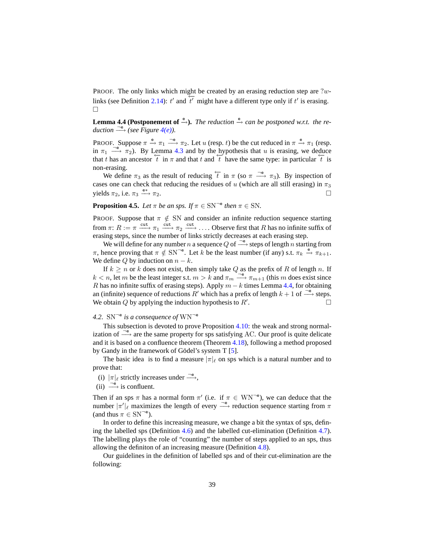<span id="page-38-4"></span><span id="page-38-3"></span>PROOF. The only links which might be created by an erasing reduction step are ?w-links (see Definition [2.14\)](#page-16-2):  $t'$  and  $\overline{t'}$  might have a different type only if  $t'$  is erasing.  $\Box$ 

<span id="page-38-0"></span>**Lemma 4.4 (Postponement of**  $\stackrel{e}{\rightarrow}$ ). *The reduction*  $\stackrel{e}{\rightarrow}$  *can be postponed w.r.t. the reduction*  $\longrightarrow$  *(see Figure [4\(e\)\)](#page-12-7).* 

PROOF. Suppose  $\pi \stackrel{e}{\rightarrow} \pi_1 \stackrel{\neg e}{\longrightarrow} \pi_2$ . Let u (resp. t) be the cut reduced in  $\pi \stackrel{e}{\rightarrow} \pi_1$  (resp. in  $\pi_1 \stackrel{\neg e}{\longrightarrow} \pi_2$ ). By Lemma [4.3](#page-37-7) and by the hypothesis that u is erasing, we deduce that t has an ancestor  $\overline{t}$  in  $\pi$  and that t and  $\overline{t}$  have the same type: in particular  $\overline{t}$  is non-erasing.

We define  $\pi_3$  as the result of reducing  $\overleftarrow{t}$  in  $\pi$  (so  $\pi \stackrel{\neg e}{\longrightarrow} \pi_3$ ). By inspection of cases one can check that reducing the residues of u (which are all still erasing) in  $\pi_3$ yields  $\pi_2$ , i.e.  $\pi_3 \xrightarrow{e*} \pi_2$ .  $e^*$   $\pi_2$ .

<span id="page-38-1"></span>**Proposition 4.5.** *Let*  $\pi$  *be an sps. If*  $\pi \in SN^{-e}$  *then*  $\pi \in SN$ *.* 

PROOF. Suppose that  $\pi \notin SN$  and consider an infinite reduction sequence starting from  $\pi: R := \pi \xrightarrow{\text{cut}} \pi_1 \xrightarrow{\text{cut}} \pi_2 \xrightarrow{\text{cut}} \dots$  Observe first that R has no infinite suffix of erasing steps, since the number of links strictly decreases at each erasing step.

We will define for any number n a sequence Q of  $\frac{\neg e}{\longrightarrow}$  steps of length n starting from  $\pi$ , hence proving that  $\pi \notin SN^{-e}$ . Let k be the least number (if any) s.t.  $\pi_k \stackrel{e}{\rightarrow} \pi_{k+1}$ . We define Q by induction on  $n - k$ .

If  $k \geq n$  or k does not exist, then simply take Q as the prefix of R of length n. If  $k < n$ , let m be the least integer s.t.  $m > k$  and  $\pi_m \stackrel{\neg e}{\longrightarrow} \pi_{m+1}$  (this m does exist since R has no infinite suffix of erasing steps). Apply  $m - k$  times Lemma [4.4,](#page-38-0) for obtaining an (infinite) sequence of reductions R' which has a prefix of length  $k + 1$  of  $\frac{\neg e}{\longrightarrow}$  steps. We obtain  $Q$  by applying the induction hypothesis to  $R'$ . .

# <span id="page-38-2"></span>*4.2.* SN<sup>¬</sup><sup>e</sup> *is a consequence of* WN<sup>¬</sup><sup>e</sup>

This subsection is devoted to prove Proposition [4.10:](#page-40-0) the weak and strong normalization of  $\stackrel{\neg e}{\longrightarrow}$  are the same property for sps satisfying AC. Our proof is quite delicate and it is based on a confluence theorem (Theorem [4.18\)](#page-47-0), following a method proposed by Gandy in the framework of Gödel's system  $T$  [\[5\]](#page-59-3).

The basic idea is to find a measure  $|\pi|_{\ell}$  on sps which is a natural number and to prove that:

- (i)  $|\pi|_{\ell}$  strictly increases under  $\stackrel{\neg e}{\longrightarrow}$ ,
- (ii)  $\stackrel{\neg e}{\longrightarrow}$  is confluent.

Then if an sps  $\pi$  has a normal form  $\pi'$  (i.e. if  $\pi \in WN^{-e}$ ), we can deduce that the number  $|\pi'|_{\ell}$  maximizes the length of every  $\stackrel{\neg e}{\longrightarrow}$  reduction sequence starting from  $\pi$ (and thus  $\pi \in \text{SN}^{-\mathsf{e}}$ ).

In order to define this increasing measure, we change a bit the syntax of sps, defining the labelled sps (Definition [4.6\)](#page-39-0) and the labelled cut-elimination (Definition [4.7\)](#page-39-1). The labelling plays the role of "counting" the number of steps applied to an sps, thus allowing the definiton of an increasing measure (Definition [4.8\)](#page-39-2).

Our guidelines in the definition of labelled sps and of their cut-elimination are the following: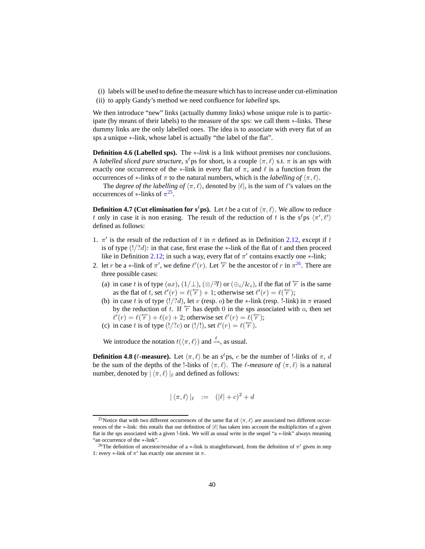- (i) labels will be used to define the measure which has to increase under cut-elimination
- (ii) to apply Gandy's method we need confluence for *labelled* sps.

We then introduce "new" links (actually dummy links) whose unique role is to participate (by means of their labels) to the measure of the sps: we call them ∗-links. These dummy links are the only labelled ones. The idea is to associate with every flat of an sps a unique  $*$ -link, whose label is actually "the label of the flat".

<span id="page-39-0"></span>**Definition 4.6 (Labelled sps).** The ∗*-link* is a link without premises nor conclusions. A *labelled sliced pure structure*,  $s^{\ell}$  ps for short, is a couple  $\langle \pi, \ell \rangle$  s.t.  $\pi$  is an sps with exactly one occurrence of the  $*$ -link in every flat of  $\pi$ , and  $\ell$  is a function from the occurrences of ∗-links of  $\pi$  to the natural numbers, which is the *labelling of*  $\langle \pi, \ell \rangle$ .

The *degree of the labelling of*  $\langle \pi, \ell \rangle$ , denoted by  $|\ell|$ , is the sum of  $\ell$ 's values on the occurrences of  $\ast$ -links of  $\pi^{25}$  $\pi^{25}$  $\pi^{25}$ .

<span id="page-39-1"></span>**Definition 4.7 (Cut elimination for s<sup>ℓ</sup>ps).** Let t be a cut of  $\langle \pi, \ell \rangle$ . We allow to reduce t only in case it is non erasing. The result of the reduction of t is the  $s^{\ell}$ ps  $\langle \pi', \ell' \rangle$ defined as follows:

- 1.  $\pi'$  is the result of the reduction of t in  $\pi$  defined as in Definition [2.12,](#page-14-0) except if t is of type  $(!/?d)$ : in that case, first erase the ∗-link of the flat of t and then proceed like in Definition [2.12;](#page-14-0) in such a way, every flat of  $\pi'$  contains exactly one \*-link;
- 2. let r be a ∗-link of  $\pi'$ , we define  $\ell'(r)$ . Let  $\overleftarrow{r}$  be the ancestor of r in  $\pi^{26}$  $\pi^{26}$  $\pi^{26}$ . There are three possible cases:
	- (a) in case t is of type  $(ax)$ ,  $(1/\perp)$ ,  $(\otimes/\mathfrak{B})$  or  $(\oplus_i/\mathfrak{C}_i)$ , if the flat of  $\overleftarrow{r}$  is the same as the flat of t, set  $\ell'(r) = \ell(\overleftarrow{r}) + 1$ ; otherwise set  $\ell'(r) = \ell(\overleftarrow{r})$ ;
	- (b) in case t is of type  $(!/?d)$ , let v (resp. o) be the \*-link (resp. !-link) in  $\pi$  erased by the reduction of t. If  $\overline{r}$  has depth 0 in the sps associated with o, then set  $\ell'(r) = \ell(\overleftarrow{r}) + \ell(v) + 2$ ; otherwise set  $\ell'(r) = \ell(\overleftarrow{r})$ ;
	- (c) in case t is of type  $(!/?c)$  or  $(!/!)$ , set  $\ell'(r) = \ell(\overleftarrow{r})$ .

We introduce the notation  $t(\langle \pi, \ell \rangle)$  and  $\stackrel{\ell}{\rightarrow}$ , as usual.

<span id="page-39-2"></span>**Definition 4.8** ( $\ell$ -measure). Let  $\langle \pi, \ell \rangle$  be an s<sup> $\ell$ </sup>ps, c be the number of !-links of  $\pi$ , d be the sum of the depths of the !-links of  $\langle \pi, \ell \rangle$ . The *l*-measure of  $\langle \pi, \ell \rangle$  is a natural number, denoted by  $|\langle \pi, \ell \rangle|_{\ell}$  and defined as follows:

$$
|\langle \pi, \ell \rangle|_{\ell} := (|\ell| + c)^2 + d
$$

<span id="page-39-3"></span><sup>&</sup>lt;sup>25</sup>Notice that with two different occurrences of the same flat of  $\langle \pi, \ell \rangle$  are associated two different occurrences of the ∗-link: this entails that our definition of  $|\ell|$  has taken into account the multiplicities of a given flat in the sps associated with a given !-link. We will as usual write in the sequel "a ∗-link" always meaning "an occurrence of the ∗-link".

<span id="page-39-4"></span><sup>&</sup>lt;sup>26</sup>The definition of ancestor/residue of a \*-link is straightforward, from the definition of  $\pi'$  given in step 1: every  $*$ -link of  $\pi'$  has exactly one ancestor in  $\pi$ .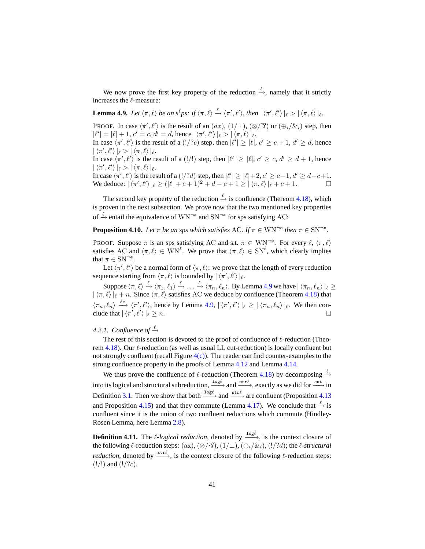<span id="page-40-4"></span>We now prove the first key property of the reduction  $\stackrel{\ell}{\rightarrow}$ , namely that it strictly increases the  $\ell$ -measure:

<span id="page-40-3"></span><span id="page-40-2"></span>**Lemma 4.9.** Let  $\langle \pi, \ell \rangle$  be an  $s^{\ell}ps$ : if  $\langle \pi, \ell \rangle \stackrel{\ell}{\rightarrow} \langle \pi', \ell' \rangle$ , then  $|\langle \pi', \ell' \rangle|_{\ell} > |\langle \pi, \ell \rangle|_{\ell}$ .

**PROOF.** In case  $\langle \pi', \ell' \rangle$  is the result of an  $(ax)$ ,  $(1/\perp)$ ,  $(\otimes/\mathfrak{B})$  or  $(\oplus_i/\&i)$  step, then  $|\ell'| = |\ell| + 1, c' = c, d' = d$ , hence  $|\langle \pi', \ell' \rangle|_{\ell} > |\langle \pi, \ell \rangle|_{\ell}$ . In case  $\langle \pi', \ell' \rangle$  is the result of a  $(!/?c)$  step, then  $|\ell'| \geq |\ell|, c' \geq c+1, d' \geq d$ , hence  $|\langle \pi', \ell' \rangle|_{\ell} > |\langle \pi, \ell \rangle|_{\ell}.$ In case  $\langle \pi', \ell' \rangle$  is the result of a (!/!) step, then  $|\ell'| \geq |\ell|, c' \geq c, d' \geq d+1$ , hence  $|\langle \pi', \ell' \rangle|_{\ell} > |\langle \pi, \ell \rangle|_{\ell}.$ In case  $\langle \pi', \ell' \rangle$  is the result of a  $(!/?d)$  step, then  $|\ell'| \geq |\ell| + 2, c' \geq c-1, d' \geq d-c+1$ . We deduce:  $|\langle \pi', \ell' \rangle|_{\ell} \geq (|\ell| + c + 1)^2 + d - c + 1 \geq |\langle \pi, \ell \rangle|_{\ell} + c + 1.$ 

The second key property of the reduction  $\stackrel{\ell}{\rightarrow}$  is confluence (Thereom [4.18\)](#page-47-0), which is proven in the next subsection. We prove now that the two mentioned key properties of  $\stackrel{\ell}{\rightarrow}$  entail the equivalence of WN<sup> $\lnot$ e</sup> and SN<sup> $\lnot$ e</sup> for sps satisfying AC:

<span id="page-40-0"></span>**Proposition 4.10.** *Let*  $\pi$  *be an sps which satisfies* AC. *If*  $\pi \in \text{WN}^{-e}$  *then*  $\pi \in \text{SN}^{-e}$ *.* 

PROOF. Suppose  $\pi$  is an sps satisfying AC and s.t.  $\pi \in \text{WN}^{-\text{e}}$ . For every  $\ell$ ,  $\langle \pi, \ell \rangle$ satisfies AC and  $\langle \pi, \ell \rangle \in \text{WN}^{\ell}$ . We prove that  $\langle \pi, \ell \rangle \in \text{SN}^{\ell}$ , which clearly implies that  $\pi \in \text{SN}^{\neg \mathsf{e}}$ .

Let  $\langle \pi', \ell' \rangle$  be a normal form of  $\langle \pi, \ell \rangle$ : we prove that the length of every reduction sequence starting from  $\langle \pi, \ell \rangle$  is bounded by  $| \langle \pi', \ell' \rangle |_{\ell}$ .

Suppose  $\langle \pi, \ell \rangle \stackrel{\ell}{\to} \langle \pi_1, \ell_1 \rangle \stackrel{\ell}{\to} \ldots \stackrel{\ell}{\to} \langle \pi_n, \ell_n \rangle$ . By Lemma [4.9](#page-40-4) we have  $|\langle \pi_n, \ell_n \rangle|_{\ell} \ge$  $|\langle \pi, \ell \rangle|_{\ell} + n$ . Since  $\langle \pi, \ell \rangle$  satisfies AC we deduce by confluence (Theorem [4.18\)](#page-47-0) that  $\langle \pi_n, \ell_n \rangle \stackrel{\ell^*}{\longrightarrow} \langle \pi', \ell' \rangle$ , hence by Lemma [4.9,](#page-40-4)  $|\langle \pi', \ell' \rangle|_{\ell} \geq |\langle \pi_n, \ell_n \rangle|_{\ell}$ . We then conclude that  $|\langle \pi', \ell' \rangle|$  $\geq n.$ 

### <span id="page-40-1"></span>4.2.1. Confluence of  $\stackrel{\ell}{\rightarrow}$

The rest of this section is devoted to the proof of confluence of  $\ell$ -reduction (Theo-rem [4.18\)](#page-47-0). Our  $\ell$ -reduction (as well as usual LL cut-reduction) is locally confluent but not strongly confluent (recall Figure  $4(c)$ ). The reader can find counter-examples to the strong confluence property in the proofs of Lemma [4.12](#page-41-0) and Lemma [4.14.](#page-42-0)

We thus prove the confluence of  $\ell$ -reduction (Theorem [4.18\)](#page-47-0) by decomposing  $\stackrel{\ell}{\rightarrow}$ into its logical and structural subreduction,  $\frac{\log \ell}{\ell}$  and  $\frac{\text{str}\ell}{\ell}$ , exactly as we did for  $\frac{\text{cut}}{\ell}$  in Definition [3.1.](#page-24-1) Then we show that both  $\frac{log\ell}{\ell}$  and  $\frac{str\ell}{\ell}$  are confluent (Proposition [4.13](#page-42-3) and Proposition [4.15\)](#page-45-3) and that they commute (Lemma [4.17\)](#page-47-1). We conclude that  $\stackrel{\ell}{\rightarrow}$  is confluent since it is the union of two confluent reductions which commute (Hindley-Rosen Lemma, here Lemma [2.8\)](#page-12-8).

**Definition 4.11.** The  $\ell$ -*logical reduction*, denoted by  $\frac{\log \ell}{\ell}$ , is the context closure of the following  $\ell$ -reduction steps: (ax),  $(\otimes/\gamma)$ ,  $(1/\bot)$ ,  $(\oplus_i/\&i)$ ,  $(!/?d)$ ; the  $\ell$ -*structural reduction*, denoted by  $\xrightarrow{\text{str}\ell}$ , is the context closure of the following  $\ell$ -reduction steps:  $(!/!)$  and  $(!/?c)$ .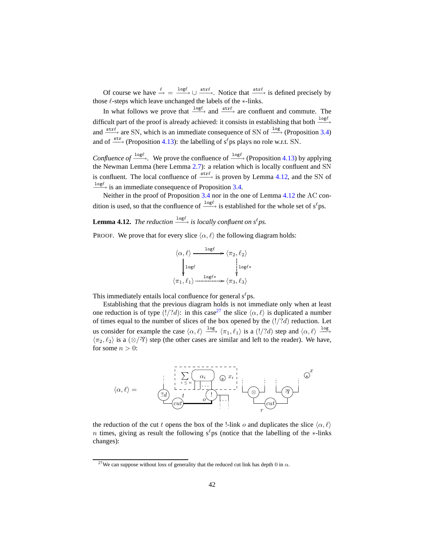Of course we have  $\stackrel{\ell}{\rightarrow} = \frac{\log \ell}{\longrightarrow} \cup \stackrel{\text{str}\ell}{\longrightarrow}$ . Notice that  $\stackrel{\text{str}\ell}{\longrightarrow}$  is defined precisely by those  $\ell$ -steps which leave unchanged the labels of the  $*$ -links.

In what follows we prove that  $\frac{log\ell}{\ell}$  and  $\frac{str\ell}{\ell}$  are confluent and commute. The difficult part of the proof is already achieved: it consists in establishing that both  $\frac{log\ell}{\ell}$ and  $\xrightarrow{\text{str}\ell}$  are SN, which is an immediate consequence of SN of  $\xrightarrow{\text{log}}$  (Proposition [3.4\)](#page-25-0) and of  $\xrightarrow{\text{str}}$  (Proposition [4.13\)](#page-42-3): the labelling of s<sup>ℓ</sup>ps plays no role w.r.t. SN.

*Confluence of*  $\frac{\log \ell}{\log \ell}$ . We prove the confluence of  $\frac{\log \ell}{\epsilon}$  (Proposition [4.13\)](#page-42-3) by applying the Newman Lemma (here Lemma [2.7\)](#page-12-9): a relation which is locally confluent and SN is confluent. The local confluence of  $\xrightarrow{\text{str}\ell}$  is proven by Lemma [4.12,](#page-41-0) and the SN of  $\frac{log\ell}{\ell}$  is an immediate consequence of Proposition [3.4.](#page-25-0)

<span id="page-41-0"></span>Neither in the proof of Proposition [3.4](#page-25-0) nor in the one of Lemma [4.12](#page-41-0) the AC condition is used, so that the confluence of  $\frac{\log \ell}{\ell}$  is established for the whole set of s<sup>ℓ</sup>ps.

**Lemma 4.12.** *The reduction*  $\frac{\log \ell}{\epsilon}$  *is locally confluent on s<sup>e</sup>ps.* 

PROOF. We prove that for every slice  $\langle \alpha, \ell \rangle$  the following diagram holds:

<span id="page-41-1"></span>
$$
\langle \alpha, \ell \rangle \xrightarrow{\log \ell} \langle \pi_2, \ell_2 \rangle
$$
  
\n
$$
\downarrow \log \ell
$$
  
\n
$$
\langle \pi_1, \ell_1 \rangle \xrightarrow{\log \ell*} \langle \pi_3, \ell_3 \rangle
$$

This immediately entails local confluence for general  $s^{\ell}$ ps.

Establishing that the previous diagram holds is not immediate only when at least one reduction is of type (!/?d): in this case<sup>[27](#page-41-2)</sup> the slice  $\langle \alpha, \ell \rangle$  is duplicated a number of times equal to the number of slices of the box opened by the  $(!/?d)$  reduction. Let us consider for example the case  $\langle \alpha, \ell \rangle \stackrel{\text{log}}{\longrightarrow} \langle \pi_1, \ell_1 \rangle$  is a  $(1/?d)$  step and  $\langle \alpha, \ell \rangle \stackrel{\text{log}}{\longrightarrow}$  $\langle \pi_2, \ell_2 \rangle$  is a  $(\otimes/\mathfrak{B})$  step (the other cases are similar and left to the reader). We have, for some  $n > 0$ :



the reduction of the cut t opens the box of the !-link o and duplicates the slice  $\langle \alpha, \ell \rangle$ n times, giving as result the following s<sup>ℓ</sup>ps (notice that the labelling of the ∗-links changes):

<span id="page-41-2"></span><sup>&</sup>lt;sup>27</sup>We can suppose without loss of generality that the reduced cut link has depth 0 in  $\alpha$ .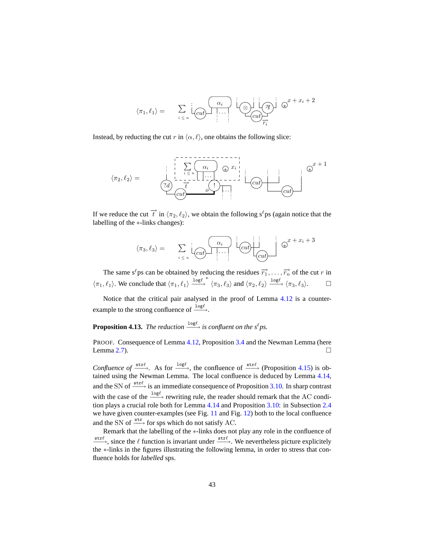<span id="page-42-1"></span>
$$
\langle \pi_1, \ell_1 \rangle = \sum_{i \leq n} \underbrace{\left[ \underbrace{\alpha_i}_{\text{cut}} \right] \cdots}_{\text{cut}} \underbrace{\left[ \underbrace{\alpha_i}_{\text{cut}} \right]}_{\overline{r_i}} \underbrace{\mathbb{Q}^x}_{\text{tr}} + x_i + 2
$$

<span id="page-42-2"></span>Instead, by reducting the cut r in  $\langle \alpha, \ell \rangle$ , one obtains the following slice:

$$
\langle \pi_2, \ell_2 \rangle = \qquad \qquad \frac{\begin{vmatrix} \frac{1}{2} & \frac{1}{2} & \frac{1}{2} & \frac{1}{2} & \frac{1}{2} & \cdots & \frac{1}{2} \\ \frac{1}{2} & \frac{1}{2} & \frac{1}{2} & \cdots & \cdots & \cdots & \cdots \\ \frac{1}{2} & \frac{1}{2} & \cdots & \frac{1}{2} & \cdots & \cdots & \cdots & \cdots \end{vmatrix}}{\begin{pmatrix} 2d & \frac{1}{2} & \cdots & \frac{1}{2} & \cdots & \cdots & \cdots \\ \frac{1}{2} & \cdots & \cdots & \cdots & \cdots & \cdots & \cdots \\ \frac{1}{2} & \cdots & \cdots & \cdots & \cdots & \cdots & \cdots \end{pmatrix}}{\begin{pmatrix} 2d & \cdots & \cdots & \cdots & \cdots & \cdots & \cdots \\ \frac{1}{2} & \cdots & \cdots & \cdots & \cdots & \cdots & \cdots \\ \frac{1}{2} & \cdots & \cdots & \cdots & \cdots & \cdots & \cdots \end{pmatrix}}{\begin{pmatrix} 2d & \cdots & \cdots & \cdots & \cdots & \cdots & \cdots \\ \frac{1}{2} & \cdots & \cdots & \cdots & \cdots & \cdots & \cdots \\ \frac{1}{2} & \cdots & \cdots & \cdots & \cdots & \cdots & \cdots \end{vmatrix}}{\begin{pmatrix} 2d & \cdots & \cdots & \cdots & \cdots & \cdots \\ \frac{1}{2} & \cdots & \cdots & \cdots & \cdots & \cdots \\ \frac{1}{2} & \cdots & \cdots & \cdots & \cdots & \cdots & \cdots \end{pmatrix}}{\
$$

If we reduce the cut  $\vec{t}$  in  $\langle \pi_2, \ell_2 \rangle$ , we obtain the following s<sup>ℓ</sup>ps (again notice that the labelling of the ∗-links changes):

$$
\langle \pi_3, \ell_3 \rangle = \sum_{i \leq n} \left[ \underbrace{\begin{matrix} \alpha_i \\ \alpha_i \end{matrix}} \right] \cdots} \underbrace{\begin{matrix} \alpha_i \\ \alpha_i \end{matrix}} \right] \otimes^{x + x_i + 3}
$$

The same s<sup>ℓ</sup>ps can be obtained by reducing the residues  $\overrightarrow{r_1}, \ldots, \overrightarrow{r_n}$  of the cut r in  $\langle \pi_1, \ell_1 \rangle$ . We conclude that  $\langle \pi_1, \ell_1 \rangle \xrightarrow{\text{log}\ell} \langle \pi_3, \ell_3 \rangle$  and  $\langle \pi_2, \ell_2 \rangle \xrightarrow{\text{log}\ell} \langle \pi_3, \ell_3 \rangle$ .

<span id="page-42-3"></span>Notice that the critical pair analysed in the proof of Lemma [4.12](#page-41-0) is a counterexample to the strong confluence of  $\frac{\log \ell}{\ell}$ .

# **Proposition 4.13.** The reduction  $\frac{log\ell}{\ell}$  is confluent on the s<sup> $\ell$ </sup>ps.

PROOF. Consequence of Lemma [4.12,](#page-41-0) Proposition [3.4](#page-25-0) and the Newman Lemma (here Lemma [2.7\)](#page-12-9).

*Confluence of*  $\xrightarrow{\text{str}\ell}$ . As for  $\xrightarrow{\log\ell}$ , the confluence of  $\xrightarrow{\text{str}\ell}$  (Proposition [4.15\)](#page-45-3) is obtained using the Newman Lemma. The local confluence is deduced by Lemma [4.14,](#page-42-0) and the SN of  $\xrightarrow{\text{str}\ell}$  is an immediate consequence of Proposition [3.10.](#page-29-0) In sharp contrast with the case of the  $\frac{\log \ell}{\epsilon}$  rewriting rule, the reader should remark that the AC condition plays a crucial role both for Lemma [4.14](#page-42-0) and Proposition [3.10:](#page-29-0) in Subsection [2.4](#page-18-0) we have given counter-examples (see Fig. [11](#page-21-1) and Fig. [12\)](#page-22-0) both to the local confluence and the SN of  $\xrightarrow{\text{str}}$  for sps which do not satisfy AC.

<span id="page-42-0"></span>Remark that the labelling of the ∗-links does not play any role in the confluence of  $\frac{\text{str}\ell}{\longrightarrow}$ , since the  $\ell$  function is invariant under  $\frac{\text{str}\ell}{\longrightarrow}$ . We nevertheless picture explicitely the ∗-links in the figures illustrating the following lemma, in order to stress that confluence holds for *labelled* sps.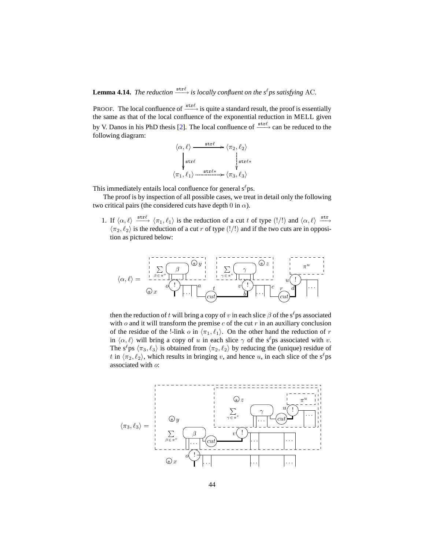**Lemma 4.14.** *The reduction*  $\xrightarrow{\text{str}\ell}$  *is locally confluent on the*  $s^{\ell}$ *ps satisfying* AC.

PROOF. The local confluence of  $\xrightarrow{\text{str}\ell}$  is quite a standard result, the proof is essentially the same as that of the local confluence of the exponential reduction in MELL given by V. Danos in his PhD thesis [\[2\]](#page-59-6). The local confluence of  $\xrightarrow{\text{str}\ell}$  can be reduced to the following diagram:

$$
\langle \alpha, \ell \rangle \xrightarrow{\text{str}\ell} \langle \pi_2, \ell_2 \rangle
$$
  
\n
$$
\downarrow^{\text{str}\ell} \qquad \qquad \downarrow^{\text{str}\ell*} \qquad \qquad \downarrow^{\text{str}\ell*}
$$
  
\n
$$
\langle \pi_1, \ell_1 \rangle \xrightarrow{\text{str}\ell*} \langle \pi_3, \ell_3 \rangle
$$

This immediately entails local confluence for general  $s^{\ell}$ ps.

The proof is by inspection of all possible cases, we treat in detail only the following two critical pairs (the considered cuts have depth 0 in  $\alpha$ ).

1. If  $\langle \alpha, \ell \rangle \stackrel{\text{str}}{\longrightarrow} \langle \pi_1, \ell_1 \rangle$  is the reduction of a cut t of type  $(!/!)$  and  $\langle \alpha, \ell \rangle \stackrel{\text{str}}{\longrightarrow}$  $\langle \pi_2, \ell_2 \rangle$  is the reduction of a cut r of type (!/!) and if the two cuts are in opposition as pictured below:

$$
\langle \alpha, \ell \rangle = \begin{array}{c} \begin{array}{c} \begin{array}{c} \uparrow \\ \downarrow \\ \downarrow \end{array} & \begin{array}{c} \downarrow \\ \downarrow \\ \downarrow \end{array} & \begin{array}{c} \downarrow \\ \downarrow \\ \downarrow \end{array} & \begin{array}{c} \downarrow \\ \downarrow \\ \downarrow \end{array} & \begin{array}{c} \downarrow \\ \downarrow \\ \downarrow \end{array} & \begin{array}{c} \downarrow \\ \downarrow \\ \downarrow \end{array} & \begin{array}{c} \downarrow \\ \downarrow \\ \downarrow \end{array} & \begin{array}{c} \downarrow \\ \downarrow \\ \downarrow \end{array} & \begin{array}{c} \downarrow \\ \downarrow \\ \downarrow \end{array} & \begin{array}{c} \downarrow \\ \downarrow \\ \downarrow \end{array} & \begin{array}{c} \downarrow \\ \downarrow \\ \downarrow \end{array} & \begin{array}{c} \downarrow \\ \downarrow \\ \downarrow \end{array} & \begin{array}{c} \downarrow \\ \downarrow \\ \downarrow \end{array} & \begin{array}{c} \downarrow \\ \downarrow \\ \downarrow \end{array} & \begin{array}{c} \downarrow \\ \downarrow \\ \downarrow \end{array} & \begin{array}{c} \downarrow \\ \downarrow \\ \downarrow \end{array} & \begin{array}{c} \downarrow \\ \downarrow \\ \downarrow \end{array} & \begin{array}{c} \downarrow \\ \downarrow \\ \downarrow \end{array} & \begin{array}{c} \downarrow \\ \downarrow \\ \downarrow \end{array} & \begin{array}{c} \downarrow \\ \downarrow \\ \downarrow \end{array} & \begin{array}{c} \downarrow \\ \downarrow \\ \downarrow \end{array} & \begin{array}{c} \downarrow \\ \downarrow \\ \downarrow \end{array} & \begin{array}{c} \downarrow \\ \downarrow \\ \downarrow \end{array} & \begin{array}{c} \downarrow \\ \downarrow \\ \downarrow \end{array} & \begin{array}{c} \downarrow \\ \downarrow \\ \downarrow \end{array} & \begin{array}{c} \downarrow \\ \downarrow \\ \downarrow \end{array} & \begin{array}{c} \downarrow \\ \downarrow \\ \downarrow \end{array} & \begin{array}{c} \downarrow \\ \downarrow \\ \downarrow \end{array} & \begin{array}{c} \downarrow \\ \downarrow \\ \downarrow \end{array} & \begin{array}{c} \downarrow \\ \downarrow \\ \downarrow \end{array} & \begin{array}{c} \downarrow \\ \downarrow \\ \
$$

then the reduction of t will bring a copy of v in each slice  $\beta$  of the s<sup>l</sup>ps associated with  $o$  and it will transform the premise  $c$  of the cut  $r$  in an auxiliary conclusion of the residue of the !-link o in  $\langle \pi_1, \ell_1 \rangle$ . On the other hand the reduction of r in  $\langle \alpha, \ell \rangle$  will bring a copy of u in each slice  $\gamma$  of the s<sup> $\ell$ </sup>ps associated with v. The s<sup> $\ell$ </sup>ps  $\langle \pi_3, \ell_3 \rangle$  is obtained from  $\langle \pi_2, \ell_2 \rangle$  by reducing the (unique) residue of t in  $\langle \pi_2, \ell_2 \rangle$ , which results in bringing v, and hence u, in each slice of the s<sup> $\ell$ </sup>ps associated with o:

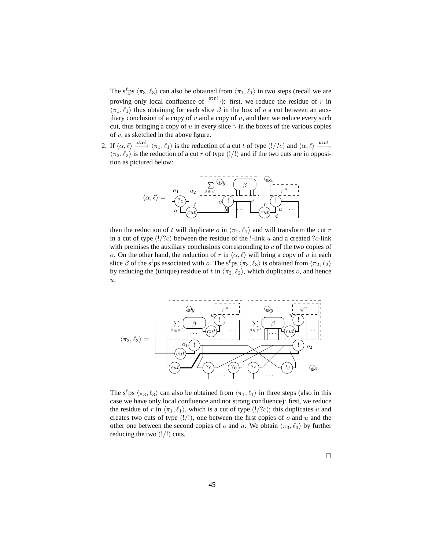The s<sup>ℓ</sup>ps  $\langle \pi_3, \ell_3 \rangle$  can also be obtained from  $\langle \pi_1, \ell_1 \rangle$  in two steps (recall we are proving only local confluence of  $\xrightarrow{\text{str}\ell}$ ): first, we reduce the residue of r in  $\langle \pi_1, \ell_1 \rangle$  thus obtaining for each slice  $\beta$  in the box of  $\alpha$  a cut between an auxiliary conclusion of a copy of  $v$  and a copy of  $u$ , and then we reduce every such cut, thus bringing a copy of u in every slice  $\gamma$  in the boxes of the various copies of  $v$ , as sketched in the above figure.

2. If  $\langle \alpha, \ell \rangle \stackrel{\text{str}\ell}{\longrightarrow} \langle \pi_1, \ell_1 \rangle$  is the reduction of a cut t of type  $(!/?c)$  and  $\langle \alpha, \ell \rangle \stackrel{\text{str}\ell}{\longrightarrow}$  $\langle \pi_2, \ell_2 \rangle$  is the reduction of a cut r of type (!/!) and if the two cuts are in opposition as pictured below:



then the reduction of t will duplicate o in  $\langle \pi_1, \ell_1 \rangle$  and will transform the cut r in a cut of type  $(!/?c)$  between the residue of the !-link u and a created ?c-link with premises the auxiliary conclusions corresponding to  $c$  of the two copies of o. On the other hand, the reduction of r in  $\langle \alpha, \ell \rangle$  will bring a copy of u in each slice  $\beta$  of the s<sup>ℓ</sup>ps associated with  $\alpha$ . The s<sup>ℓ</sup>ps  $\langle \pi_3, \ell_3 \rangle$  is obtained from  $\langle \pi_2, \ell_2 \rangle$ by reducing the (unique) residue of t in  $\langle \pi_2, \ell_2 \rangle$ , which duplicates o, and hence u:



The s<sup> $\ell$ </sup>ps  $\langle \pi_3, \ell_3 \rangle$  can also be obtained from  $\langle \pi_1, \ell_1 \rangle$  in three steps (also in this case we have only local confluence and not strong confluence): first, we reduce the residue of r in  $\langle \pi_1, \ell_1 \rangle$ , which is a cut of type  $(!/?c)$ ; this duplicates u and creates two cuts of type  $(!/!)$ , one between the first copies of o and u and the other one between the second copies of o and u. We obtain  $\langle \pi_3, \ell_3 \rangle$  by further reducing the two  $(|/|)$  cuts.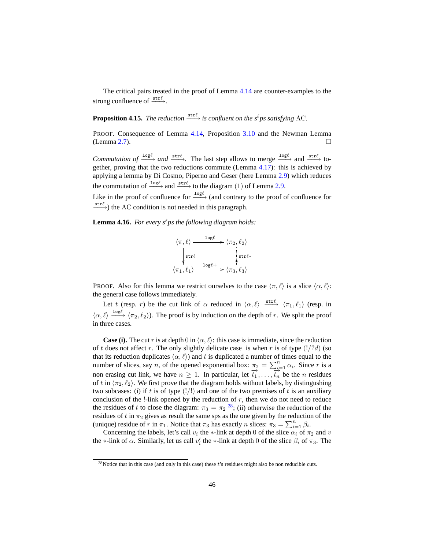<span id="page-45-3"></span>The critical pairs treated in the proof of Lemma [4.14](#page-42-0) are counter-examples to the strong confluence of  $\xrightarrow{\text{str}\ell}$ .

**Proposition 4.15.** *The reduction*  $\xrightarrow{\text{str}\ell}$  *is confluent on the s<sup>ℓ</sup>ps satisfying* AC.

PROOF. Consequence of Lemma [4.14,](#page-42-0) Proposition [3.10](#page-29-0) and the Newman Lemma (Lemma [2.7\)](#page-12-9).

*Commutation of*  $\frac{\log \ell}{\ell}$  *and*  $\frac{\text{str}\ell}{\ell}$ . The last step allows to merge  $\frac{\log \ell}{\ell}$  and  $\frac{\text{str}\ell}{\ell}$  together, proving that the two reductions commute (Lemma [4.17\)](#page-47-1): this is achieved by applying a lemma by Di Cosmo, Piperno and Geser (here Lemma [2.9\)](#page-12-10) which reduces the commutation of  $\frac{\log \ell}{\log \ell}$  and  $\frac{\text{str}\ell}{\ell}$  to the diagram (1) of Lemma [2.9.](#page-12-10)

<span id="page-45-0"></span>Like in the proof of confluence for  $\frac{log\ell}{\ell}$  (and contrary to the proof of confluence for  $\xrightarrow{\text{str}\ell}$ ) the AC condition is not needed in this paragraph.

**Lemma 4.16.** *For every s<sup>* $\ell$ *</sup> ps the following diagram holds:* 

<span id="page-45-2"></span><span id="page-45-1"></span>
$$
\langle \pi, \ell \rangle \xrightarrow{\log \ell} \langle \pi_2, \ell_2 \rangle
$$
  
\n
$$
\begin{matrix}\n\downarrow^{\text{str}\ell} \\
\downarrow^{\text{str}\ell} \\
\langle \pi_1, \ell_1 \rangle \xrightarrow{\log \ell +} \langle \pi_3, \ell_3 \rangle\n\end{matrix}
$$

PROOF. Also for this lemma we restrict ourselves to the case  $\langle \pi, \ell \rangle$  is a slice  $\langle \alpha, \ell \rangle$ : the general case follows immediately.

Let t (resp. r) be the cut link of  $\alpha$  reduced in  $\langle \alpha, \ell \rangle \stackrel{\text{str}\ell}{\longrightarrow} \langle \pi_1, \ell_1 \rangle$  (resp. in  $\langle \alpha, \ell \rangle \stackrel{\text{log}\ell}{\longrightarrow} \langle \pi_2, \ell_2 \rangle$ ). The proof is by induction on the depth of r. We split the proof in three cases.

**Case (i).** The cut r is at depth 0 in  $\langle \alpha, \ell \rangle$ : this case is immediate, since the reduction of t does not affect r. The only slightly delicate case is when r is of type  $(!/?d)$  (so that its reduction duplicates  $\langle \alpha, \ell \rangle$  and t is duplicated a number of times equal to the number of slices, say *n*, of the opened exponential box:  $\pi_2 = \sum_{i=1}^n \alpha_i$ . Since *r* is a non erasing cut link, we have  $n \ge 1$ . In particular, let  $\overrightarrow{t_1}, \ldots, \overrightarrow{t_n}$  be the *n* residues of t in  $\langle \pi_2, \ell_2 \rangle$ . We first prove that the diagram holds without labels, by distingushing two subcases: (i) if t is of type  $(!/!)$  and one of the two premises of t is an auxiliary conclusion of the  $!$ -link opened by the reduction of  $r$ , then we do not need to reduce the residues of t to close the diagram:  $\pi_3 = \pi_2^{28}$  $\pi_3 = \pi_2^{28}$  $\pi_3 = \pi_2^{28}$ ; (ii) otherwise the reduction of the residues of t in  $\pi_2$  gives as result the same sps as the one given by the reduction of the (unique) residue of r in  $\pi_1$ . Notice that  $\pi_3$  has exactly n slices:  $\pi_3 = \sum_{i=1}^n \beta_i$ .

Concerning the labels, let's call  $v_i$  the ∗-link at depth 0 of the slice  $\alpha_i$  of  $\pi_2$  and  $v$ the ∗-link of  $\alpha$ . Similarly, let us call  $v'_i$  the ∗-link at depth 0 of the slice  $\beta_i$  of  $\pi_3$ . The

<span id="page-45-4"></span><sup>&</sup>lt;sup>28</sup>Notice that in this case (and only in this case) these  $t$ 's residues might also be non reducible cuts.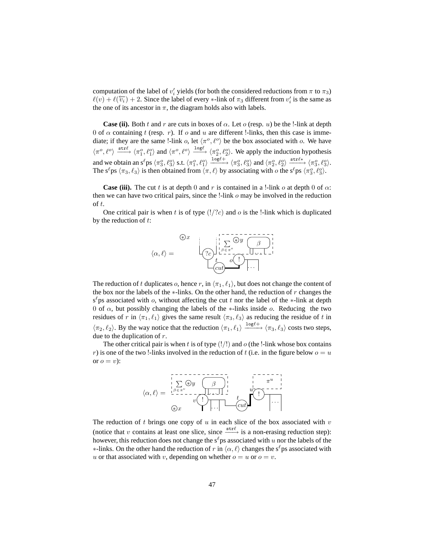computation of the label of  $v'_i$  yields (for both the considered reductions from  $\pi$  to  $\pi_3$ )  $\ell(v) + \ell(\overleftarrow{v_i}) + 2$ . Since the label of every \*-link of  $\pi_3$  different from  $v'_i$  is the same as the one of its ancestor in  $\pi$ , the diagram holds also with labels.

**Case (ii).** Both t and r are cuts in boxes of  $\alpha$ . Let  $\alpha$  (resp. u) be the !-link at depth 0 of  $\alpha$  containing t (resp. r). If  $\alpha$  and  $u$  are different !-links, then this case is immediate; if they are the same !-link o, let  $\langle \pi^{\circ}, \ell^{\circ} \rangle$  be the box associated with o. We have  $\langle \pi^o, \ell^o \rangle \xrightarrow{\text{str}\ell} \langle \pi_1^o, \ell_1^o \rangle$  and  $\langle \pi^o, \ell^o \rangle \xrightarrow{\text{log}\ell} \langle \pi_2^o, \ell_2^o \rangle$ . We apply the induction hypothesis and we obtain an s<sup>l</sup> ps  $\langle \pi_3^o, \ell_3^o \rangle$  s.t.  $\langle \pi_1^o, \ell_1^o \rangle \xrightarrow{\log l^+} \langle \pi_3^o, \ell_3^o \rangle$  and  $\langle \pi_2^o, \ell_2^o \rangle \xrightarrow{\text{strl} \ast} \langle \pi_3^o, \ell_3^o \rangle$ . The s<sup> $\ell$ </sup>ps  $\langle \pi_3, \ell_3 \rangle$  is then obtained from  $\langle \pi, \ell \rangle$  by associating with  $o$  the s<sup> $\ell$ </sup>ps  $\langle \pi_3^o, \ell_3^o \rangle$ .

**Case (iii).** The cut t is at depth 0 and r is contained in a !-link o at depth 0 of  $\alpha$ : then we can have two critical pairs, since the  $!$ -link  $\sigma$  may be involved in the reduction of t.

One critical pair is when t is of type  $(!/c)$  and o is the !-link which is duplicated by the reduction of  $t$ :



The reduction of t duplicates o, hence r, in  $\langle \pi_1, \ell_1 \rangle$ , but does not change the content of the box nor the labels of the  $*$ -links. On the other hand, the reduction of r changes the  $s^{\ell}$ ps associated with o, without affecting the cut t nor the label of the ∗-link at depth 0 of  $\alpha$ , but possibly changing the labels of the ∗-links inside  $\alpha$ . Reducing the two residues of r in  $\langle \pi_1, \ell_1 \rangle$  gives the same result  $\langle \pi_3, \ell_3 \rangle$  as reducing the residue of t in  $\langle \pi_2, \ell_2 \rangle$ . By the way notice that the reduction  $\langle \pi_1, \ell_1 \rangle \xrightarrow{\log \ell^+} \langle \pi_3, \ell_3 \rangle$  costs two steps, due to the duplication of r.

The other critical pair is when t is of type  $(|/|)$  and o (the !-link whose box contains r) is one of the two !-links involved in the reduction of t (i.e. in the figure below  $o = u$ or  $o = v$ :



The reduction of  $t$  brings one copy of  $u$  in each slice of the box associated with  $v$ (notice that v contains at least one slice, since  $\xrightarrow{\text{str}\ell}$  is a non-erasing reduction step): however, this reduction does not change the  $s^{\ell}$  ps associated with u nor the labels of the  $*$ -links. On the other hand the reduction of r in  $\langle \alpha, \ell \rangle$  changes the s<sup>ℓ</sup>ps associated with u or that associated with v, depending on whether  $o = u$  or  $o = v$ .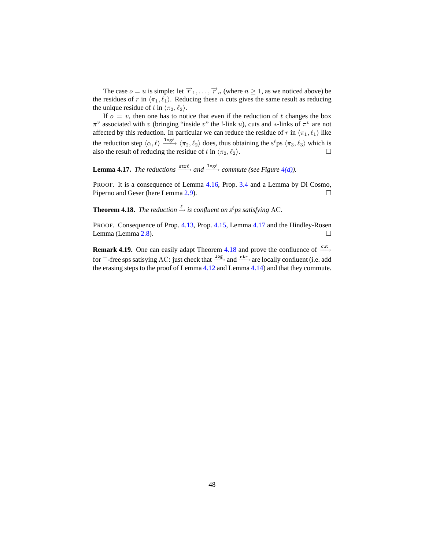<span id="page-47-4"></span><span id="page-47-3"></span>The case  $o = u$  is simple: let  $\overrightarrow{r}_1, \ldots, \overrightarrow{r}_n$  (where  $n \ge 1$ , as we noticed above) be the residues of r in  $\langle \pi_1, \ell_1 \rangle$ . Reducing these n cuts gives the same result as reducing the unique residue of t in  $\langle \pi_2, \ell_2 \rangle$ .

If  $o = v$ , then one has to notice that even if the reduction of t changes the box  $\pi^v$  associated with v (bringing "inside v" the !-link u), cuts and \*-links of  $\pi^v$  are not affected by this reduction. In particular we can reduce the residue of r in  $\langle \pi_1, \ell_1 \rangle$  like the reduction step  $\langle \alpha, \ell \rangle \stackrel{\text{log}\ell}{\longrightarrow} \langle \pi_2, \ell_2 \rangle$  does, thus obtaining the s<sup> $\ell$ </sup>ps  $\langle \pi_3, \ell_3 \rangle$  which is also the result of reducing the residue of t in  $\langle \pi_2, \ell_2 \rangle$ .

<span id="page-47-1"></span>**Lemma 4.17.** *The reductions*  $\xrightarrow{\text{str}\ell}$  *and*  $\xrightarrow{\text{log}\ell}$  *commute* (see Figure 4(*d*)).

PROOF. It is a consequence of Lemma [4.16,](#page-45-0) Prop. [3.4](#page-25-0) and a Lemma by Di Cosmo, Piperno and Geser (here Lemma [2.9\)](#page-12-10). □

<span id="page-47-0"></span>**Theorem 4.18.** *The reduction*  $\xrightarrow{\ell}$  *is confluent on s*<sup> $\ell$ </sup>*ps satisfying* AC.

PROOF. Consequence of Prop. [4.13,](#page-42-3) Prop. [4.15,](#page-45-3) Lemma [4.17](#page-47-1) and the Hindley-Rosen Lemma (Lemma [2.8\)](#page-12-8).  $\Box$ 

<span id="page-47-2"></span>**Remark 4.19.** One can easily adapt Theorem [4.18](#page-47-0) and prove the confluence of  $\frac{\text{cut}}{\text{}}$ for ⊤-free sps satisying AC: just check that  $\frac{log}{ }$  and  $\frac{str}{ }$  are locally confluent (i.e. add the erasing steps to the proof of Lemma [4.12](#page-41-0) and Lemma [4.14\)](#page-42-0) and that they commute.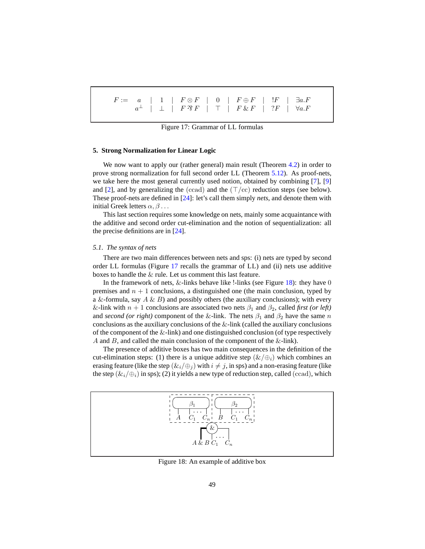<span id="page-48-2"></span>

|  |  | $F := a \mid 1 \mid F \otimes F \mid 0 \mid F \oplus F \mid F \mid \exists a.F$      |  |  |
|--|--|--------------------------------------------------------------------------------------|--|--|
|  |  | $a^{\perp}$   $\perp$   $F \mathcal{R} F$   $\top$   $F \& F$   $?F$   $\forall a.F$ |  |  |
|  |  |                                                                                      |  |  |

Figure 17: Grammar of LL formulas

### <span id="page-48-0"></span>**5. Strong Normalization for Linear Logic**

We now want to apply our (rather general) main result (Theorem [4.2\)](#page-37-0) in order to prove strong normalization for full second order LL (Theorem [5.12\)](#page-58-0). As proof-nets, we take here the most general currently used notion, obtained by combining [\[7\]](#page-59-4), [\[9](#page-59-14)] and [\[2\]](#page-59-6), and by generalizing the (ccad) and the  $(\top/cc)$  reduction steps (see below). These proof-nets are defined in [\[24](#page-60-2)]: let's call them simply *nets*, and denote them with initial Greek letters  $\alpha, \beta$ ...

This last section requires some knowledge on nets, mainly some acquaintance with the additive and second order cut-elimination and the notion of sequentialization: all the precise definitions are in [\[24\]](#page-60-2).

## <span id="page-48-1"></span>*5.1. The syntax of nets*

There are two main differences between nets and sps: (i) nets are typed by second order LL formulas (Figure [17](#page-48-2) recalls the grammar of LL) and (ii) nets use additive boxes to handle the & rule. Let us comment this last feature.

In the framework of nets,  $&$ -links behave like !-links (see Figure [18\)](#page-48-3): they have 0 premises and  $n + 1$  conclusions, a distinguished one (the main conclusion, typed by a &-formula, say  $A \& B$ ) and possibly others (the auxiliary conclusions); with every &-link with  $n + 1$  conclusions are associated two nets  $\beta_1$  and  $\beta_2$ , called *first (or left)* and *second (or right)* component of the &-link. The nets  $\beta_1$  and  $\beta_2$  have the same n conclusions as the auxiliary conclusions of the  $&$ -link (called the auxiliary conclusions of the component of the  $&$ -link) and one distinguished conclusion (of type respectively A and B, and called the main conclusion of the component of the  $&$ -link).

The presence of additive boxes has two main consequences in the definition of the cut-elimination steps: (1) there is a unique additive step  $(\&/\oplus_i)$  which combines an erasing feature (like the step  $(\&i_{i}/\oplus j)$  with  $i \neq j$ , in sps) and a non-erasing feature (like the step  $(\&i_{i}/\oplus j)$  in sps); (2) it yields a new type of reduction step, called (ccad), which

<span id="page-48-3"></span>

Figure 18: An example of additive box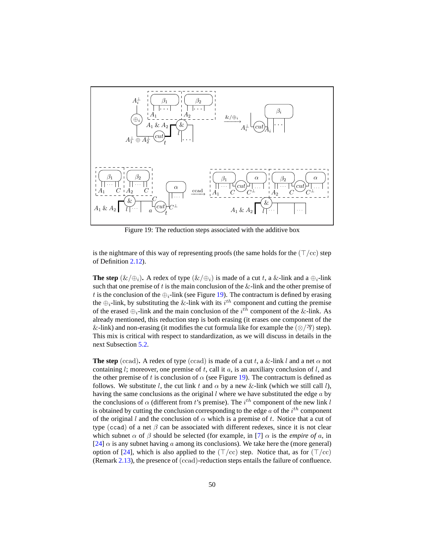<span id="page-49-0"></span>

Figure 19: The reduction steps associated with the additive box

is the nightmare of this way of representing proofs (the same holds for the  $(\top/cc)$ ) step of Definition [2.12\)](#page-14-0).

**The step** ( $\&/\oplus_i$ ). A redex of type ( $\&/\oplus_i$ ) is made of a cut t, a  $\&$ -link and a  $\oplus_i$ -link such that one premise of t is the main conclusion of the  $&$ -link and the other premise of t is the conclusion of the  $\bigoplus_i$ -link (see Figure [19\)](#page-49-0). The contractum is defined by erasing the  $\oplus_i$ -link, by substituting the &-link with its  $i^{th}$  component and cutting the premise of the erased  $\oplus_i$ -link and the main conclusion of the  $i^{th}$  component of the &-link. As already mentioned, this reduction step is both erasing (it erases one component of the &-link) and non-erasing (it modifies the cut formula like for example the  $(\otimes/\mathfrak{D})$  step). This mix is critical with respect to standardization, as we will discuss in details in the next Subsection [5.2.](#page-50-0)

**The step** (ccad). A redex of type (ccad) is made of a cut t, a &-link l and a net  $\alpha$  not containing l; moreover, one premise of t, call it  $a$ , is an auxiliary conclusion of l, and the other premise of t is conclusion of  $\alpha$  (see Figure [19\)](#page-49-0). The contractum is defined as follows. We substitute l, the cut link t and  $\alpha$  by a new &-link (which we still call l), having the same conclusions as the original  $l$  where we have substituted the edge  $a$  by the conclusions of  $\alpha$  (different from t's premise). The  $i^{th}$  component of the new link l is obtained by cutting the conclusion corresponding to the edge  $a$  of the  $i^{th}$  component of the original l and the conclusion of  $\alpha$  which is a premise of t. Notice that a cut of type (ccad) of a net  $\beta$  can be associated with different redexes, since it is not clear which subnet  $\alpha$  of  $\beta$  should be selected (for example, in [\[7\]](#page-59-4)  $\alpha$  is the *empire of* a, in [\[24](#page-60-2)]  $\alpha$  is any subnet having a among its conclusions). We take here the (more general) option of [\[24\]](#page-60-2), which is also applied to the (⊤/cc) step. Notice that, as for (⊤/cc) (Remark [2.13\)](#page-16-3), the presence of (ccad)-reduction steps entails the failure of confluence.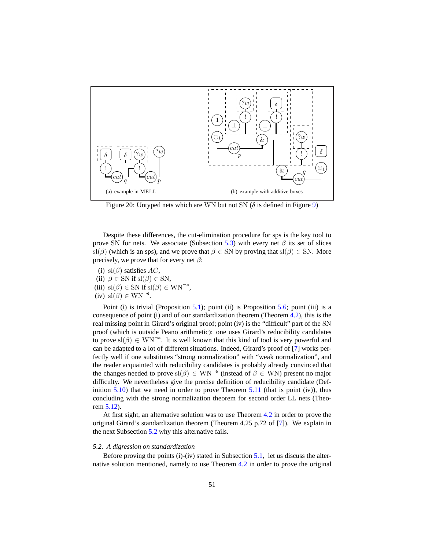<span id="page-50-1"></span>

<span id="page-50-2"></span>Figure 20: Untyped nets which are WN but not SN ( $\delta$  is defined in Figure [9\)](#page-20-1)

Despite these differences, the cut-elimination procedure for sps is the key tool to prove SN for nets. We associate (Subsection [5.3\)](#page-52-0) with every net  $\beta$  its set of slices sl( $\beta$ ) (which is an sps), and we prove that  $\beta \in SN$  by proving that sl( $\beta$ )  $\in SN$ . More precisely, we prove that for every net  $\beta$ :

- (i) sl( $\beta$ ) satisfies AC,
- (ii)  $\beta \in SN$  if sl( $\beta$ )  $\in SN$ ,
- (iii)  $sl(\beta) \in SN$  if  $sl(\beta) \in WN^{-e}$ ,
- (iv)  $\mathrm{sl}(\beta) \in \mathrm{WN}^{-e}$ .

Point (i) is trivial (Proposition [5.1\)](#page-53-0); point (ii) is Proposition [5.6;](#page-55-0) point (iii) is a consequence of point (i) and of our standardization theorem (Theorem [4.2\)](#page-37-0), this is the real missing point in Girard's original proof; point (iv) is the "difficult" part of the SN proof (which is outside Peano arithmetic): one uses Girard's reducibility candidates to prove  $\text{sl}(\beta) \in \text{WN}^{-e}$ . It is well known that this kind of tool is very powerful and can be adapted to a lot of different situations. Indeed, Girard's proof of [\[7\]](#page-59-4) works perfectly well if one substitutes "strong normalization" with "weak normalization", and the reader acquainted with reducibility candidates is probably already convinced that the changes needed to prove  $sl(\beta) \in WN^{-e}$  (instead of  $\beta \in WN$ ) present no major difficulty. We nevertheless give the precise definition of reducibility candidate (Definition  $5.10$ ) that we need in order to prove Theorem  $5.11$  (that is point (iv)), thus concluding with the strong normalization theorem for second order LL nets (Theorem [5.12\)](#page-58-0).

At first sight, an alternative solution was to use Theorem [4.2](#page-37-0) in order to prove the original Girard's standardization theorem (Theorem 4.25 p.72 of [\[7\]](#page-59-4)). We explain in the next Subsection [5.2](#page-50-0) why this alternative fails.

## <span id="page-50-0"></span>*5.2. A digression on standardization*

Before proving the points  $(i)-(iv)$  stated in Subsection [5.1,](#page-48-1) let us discuss the alternative solution mentioned, namely to use Theorem [4.2](#page-37-0) in order to prove the original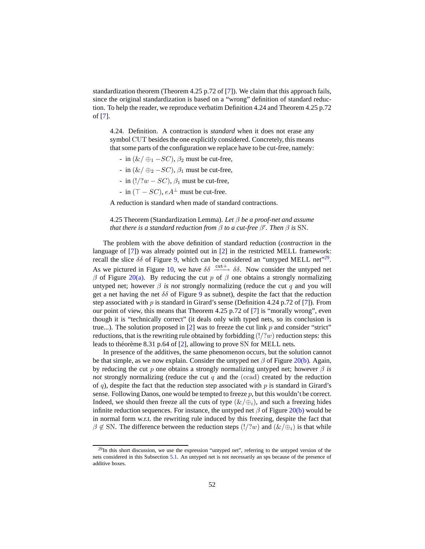standardization theorem (Theorem 4.25 p.72 of [\[7\]](#page-59-4)). We claim that this approach fails, since the original standardization is based on a "wrong" definition of standard reduction. To help the reader, we reproduce verbatim Definition 4.24 and Theorem 4.25 p.72 of [\[7\]](#page-59-4).

4.24. Definition. A contraction is *standard* when it does not erase any symbol CUT besides the one explicitly considered. Concretely, this means that some parts of the configuration we replace have to be cut-free, namely:

- in  $(\&/\oplus_1 SC)$ ,  $\beta_2$  must be cut-free,
- in  $(\&/\oplus_2 SC)$ ,  $\beta_1$  must be cut-free,
- in  $(!/?w SC)$ ,  $\beta_1$  must be cut-free,
- in  $(T SC)$ ,  $eA^{\perp}$  must be cut-free.

A reduction is standard when made of standard contractions.

# 4.25 Theorem (Standardization Lemma). *Let* β *be a proof-net and assume that there is a standard reduction from*  $\beta$  *to a cut-free*  $\beta'$ *. Then*  $\beta$  *is* SN.

The problem with the above definition of standard reduction (*contraction* in the language of [\[7](#page-59-4)]) was already pointed out in [\[2](#page-59-6)] in the restricted MELL framework: recall the slice  $\delta\delta$  of Figure [9,](#page-20-1) which can be considered an "untyped MELL net"<sup>[29](#page-51-0)</sup>. As we pictured in Figure [10,](#page-21-0) we have  $\delta\delta \xrightarrow{\text{cut}+} \delta\delta$ . Now consider the untyped net β of Figure [20\(a\).](#page-50-1) By reducing the cut p of β one obtains a strongly normalizing untyped net; however  $\beta$  *is not* strongly normalizing (reduce the cut q and you will get a net having the net  $\delta\delta$  of Figure [9](#page-20-1) as subnet), despite the fact that the reduction step associated with  $p$  is standard in Girard's sense (Definition 4.24 p.72 of [\[7\]](#page-59-4)). From our point of view, this means that Theorem 4.25 p.72 of [\[7\]](#page-59-4) is "morally wrong", even though it is "technically correct" (it deals only with typed nets, so its conclusion is true...). The solution proposed in  $[2]$  was to freeze the cut link p and consider "strict" reductions, that is the rewriting rule obtained by forbidding  $(!/?w)$  reduction steps: this leads to théorème 8.31 p.64 of  $[2]$ , allowing to prove SN for MELL nets.

In presence of the additives, the same phenomenon occurs, but the solution cannot be that simple, as we now explain. Consider the untyped net  $\beta$  of Figure [20\(b\).](#page-50-2) Again, by reducing the cut p one obtains a strongly normalizing untyped net; however  $\beta$  *is not* strongly normalizing (reduce the cut  $q$  and the (ccad) created by the reduction of q), despite the fact that the reduction step associated with  $p$  is standard in Girard's sense. Following Danos, one would be tempted to freeze  $p$ , but this wouldn't be correct. Indeed, we should then freeze all the cuts of type  $(\&/\oplus_i)$ , and such a freezing hides infinite reduction sequences. For instance, the untyped net  $\beta$  of Figure [20\(b\)](#page-50-2) would be in normal form w.r.t. the rewriting rule induced by this freezing, despite the fact that  $\beta \notin SN$ . The difference between the reduction steps  $(!/?w)$  and  $(\&/\oplus_i)$  is that while

<span id="page-51-0"></span> $^{29}$ In this short discussion, we use the expression "untyped net", referring to the untyped version of the nets considered in this Subsection [5.1.](#page-48-1) An untyped net is not necessarily an sps because of the presence of additive boxes.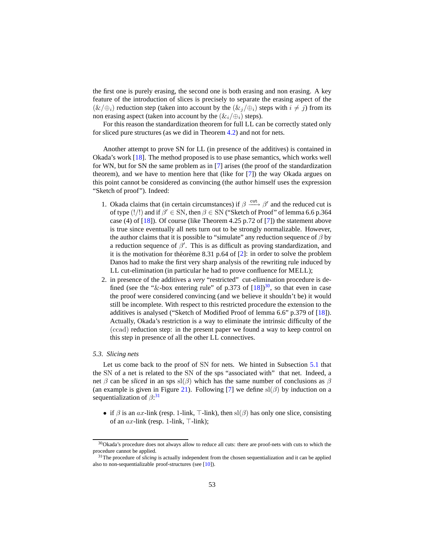the first one is purely erasing, the second one is both erasing and non erasing. A key feature of the introduction of slices is precisely to separate the erasing aspect of the  $(\&/\oplus_i)$  reduction step (taken into account by the  $(\&i/\oplus_i)$  steps with  $i \neq j$ ) from its non erasing aspect (taken into account by the  $(\&i_{i}/\oplus j)$  steps).

For this reason the standardization theorem for full LL can be correctly stated only for sliced pure structures (as we did in Theorem [4.2\)](#page-37-0) and not for nets.

Another attempt to prove SN for LL (in presence of the additives) is contained in Okada's work  $[18]$ . The method proposed is to use phase semantics, which works well for WN, but for SN the same problem as in [\[7\]](#page-59-4) arises (the proof of the standardization theorem), and we have to mention here that (like for [\[7\]](#page-59-4)) the way Okada argues on this point cannot be considered as convincing (the author himself uses the expression "Sketch of proof"). Indeed:

- 1. Okada claims that (in certain circumstances) if  $\beta \xrightarrow{\text{cut}} \beta'$  and the reduced cut is of type (!/!) and if  $\beta' \in SN$ , then  $\beta \in SN$  ("Sketch of Proof" of lemma 6.6 p.364 case (4) of [\[18\]](#page-60-4)). Of course (like Theorem 4.25 p.72 of [\[7](#page-59-4)]) the statement above is true since eventually all nets turn out to be strongly normalizable. However, the author claims that it is possible to "simulate" any reduction sequence of  $\beta$  by a reduction sequence of  $\beta'$ . This is as difficult as proving standardization, and it is the motivation for théorème 8.31 p.64 of  $[2]$ : in order to solve the problem Danos had to make the first very sharp analysis of the rewriting rule induced by LL cut-elimination (in particular he had to prove confluence for MELL);
- 2. in presence of the additives a *very* "restricted" cut-elimination procedure is defined (see the "&-box entering rule" of p.373 of  $[18]$ )<sup>[30](#page-52-1)</sup>, so that even in case the proof were considered convincing (and we believe it shouldn't be) it would still be incomplete. With respect to this restricted procedure the extension to the additives is analysed ("Sketch of Modified Proof of lemma 6.6" p.379 of [\[18](#page-60-4)]). Actually, Okada's restriction is a way to eliminate the intrinsic difficulty of the (ccad) reduction step: in the present paper we found a way to keep control on this step in presence of all the other LL connectives.

#### <span id="page-52-0"></span>*5.3. Slicing nets*

Let us come back to the proof of SN for nets. We hinted in Subsection [5.1](#page-48-1) that the SN of a net is related to the SN of the sps "associated with" that net. Indeed, a net  $\beta$  can be *sliced* in an sps sl( $\beta$ ) which has the same number of conclusions as  $\beta$ (an example is given in Figure [21\)](#page-53-2). Following [\[7\]](#page-59-4) we define sl( $\beta$ ) by induction on a sequentialization of  $\beta$ <sup>[31](#page-52-2)</sup>

• if  $\beta$  is an ax-link (resp. 1-link, ⊤-link), then sl( $\beta$ ) has only one slice, consisting of an  $ax$ -link (resp. 1-link,  $\top$ -link);

<sup>&</sup>lt;sup>30</sup>Okada's procedure does not always allow to reduce all cuts: there are proof-nets with cuts to which the procedure cannot be applied.

<span id="page-52-2"></span><span id="page-52-1"></span><sup>&</sup>lt;sup>31</sup>The procedure of *slicing* is actually independent from the chosen sequentialization and it can be applied also to non-sequentializable proof-structures (see [\[10](#page-59-10)]).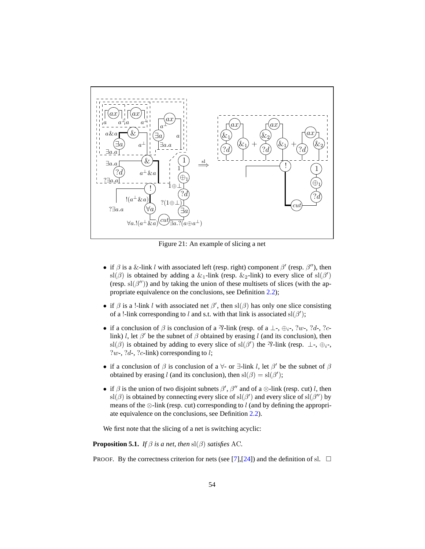<span id="page-53-2"></span><span id="page-53-1"></span>

Figure 21: An example of slicing a net

- if  $\beta$  is a &-link l with associated left (resp. right) component  $\beta'$  (resp.  $\beta''$ ), then sl( $\beta$ ) is obtained by adding a &<sub>1</sub>-link (resp. &<sub>2</sub>-link) to every slice of sl( $\beta'$ ) (resp.  $\text{sl}(\beta'')$ ) and by taking the union of these multisets of slices (with the appropriate equivalence on the conclusions, see Definition [2.2\)](#page-9-2);
- if  $\beta$  is a !-link l with associated net  $\beta'$ , then sl( $\beta$ ) has only one slice consisting of a !-link corresponding to l and s.t. with that link is associated  $sl(\beta')$ ;
- if a conclusion of  $\beta$  is conclusion of a  $\mathcal{R}$ -link (resp. of a ⊥-, ⊕<sub>i</sub>-, ?w-, ?d-, ?clink) l, let  $\beta'$  be the subnet of  $\beta$  obtained by erasing l (and its conclusion), then sl( $\beta$ ) is obtained by adding to every slice of sl( $\beta'$ ) the  $\gamma$ -link (resp.  $\bot$ -,  $\bigoplus_i$ -, ?w-, ?d-, ?c-link) corresponding to  $l$ ;
- if a conclusion of  $\beta$  is conclusion of a  $\forall$  or  $\exists$ -link l, let  $\beta'$  be the subnet of  $\beta$ obtained by erasing l (and its conclusion), then  $sl(\beta) = sl(\beta')$ ;
- if  $\beta$  is the union of two disjoint subnets  $\beta'$ ,  $\beta''$  and of a  $\otimes$ -link (resp. cut) l, then sl( $\beta$ ) is obtained by connecting every slice of sl( $\beta'$ ) and every slice of sl( $\beta''$ ) by means of the  $\otimes$ -link (resp. cut) corresponding to l (and by defining the appropriate equivalence on the conclusions, see Definition [2.2\)](#page-9-2).

<span id="page-53-0"></span>We first note that the slicing of a net is switching acyclic:

**Proposition 5.1.** *If*  $\beta$  *is a net, then* sl( $\beta$ ) *satisfies* AC.

PROOF. By the correctness criterion for nets (see [\[7\]](#page-59-4), [\[24\]](#page-60-2)) and the definition of sl.  $\Box$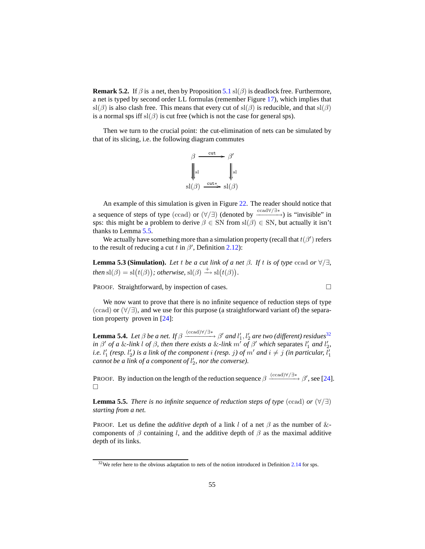**Remark 5.2.** If  $\beta$  is a net, then by Proposition [5.1](#page-53-0) sl( $\beta$ ) is deadlock free. Furthermore, a net is typed by second order LL formulas (remember Figure [17\)](#page-48-2), which implies that sl( $\beta$ ) is also clash free. This means that every cut of sl( $\beta$ ) is reducible, and that sl( $\beta$ ) is a normal sps iff  $sl(\beta)$  is cut free (which is not the case for general sps).

Then we turn to the crucial point: the cut-elimination of nets can be simulated by that of its slicing, i.e. the following diagram commutes

<span id="page-54-1"></span><span id="page-54-0"></span>
$$
\beta \xrightarrow{\text{cut}} \beta'
$$
  
\n
$$
\parallel_{\text{sl}} \parallel \qquad \qquad \parallel_{\text{sl}}
$$
  
\n
$$
\text{sl}(\beta) \xrightarrow{\text{cut*}} \text{sl}(\beta)
$$

An example of this simulation is given in Figure [22.](#page-56-0) The reader should notice that a sequence of steps of type (ccad) or  $(\forall/\exists)$  (denoted by  $\frac{\text{ccad}\forall/\exists^*}{\text{c}}$ ) is "invisible" in sps: this might be a problem to derive  $\beta \in SN$  from sl $(\beta) \in SN$ , but actually it isn't thanks to Lemma [5.5.](#page-54-3)

<span id="page-54-2"></span>We actually have something more than a simulation property (recall that  $t(\beta')$  refers to the result of reducing a cut t in  $\beta'$ , Definition [2.12\)](#page-14-0):

**Lemma 5.3 (Simulation).** *Let t be a cut link of a net*  $\beta$ *. If t is of type* ccad *or*  $\forall/\exists$ *, then*  $\mathrm{sl}(\beta) = \mathrm{sl}(t(\beta))$ ; *otherwise*,  $\mathrm{sl}(\beta) \xrightarrow{+} \mathrm{sl}(t(\beta))$ .

**PROOF.** Straightforward, by inspection of cases.  $\Box$ 

We now want to prove that there is no infinite sequence of reduction steps of type (ccad) or (∀/∃), and we use for this purpose (a straightforward variant of) the separation property proven in  $[24]$ :

<span id="page-54-5"></span>**Lemma 5.4.** *Let*  $\beta$  *be a net.* If  $\beta \xrightarrow{(ccad)\forall/\exists*} \beta'$  *and*  $l'_1$ ,  $l'_2$  *are two (different) residues*<sup>[32](#page-54-4)</sup> *in*  $\beta'$  *of a* &-link l *of*  $\beta$ *, then there exists a* &-link  $m'$  *of*  $\beta'$  *which* separates  $l'_1$  *and*  $l'_2$ *, i.e.*  $l'_1$  *(resp.*  $l'_2$ *) is a link of the component i (resp. j) of m' and*  $i \neq j$  *(in particular,*  $l'_1$ *cannot be a link of a component of* l ′ 2 *, nor the converse).*

PROOF. By induction on the length of the reduction sequence  $\beta \xrightarrow{(ccad)\forall/\exists^*} \beta'$ , see [\[24](#page-60-2)].  $\Box$ 

<span id="page-54-3"></span>**Lemma 5.5.** *There is no infinite sequence of reduction steps of type* (ccad) *or*  $(\forall/\exists)$ *starting from a net.*

PROOF. Let us define the *additive depth* of a link l of a net  $\beta$  as the number of &components of  $\beta$  containing l, and the additive depth of  $\beta$  as the maximal additive depth of its links.

<span id="page-54-4"></span><sup>&</sup>lt;sup>32</sup>We refer here to the obvious adaptation to nets of the notion introduced in Definition [2.14](#page-16-2) for sps.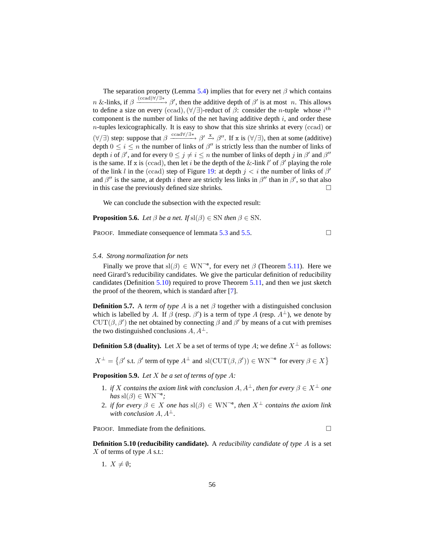<span id="page-55-2"></span>The separation property (Lemma [5.4\)](#page-54-5) implies that for every net  $\beta$  which contains  $n \&$ -links, if  $\beta \xrightarrow{(ccad)\forall/\exists^*} \beta'$ , then the additive depth of  $\beta'$  is at most n. This allows to define a size on every (ccad),  $(\forall/\exists)$ -reduct of  $\beta$ : consider the *n*-tuple whose i<sup>th</sup> component is the number of links of the net having additive depth  $i$ , and order these  $n$ -tuples lexicographically. It is easy to show that this size shrinks at every (ccad) or  $(\forall/\exists)$  step: suppose that  $\beta \xrightarrow{ccad\forall/\exists^*} \beta' \xrightarrow{x} \beta''$ . If x is  $(\forall/\exists)$ , then at some (additive) depth  $0 \le i \le n$  the number of links of  $\beta''$  is strictly less than the number of links of depth *i* of  $\beta'$ , and for every  $0 \le j \ne i \le n$  the number of links of depth *j* in  $\beta'$  and  $\beta''$ is the same. If x is (ccad), then let i be the depth of the &-link  $l'$  of  $\beta'$  playing the role of the link l in the (ccad) step of Figure [19:](#page-49-0) at depth  $j < i$  the number of links of  $\beta'$ and  $\beta''$  is the same, at depth i there are strictly less links in  $\beta''$  than in  $\beta'$ , so that also in this case the previously defined size shrinks.  $\Box$ 

<span id="page-55-0"></span>We can conclude the subsection with the expected result:

**Proposition 5.6.** *Let*  $\beta$  *be a net. If*  $\text{sl}(\beta) \in \text{SN}$  *then*  $\beta \in \text{SN}$ *.* 

PROOF. Immediate consequence of lemmata  $5.3$  and  $5.5$ .

<span id="page-55-3"></span>

## <span id="page-55-1"></span>*5.4. Strong normalization for nets*

Finally we prove that  $sl(\beta) \in WN^{-e}$ , for every net  $\beta$  (Theorem [5.11\)](#page-57-0). Here we need Girard's reducibility candidates. We give the particular definition of reducibility candidates (Definition [5.10\)](#page-55-4) required to prove Theorem [5.11,](#page-57-0) and then we just sketch the proof of the theorem, which is standard after [\[7\]](#page-59-4).

**Definition 5.7.** A *term of type* A is a net  $\beta$  together with a distinguished conclusion which is labelled by A. If  $\beta$  (resp.  $\beta'$ ) is a term of type A (resp.  $A^{\perp}$ ), we denote by CUT( $\beta$ ,  $\beta'$ ) the net obtained by connecting  $\beta$  and  $\beta'$  by means of a cut with premises the two distinguished conclusions  $A, A^{\perp}.$ 

**Definition 5.8 (duality).** Let X be a set of terms of type A; we define  $X^{\perp}$  as follows:

 $X^{\perp} = \{ \beta' \text{ s.t. } \beta' \text{ term of type } A^{\perp} \text{ and } \text{sl}(\text{CUT}(\beta, \beta')) \in \text{WN}^{-\mathsf{e}} \text{ for every } \beta \in X \}$ 

<span id="page-55-5"></span>**Proposition 5.9.** *Let* X *be a set of terms of type* A*:*

- 1. *if* X contains the axiom link with conclusion  $A, A^{\perp}$ , then for every  $\beta \in X^{\perp}$  one  $has$  sl( $\beta$ )  $\in$  WN<sup>-e</sup>;
- 2. *if for every*  $\beta \in X$  *one has*  $\text{sl}(\beta) \in \text{WN}^{\neg e}$ , then  $X^{\perp}$  *contains the axiom link with conclusion*  $A, A^{\perp}$ .

<span id="page-55-4"></span>PROOF. Immediate from the definitions.

**Definition 5.10 (reducibility candidate).** A *reducibility candidate of type* A is a set  $X$  of terms of type  $A$  s.t.:

1.  $X \neq \emptyset$ ;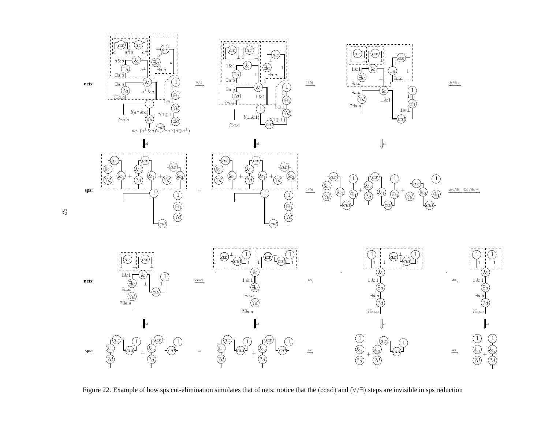<span id="page-56-0"></span>

Figure 22. Example of how sps cut-elimination simulates that of nets: notice that the (ccad) and (∀/∃) steps are invisible in sps reduction

57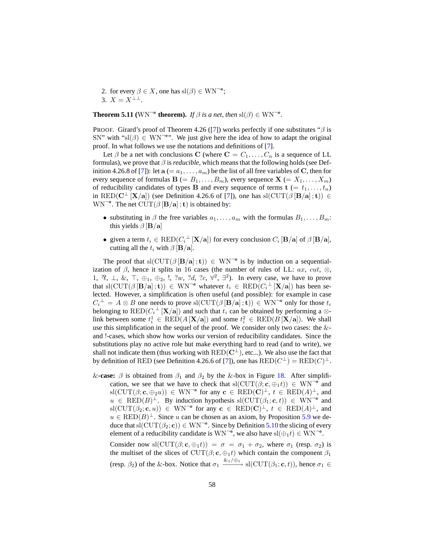<span id="page-57-1"></span>2. for every  $\beta \in X$ , one has  $\text{sl}(\beta) \in \text{WN}^{-\text{e}}$ ; 3.  $X = X^{\perp \perp}$ .

<span id="page-57-0"></span>**Theorem 5.11** ( $WN^{-e}$  **theorem).** *If*  $\beta$  *is a net, then*  $sl(\beta) \in WN^{-e}$ *.* 

PROOF. Girard's proof of Theorem 4.26 ([\[7\]](#page-59-4)) works perfectly if one substitutes " $\beta$  is SN" with "sl( $\beta$ )  $\in$  WN<sup>-e</sup>". We just give here the idea of how to adapt the original proof. In what follows we use the notations and definitions of [\[7\]](#page-59-4).

Let  $\beta$  be a net with conclusions C (where  $C = C_1, \ldots, C_n$  is a sequence of LL formulas), we prove that  $\beta$  is *reducible*, which means that the following holds (see Def-inition 4.26.8 of [\[7\]](#page-59-4)): let  $\mathbf{a} (= a_1, \ldots, a_m)$  be the list of all free variables of C, then for every sequence of formulas  $\mathbf{B} (= B_1, \ldots, B_m)$ , every sequence  $\mathbf{X} (= X_1, \ldots, X_m)$ of reducibility candidates of types **B** and every sequence of terms  $\mathbf{t} = t_1, \dots, t_n$ in RED( $C^{\perp}$  [X/a]) (see Definition 4.26.6 of [\[7\]](#page-59-4)), one has sl( $CUT(\beta [B/a] ; t)$ ) ∈  $\text{WN}^{-\text{e}}$ . The net  $\text{CUT}(\beta \left[\text{B}/\text{a}\right]; \text{t})$  is obtained by:

- substituting in  $\beta$  the free variables  $a_1, \ldots, a_m$  with the formulas  $B_1, \ldots, B_m$ : this yields  $\beta$  [**B**/a]
- given a term  $t_i \in \text{RED}(C_i^{\perp}[\mathbf{X}/\mathbf{a}])$  for every conclusion  $C_i$  [**B**/a] of  $\beta$  [**B**/a], cutting all the  $t_i$  with  $\beta$  [**B**/a].

The proof that  $sl(CUT(\beta [B/a]; t)) \in WN^{-e}$  is by induction on a sequentialization of  $\beta$ , hence it splits in 16 cases (the number of rules of LL: ax, cut,  $\otimes$ , 1,  $\mathcal{R}, \perp, \&$ ,  $\top, \oplus_1, \oplus_2, \perp, \mathcal{W}, \mathcal{U}, \mathcal{U}, \mathcal{X}, \forall^2, \exists^2$ . In every case, we have to prove that sl(CUT( $\beta [\mathbf{B}/\mathbf{a}]; \mathbf{t})$ )  $\in$  WN<sup>-e</sup> whatever  $t_i \in \text{RED}(C_i^{\perp}[\mathbf{X}/\mathbf{a}])$  has been selected. However, a simplification is often useful (and possible): for example in case  $C_i^{\perp} = A \otimes B$  one needs to prove sl(CUT( $\beta [\mathbf{B}/\mathbf{a}]; \mathbf{t})$ )  $\in \text{WN}^{-\mathbf{e}}$  only for those  $t_i$ belonging to  $\text{RED}(C_i^{\perp}[\mathbf{X}/\mathbf{a}])$  and such that  $t_i$  can be obtained by performing a  $\otimes$ link between some  $t_i^1 \in \text{RED}(A[X/a])$  and some  $t_i^2 \in \text{RED}(B[X/a])$ . We shall use this simplification in the sequel of the proof. We consider only two cases: the & and !-cases, which show how works our version of reducibility candidates. Since the substitutions play no active role but make everything hard to read (and to write), we shall not indicate them (thus working with  $RED(C^{\perp})$ , etc...). We also use the fact that by definition of RED (see Definition 4.26.6 of [\[7\]](#page-59-4)), one has  $\text{RED}(C^{\perp}) = \text{RED}(C)^{\perp}$ .

&**-case:**  $\beta$  is obtained from  $\beta_1$  and  $\beta_2$  by the &-box in Figure [18.](#page-48-3) After simplification, we see that we have to check that  $sl(CUT(\beta; \mathbf{c}, \oplus_1 t)) \in WN^{-e}$  and  $\text{sl}(\text{CUT}(\beta; \mathbf{c}, \oplus_2 u)) \in \text{WN}^{-e}$  for any  $\mathbf{c} \in \text{RED}(\mathbf{C})^{\perp}$ ,  $t \in \text{RED}(A)^{\perp}$ , and  $u \in \text{RED}(B)^{\perp}$ . By induction hypothesis sl(CUT $(\beta_1; \mathbf{c}, t)$ )  $\in \text{WN}^{-e}$  and  $\text{sl}(\text{CUT}(\beta_2;\mathbf{c},u)) \in \text{WN}^{-\mathbf{e}}$  for any  $\mathbf{c} \in \text{RED}(\mathbf{C})^{\perp}$ ,  $t \in \text{RED}(A)^{\perp}$ , and  $u \in \text{RED}(B)^{\perp}$ . Since u can be chosen as an axiom, by Proposition [5.9](#page-55-5) we deduce that  $\text{sl}(\text{CUT}(\beta_2; \mathbf{c})) \in \text{WN}^{-\mathbf{e}}$ . Since by Definition [5.10](#page-55-4) the slicing of every element of a reducibility candidate is  $WN^{-e}$ , we also have  $sl(\bigoplus_1 t) \in WN^{-e}$ .

Consider now sl(CUT( $\beta$ ; c,  $\bigoplus_1$ t)) =  $\sigma = \sigma_1 + \sigma_2$ , where  $\sigma_1$  (resp.  $\sigma_2$ ) is the multiset of the slices of CUT( $\beta$ ; c,  $\bigoplus_1 t$ ) which contain the component  $\beta_1$ (resp.  $\beta_2$ ) of the &-box. Notice that  $\sigma_1 \xrightarrow{\&1/\oplus1}$  sl(CUT( $\beta_1$ ; c, t)), hence  $\sigma_1 \in$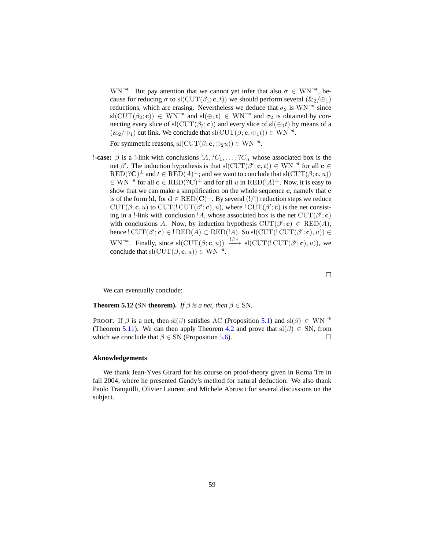<span id="page-58-1"></span>WN<sup> $\pi$ </sup>. But pay attention that we cannot yet infer that also  $\sigma \in WN^{-e}$ , because for reducing  $\sigma$  to sl(CUT( $\beta_1$ ; c, t)) we should perform several ( $\&_2/\oplus_1$ ) reductions, which are erasing. Nevertheless we deduce that  $\sigma_2$  is  $WN^{-e}$  since  $\text{sl}(\text{CUT}(\beta_2; \mathbf{c})) \in \text{WN}^{-\mathbf{e}}$  and  $\text{sl}(\bigoplus_1 t) \in \text{WN}^{-\mathbf{e}}$  and  $\sigma_2$  is obtained by connecting every slice of sl(CUT( $\beta_2$ ; c)) and every slice of sl( $\bigoplus_1 t$ ) by means of a  $(\&_2/\oplus_1)$  cut link. We conclude that sl $(\text{CUT}(\beta; \mathbf{c}, \oplus_1 t)) \in \text{WN}^{-\mathbf{e}}$ .

For symmetric reasons,  $sl(CUT(\beta; \mathbf{c}, \oplus_2 u)) \in \text{WN}^{-\mathbf{e}}$ .

**!-case:**  $\beta$  is a !-link with conclusions  $A, ?C_1, \ldots, ?C_n$  whose associated box is the net  $\beta'$ . The induction hypothesis is that sl(CUT( $\beta'$ ; c, t))  $\in$  WN<sup> $\neg$ e</sup> for all c  $\in$  $RED(?C)^{\perp}$  and  $t \in RED(A)^{\perp}$ ; and we want to conclude that  $sl(CUT(\beta; \mathbf{c}, u))$  $\in$  WN<sup> $\in$ e</sup> for all  $\mathbf{c} \in \text{RED}(?C)^{\perp}$  and for all u in  $\text{RED}(!A)^{\perp}$ . Now, it is easy to show that we can make a simplification on the whole sequence c, namely that c is of the form  $\cdot$ ld, for  $d \in \text{RED}(\mathbf{C})^{\perp}$ . By several  $(!/!)$  reduction steps we reduce  $CUT(\beta; \mathbf{c}, u)$  to  $CUT(\mathrm{CUT}(\beta'; \mathbf{c}), u)$ , where  $\mathrm{CUT}(\beta'; \mathbf{c})$  is the net consisting in a !-link with conclusion !A, whose associated box is the net  $\text{CUT}(\beta'; \mathbf{c})$ with conclusions A. Now, by induction hypothesis  $CUT(\beta'; \mathbf{c}) \in \text{RED}(A)$ , hence !  $\text{CUT}(\beta'; \mathbf{c}) \in \text{RED}(A) \subset \text{RED}(!A)$ . So  $\text{sl}(\text{CUT}(!\text{CUT}(\beta'; \mathbf{c}), u)) \in$ WN<sup> $\neg^e$ </sup>. Finally, since sl(CUT( $\beta$ ; c, u))  $\xrightarrow[]{!/\!|*}$  sl(CUT(!CUT( $\beta$ '; c), u)), we conclude that  $sl(CUT(\beta; \mathbf{c}, u)) \in \text{WN}^{-\mathbf{e}}$ .

<span id="page-58-0"></span>We can eventually conclude:

**Theorem 5.12** (SN **theorem).** *If*  $\beta$  *is a net, then*  $\beta \in SN$ .

PROOF. If  $\beta$  is a net, then sl( $\beta$ ) satisfies AC (Proposition [5.1\)](#page-53-0) and sl( $\beta$ )  $\in$  WN<sup>-e</sup> (Theorem [5.11\)](#page-57-0). We can then apply Theorem [4.2](#page-37-0) and prove that  $sl(\beta) \in SN$ , from which we conclude that  $\beta \in SN$  (Proposition [5.6\)](#page-55-0).

 $\Box$ 

## **Aknowledgements**

We thank Jean-Yves Girard for his course on proof-theory given in Roma Tre in fall 2004, where he presented Gandy's method for natural deduction. We also thank Paolo Tranquilli, Olivier Laurent and Michele Abrusci for several discussions on the subject.

59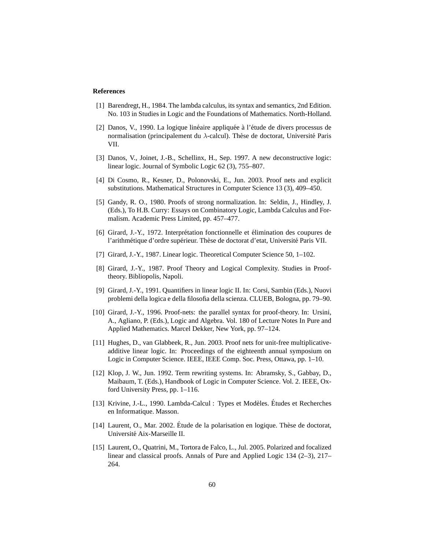### **References**

- <span id="page-59-5"></span>[1] Barendregt, H., 1984. The lambda calculus, its syntax and semantics, 2nd Edition. No. 103 in Studies in Logic and the Foundations of Mathematics. North-Holland.
- <span id="page-59-6"></span>[2] Danos, V., 1990. La logique linéaire appliquée à l'étude de divers processus de normalisation (principalement du  $\lambda$ -calcul). Thèse de doctorat, Université Paris VII.
- <span id="page-59-8"></span>[3] Danos, V., Joinet, J.-B., Schellinx, H., Sep. 1997. A new deconstructive logic: linear logic. Journal of Symbolic Logic 62 (3), 755–807.
- <span id="page-59-7"></span>[4] Di Cosmo, R., Kesner, D., Polonovski, E., Jun. 2003. Proof nets and explicit substitutions. Mathematical Structures in Computer Science 13 (3), 409–450.
- <span id="page-59-3"></span>[5] Gandy, R. O., 1980. Proofs of strong normalization. In: Seldin, J., Hindley, J. (Eds.), To H.B. Curry: Essays on Combinatory Logic, Lambda Calculus and Formalism. Academic Press Limited, pp. 457–477.
- <span id="page-59-1"></span>[6] Girard, J.-Y., 1972. Interprétation fonctionnelle et élimination des coupures de l'arithmétique d'ordre supérieur. Thèse de doctorat d'etat, Université Paris VII.
- <span id="page-59-4"></span>[7] Girard, J.-Y., 1987. Linear logic. Theoretical Computer Science 50, 1–102.
- <span id="page-59-2"></span>[8] Girard, J.-Y., 1987. Proof Theory and Logical Complexity. Studies in Prooftheory. Bibliopolis, Napoli.
- <span id="page-59-14"></span>[9] Girard, J.-Y., 1991. Quantifiers in linear logic II. In: Corsi, Sambin (Eds.), Nuovi problemi della logica e della filosofia della scienza. CLUEB, Bologna, pp. 79–90.
- <span id="page-59-10"></span>[10] Girard, J.-Y., 1996. Proof-nets: the parallel syntax for proof-theory. In: Ursini, A., Agliano, P. (Eds.), Logic and Algebra. Vol. 180 of Lecture Notes In Pure and Applied Mathematics. Marcel Dekker, New York, pp. 97–124.
- <span id="page-59-11"></span>[11] Hughes, D., van Glabbeek, R., Jun. 2003. Proof nets for unit-free multiplicativeadditive linear logic. In: Proceedings of the eighteenth annual symposium on Logic in Computer Science. IEEE, IEEE Comp. Soc. Press, Ottawa, pp. 1–10.
- <span id="page-59-12"></span>[12] Klop, J. W., Jun. 1992. Term rewriting systems. In: Abramsky, S., Gabbay, D., Maibaum, T. (Eds.), Handbook of Logic in Computer Science. Vol. 2. IEEE, Oxford University Press, pp. 1–116.
- <span id="page-59-0"></span>[13] Krivine, J.-L., 1990. Lambda-Calcul : Types et Modèles. Études et Recherches en Informatique. Masson.
- <span id="page-59-13"></span>[14] Laurent, O., Mar. 2002. Étude de la polarisation en logique. Thèse de doctorat, Université Aix-Marseille II.
- <span id="page-59-9"></span>[15] Laurent, O., Quatrini, M., Tortora de Falco, L., Jul. 2005. Polarized and focalized linear and classical proofs. Annals of Pure and Applied Logic 134 (2–3), 217– 264.